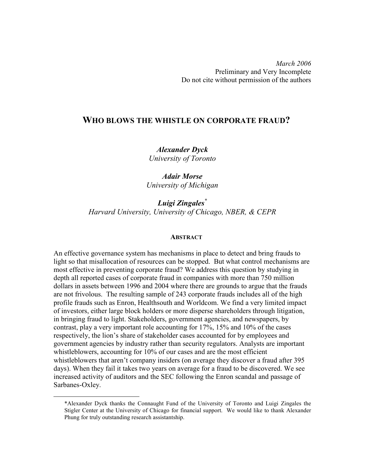March 2006 Preliminary and Very Incomplete Do not cite without permission of the authors

# WHO BLOWS THE WHISTLE ON CORPORATE FRAUD?

Alexander Dyck University of Toronto

Adair Morse University of Michigan

Luigi Zingales<sup>\*</sup> Harvard University, University of Chicago, NBER, & CEPR

## **ABSTRACT**

An effective governance system has mechanisms in place to detect and bring frauds to light so that misallocation of resources can be stopped. But what control mechanisms are most effective in preventing corporate fraud? We address this question by studying in depth all reported cases of corporate fraud in companies with more than 750 million dollars in assets between 1996 and 2004 where there are grounds to argue that the frauds are not frivolous. The resulting sample of 243 corporate frauds includes all of the high profile frauds such as Enron, Healthsouth and Worldcom. We find a very limited impact of investors, either large block holders or more disperse shareholders through litigation, in bringing fraud to light. Stakeholders, government agencies, and newspapers, by contrast, play a very important role accounting for 17%, 15% and 10% of the cases respectively, the lion's share of stakeholder cases accounted for by employees and government agencies by industry rather than security regulators. Analysts are important whistleblowers, accounting for 10% of our cases and are the most efficient whistleblowers that aren't company insiders (on average they discover a fraud after 395 days). When they fail it takes two years on average for a fraud to be discovered. We see increased activity of auditors and the SEC following the Enron scandal and passage of Sarbanes-Oxley.

-

<sup>\*</sup>Alexander Dyck thanks the Connaught Fund of the University of Toronto and Luigi Zingales the Stigler Center at the University of Chicago for financial support. We would like to thank Alexander Phung for truly outstanding research assistantship.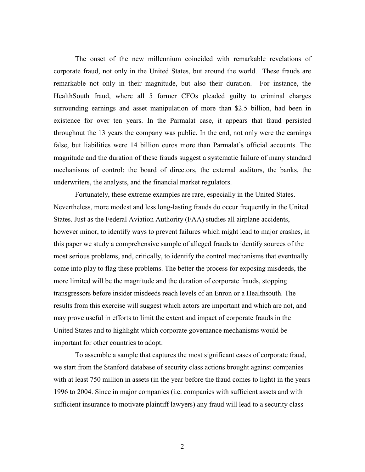The onset of the new millennium coincided with remarkable revelations of corporate fraud, not only in the United States, but around the world. These frauds are remarkable not only in their magnitude, but also their duration. For instance, the HealthSouth fraud, where all 5 former CFOs pleaded guilty to criminal charges surrounding earnings and asset manipulation of more than \$2.5 billion, had been in existence for over ten years. In the Parmalat case, it appears that fraud persisted throughout the 13 years the company was public. In the end, not only were the earnings false, but liabilities were 14 billion euros more than Parmalat's official accounts. The magnitude and the duration of these frauds suggest a systematic failure of many standard mechanisms of control: the board of directors, the external auditors, the banks, the underwriters, the analysts, and the financial market regulators.

Fortunately, these extreme examples are rare, especially in the United States. Nevertheless, more modest and less long-lasting frauds do occur frequently in the United States. Just as the Federal Aviation Authority (FAA) studies all airplane accidents, however minor, to identify ways to prevent failures which might lead to major crashes, in this paper we study a comprehensive sample of alleged frauds to identify sources of the most serious problems, and, critically, to identify the control mechanisms that eventually come into play to flag these problems. The better the process for exposing misdeeds, the more limited will be the magnitude and the duration of corporate frauds, stopping transgressors before insider misdeeds reach levels of an Enron or a Healthsouth. The results from this exercise will suggest which actors are important and which are not, and may prove useful in efforts to limit the extent and impact of corporate frauds in the United States and to highlight which corporate governance mechanisms would be important for other countries to adopt.

To assemble a sample that captures the most significant cases of corporate fraud, we start from the Stanford database of security class actions brought against companies with at least 750 million in assets (in the year before the fraud comes to light) in the years 1996 to 2004. Since in major companies (i.e. companies with sufficient assets and with sufficient insurance to motivate plaintiff lawyers) any fraud will lead to a security class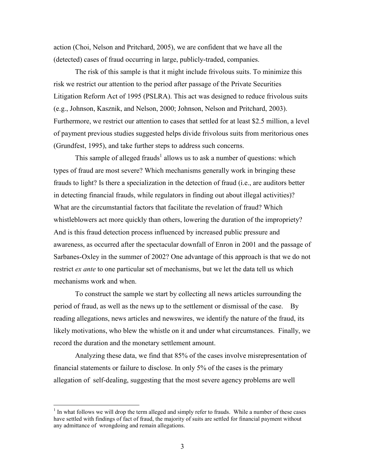action (Choi, Nelson and Pritchard, 2005), we are confident that we have all the (detected) cases of fraud occurring in large, publicly-traded, companies.

The risk of this sample is that it might include frivolous suits. To minimize this risk we restrict our attention to the period after passage of the Private Securities Litigation Reform Act of 1995 (PSLRA). This act was designed to reduce frivolous suits (e.g., Johnson, Kasznik, and Nelson, 2000; Johnson, Nelson and Pritchard, 2003). Furthermore, we restrict our attention to cases that settled for at least \$2.5 million, a level of payment previous studies suggested helps divide frivolous suits from meritorious ones (Grundfest, 1995), and take further steps to address such concerns.

This sample of alleged frauds<sup>1</sup> allows us to ask a number of questions: which types of fraud are most severe? Which mechanisms generally work in bringing these frauds to light? Is there a specialization in the detection of fraud (i.e., are auditors better in detecting financial frauds, while regulators in finding out about illegal activities)? What are the circumstantial factors that facilitate the revelation of fraud? Which whistleblowers act more quickly than others, lowering the duration of the impropriety? And is this fraud detection process influenced by increased public pressure and awareness, as occurred after the spectacular downfall of Enron in 2001 and the passage of Sarbanes-Oxley in the summer of 2002? One advantage of this approach is that we do not restrict *ex ante* to one particular set of mechanisms, but we let the data tell us which mechanisms work and when.

To construct the sample we start by collecting all news articles surrounding the period of fraud, as well as the news up to the settlement or dismissal of the case. By reading allegations, news articles and newswires, we identify the nature of the fraud, its likely motivations, who blew the whistle on it and under what circumstances. Finally, we record the duration and the monetary settlement amount.

Analyzing these data, we find that 85% of the cases involve misrepresentation of financial statements or failure to disclose. In only 5% of the cases is the primary allegation of self-dealing, suggesting that the most severe agency problems are well

 $\overline{a}$ 

<sup>&</sup>lt;sup>1</sup> In what follows we will drop the term alleged and simply refer to frauds. While a number of these cases have settled with findings of fact of fraud, the majority of suits are settled for financial payment without any admittance of wrongdoing and remain allegations.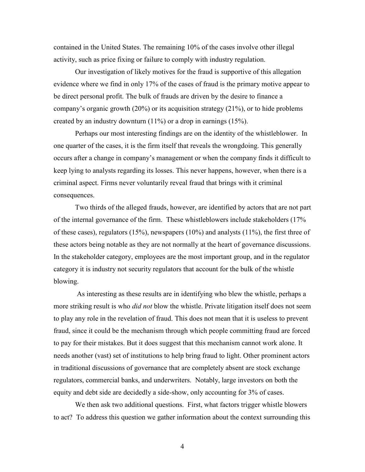contained in the United States. The remaining 10% of the cases involve other illegal activity, such as price fixing or failure to comply with industry regulation.

Our investigation of likely motives for the fraud is supportive of this allegation evidence where we find in only 17% of the cases of fraud is the primary motive appear to be direct personal profit. The bulk of frauds are driven by the desire to finance a company's organic growth (20%) or its acquisition strategy (21%), or to hide problems created by an industry downturn (11%) or a drop in earnings (15%).

Perhaps our most interesting findings are on the identity of the whistleblower. In one quarter of the cases, it is the firm itself that reveals the wrongdoing. This generally occurs after a change in company's management or when the company finds it difficult to keep lying to analysts regarding its losses. This never happens, however, when there is a criminal aspect. Firms never voluntarily reveal fraud that brings with it criminal consequences.

Two thirds of the alleged frauds, however, are identified by actors that are not part of the internal governance of the firm. These whistleblowers include stakeholders (17% of these cases), regulators (15%), newspapers (10%) and analysts (11%), the first three of these actors being notable as they are not normally at the heart of governance discussions. In the stakeholder category, employees are the most important group, and in the regulator category it is industry not security regulators that account for the bulk of the whistle blowing.

 As interesting as these results are in identifying who blew the whistle, perhaps a more striking result is who *did not* blow the whistle. Private litigation itself does not seem to play any role in the revelation of fraud. This does not mean that it is useless to prevent fraud, since it could be the mechanism through which people committing fraud are forced to pay for their mistakes. But it does suggest that this mechanism cannot work alone. It needs another (vast) set of institutions to help bring fraud to light. Other prominent actors in traditional discussions of governance that are completely absent are stock exchange regulators, commercial banks, and underwriters. Notably, large investors on both the equity and debt side are decidedly a side-show, only accounting for 3% of cases.

We then ask two additional questions. First, what factors trigger whistle blowers to act? To address this question we gather information about the context surrounding this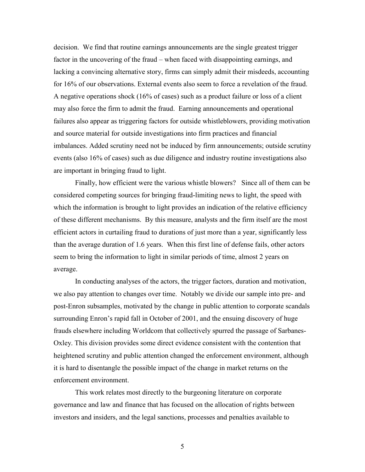decision. We find that routine earnings announcements are the single greatest trigger factor in the uncovering of the fraud – when faced with disappointing earnings, and lacking a convincing alternative story, firms can simply admit their misdeeds, accounting for 16% of our observations. External events also seem to force a revelation of the fraud. A negative operations shock (16% of cases) such as a product failure or loss of a client may also force the firm to admit the fraud. Earning announcements and operational failures also appear as triggering factors for outside whistleblowers, providing motivation and source material for outside investigations into firm practices and financial imbalances. Added scrutiny need not be induced by firm announcements; outside scrutiny events (also 16% of cases) such as due diligence and industry routine investigations also are important in bringing fraud to light.

Finally, how efficient were the various whistle blowers? Since all of them can be considered competing sources for bringing fraud-limiting news to light, the speed with which the information is brought to light provides an indication of the relative efficiency of these different mechanisms. By this measure, analysts and the firm itself are the most efficient actors in curtailing fraud to durations of just more than a year, significantly less than the average duration of 1.6 years. When this first line of defense fails, other actors seem to bring the information to light in similar periods of time, almost 2 years on average.

In conducting analyses of the actors, the trigger factors, duration and motivation, we also pay attention to changes over time. Notably we divide our sample into pre- and post-Enron subsamples, motivated by the change in public attention to corporate scandals surrounding Enron's rapid fall in October of 2001, and the ensuing discovery of huge frauds elsewhere including Worldcom that collectively spurred the passage of Sarbanes-Oxley. This division provides some direct evidence consistent with the contention that heightened scrutiny and public attention changed the enforcement environment, although it is hard to disentangle the possible impact of the change in market returns on the enforcement environment.

This work relates most directly to the burgeoning literature on corporate governance and law and finance that has focused on the allocation of rights between investors and insiders, and the legal sanctions, processes and penalties available to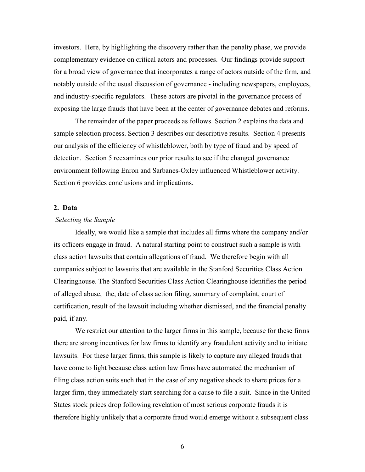investors. Here, by highlighting the discovery rather than the penalty phase, we provide complementary evidence on critical actors and processes. Our findings provide support for a broad view of governance that incorporates a range of actors outside of the firm, and notably outside of the usual discussion of governance - including newspapers, employees, and industry-specific regulators. These actors are pivotal in the governance process of exposing the large frauds that have been at the center of governance debates and reforms.

 The remainder of the paper proceeds as follows. Section 2 explains the data and sample selection process. Section 3 describes our descriptive results. Section 4 presents our analysis of the efficiency of whistleblower, both by type of fraud and by speed of detection. Section 5 reexamines our prior results to see if the changed governance environment following Enron and Sarbanes-Oxley influenced Whistleblower activity. Section 6 provides conclusions and implications.

## 2. Data

## Selecting the Sample

Ideally, we would like a sample that includes all firms where the company and/or its officers engage in fraud. A natural starting point to construct such a sample is with class action lawsuits that contain allegations of fraud. We therefore begin with all companies subject to lawsuits that are available in the Stanford Securities Class Action Clearinghouse. The Stanford Securities Class Action Clearinghouse identifies the period of alleged abuse, the, date of class action filing, summary of complaint, court of certification, result of the lawsuit including whether dismissed, and the financial penalty paid, if any.

We restrict our attention to the larger firms in this sample, because for these firms there are strong incentives for law firms to identify any fraudulent activity and to initiate lawsuits. For these larger firms, this sample is likely to capture any alleged frauds that have come to light because class action law firms have automated the mechanism of filing class action suits such that in the case of any negative shock to share prices for a larger firm, they immediately start searching for a cause to file a suit. Since in the United States stock prices drop following revelation of most serious corporate frauds it is therefore highly unlikely that a corporate fraud would emerge without a subsequent class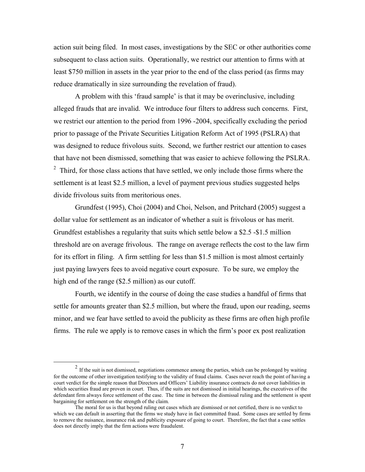action suit being filed. In most cases, investigations by the SEC or other authorities come subsequent to class action suits. Operationally, we restrict our attention to firms with at least \$750 million in assets in the year prior to the end of the class period (as firms may reduce dramatically in size surrounding the revelation of fraud).

A problem with this 'fraud sample' is that it may be overinclusive, including alleged frauds that are invalid. We introduce four filters to address such concerns. First, we restrict our attention to the period from 1996 -2004, specifically excluding the period prior to passage of the Private Securities Litigation Reform Act of 1995 (PSLRA) that was designed to reduce frivolous suits. Second, we further restrict our attention to cases that have not been dismissed, something that was easier to achieve following the PSLRA.  $2$  Third, for those class actions that have settled, we only include those firms where the settlement is at least \$2.5 million, a level of payment previous studies suggested helps divide frivolous suits from meritorious ones.

Grundfest (1995), Choi (2004) and Choi, Nelson, and Pritchard (2005) suggest a dollar value for settlement as an indicator of whether a suit is frivolous or has merit. Grundfest establishes a regularity that suits which settle below a \$2.5 -\$1.5 million threshold are on average frivolous. The range on average reflects the cost to the law firm for its effort in filing. A firm settling for less than \$1.5 million is most almost certainly just paying lawyers fees to avoid negative court exposure. To be sure, we employ the high end of the range (\$2.5 million) as our cutoff.

Fourth, we identify in the course of doing the case studies a handful of firms that settle for amounts greater than \$2.5 million, but where the fraud, upon our reading, seems minor, and we fear have settled to avoid the publicity as these firms are often high profile firms. The rule we apply is to remove cases in which the firm's poor ex post realization

-

 $2 \text{ If the suit is not dismissed, negotiations commence among the parties, which can be prolonged by waiting.}$ for the outcome of other investigation testifying to the validity of fraud claims. Cases never reach the point of having a court verdict for the simple reason that Directors and Officers' Liability insurance contracts do not cover liabilities in which securities fraud are proven in court. Thus, if the suits are not dismissed in initial hearings, the executives of the defendant firm always force settlement of the case. The time in between the dismissal ruling and the settlement is spent bargaining for settlement on the strength of the claim.

The moral for us is that beyond ruling out cases which are dismissed or not certified, there is no verdict to which we can default in asserting that the firms we study have in fact committed fraud. Some cases are settled by firms to remove the nuisance, insurance risk and publicity exposure of going to court. Therefore, the fact that a case settles does not directly imply that the firm actions were fraudulent.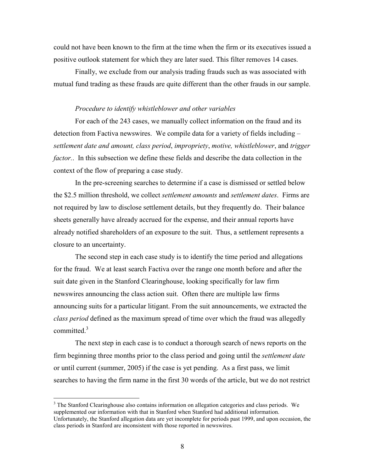could not have been known to the firm at the time when the firm or its executives issued a positive outlook statement for which they are later sued. This filter removes 14 cases.

Finally, we exclude from our analysis trading frauds such as was associated with mutual fund trading as these frauds are quite different than the other frauds in our sample.

## Procedure to identify whistleblower and other variables

For each of the 243 cases, we manually collect information on the fraud and its detection from Factiva newswires. We compile data for a variety of fields including – settlement date and amount, class period, impropriety, motive, whistleblower, and trigger factor.. In this subsection we define these fields and describe the data collection in the context of the flow of preparing a case study.

In the pre-screening searches to determine if a case is dismissed or settled below the \$2.5 million threshold, we collect *settlement amounts* and *settlement dates*. Firms are not required by law to disclose settlement details, but they frequently do. Their balance sheets generally have already accrued for the expense, and their annual reports have already notified shareholders of an exposure to the suit. Thus, a settlement represents a closure to an uncertainty.

The second step in each case study is to identify the time period and allegations for the fraud. We at least search Factiva over the range one month before and after the suit date given in the Stanford Clearinghouse, looking specifically for law firm newswires announcing the class action suit. Often there are multiple law firms announcing suits for a particular litigant. From the suit announcements, we extracted the class period defined as the maximum spread of time over which the fraud was allegedly committed.<sup>3</sup>

The next step in each case is to conduct a thorough search of news reports on the firm beginning three months prior to the class period and going until the *settlement date* or until current (summer, 2005) if the case is yet pending. As a first pass, we limit searches to having the firm name in the first 30 words of the article, but we do not restrict

 $\overline{a}$ 

<sup>&</sup>lt;sup>3</sup> The Stanford Clearinghouse also contains information on allegation categories and class periods. We supplemented our information with that in Stanford when Stanford had additional information. Unfortunately, the Stanford allegation data are yet incomplete for periods past 1999, and upon occasion, the class periods in Stanford are inconsistent with those reported in newswires.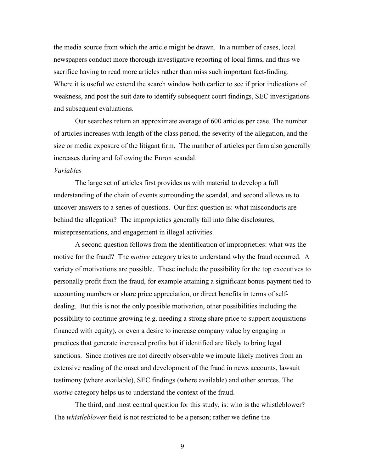the media source from which the article might be drawn. In a number of cases, local newspapers conduct more thorough investigative reporting of local firms, and thus we sacrifice having to read more articles rather than miss such important fact-finding. Where it is useful we extend the search window both earlier to see if prior indications of weakness, and post the suit date to identify subsequent court findings, SEC investigations and subsequent evaluations.

 Our searches return an approximate average of 600 articles per case. The number of articles increases with length of the class period, the severity of the allegation, and the size or media exposure of the litigant firm. The number of articles per firm also generally increases during and following the Enron scandal.

## Variables

The large set of articles first provides us with material to develop a full understanding of the chain of events surrounding the scandal, and second allows us to uncover answers to a series of questions. Our first question is: what misconducts are behind the allegation? The improprieties generally fall into false disclosures, misrepresentations, and engagement in illegal activities.

A second question follows from the identification of improprieties: what was the motive for the fraud? The *motive* category tries to understand why the fraud occurred. A variety of motivations are possible. These include the possibility for the top executives to personally profit from the fraud, for example attaining a significant bonus payment tied to accounting numbers or share price appreciation, or direct benefits in terms of selfdealing. But this is not the only possible motivation, other possibilities including the possibility to continue growing (e.g. needing a strong share price to support acquisitions financed with equity), or even a desire to increase company value by engaging in practices that generate increased profits but if identified are likely to bring legal sanctions. Since motives are not directly observable we impute likely motives from an extensive reading of the onset and development of the fraud in news accounts, lawsuit testimony (where available), SEC findings (where available) and other sources. The motive category helps us to understand the context of the fraud.

The third, and most central question for this study, is: who is the whistleblower? The whistleblower field is not restricted to be a person; rather we define the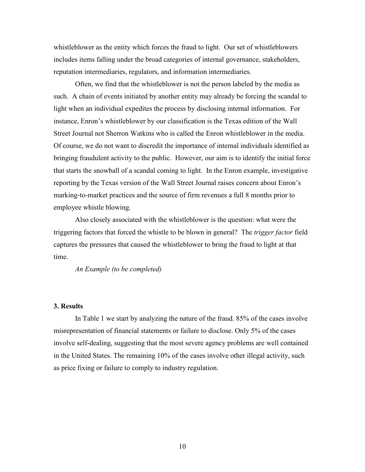whistleblower as the entity which forces the fraud to light. Our set of whistleblowers includes items falling under the broad categories of internal governance, stakeholders, reputation intermediaries, regulators, and information intermediaries.

Often, we find that the whistleblower is not the person labeled by the media as such. A chain of events initiated by another entity may already be forcing the scandal to light when an individual expedites the process by disclosing internal information. For instance, Enron's whistleblower by our classification is the Texas edition of the Wall Street Journal not Sherron Watkins who is called the Enron whistleblower in the media. Of course, we do not want to discredit the importance of internal individuals identified as bringing fraudulent activity to the public. However, our aim is to identify the initial force that starts the snowball of a scandal coming to light. In the Enron example, investigative reporting by the Texas version of the Wall Street Journal raises concern about Enron's marking-to-market practices and the source of firm revenues a full 8 months prior to employee whistle blowing.

 Also closely associated with the whistleblower is the question: what were the triggering factors that forced the whistle to be blown in general? The trigger factor field captures the pressures that caused the whistleblower to bring the fraud to light at that time.

An Example (to be completed)

## 3. Results

In Table 1 we start by analyzing the nature of the fraud. 85% of the cases involve misrepresentation of financial statements or failure to disclose. Only 5% of the cases involve self-dealing, suggesting that the most severe agency problems are well contained in the United States. The remaining 10% of the cases involve other illegal activity, such as price fixing or failure to comply to industry regulation.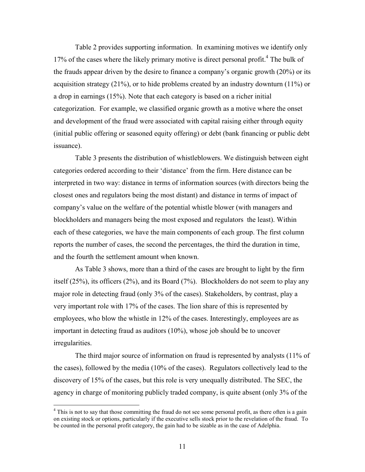Table 2 provides supporting information. In examining motives we identify only 17% of the cases where the likely primary motive is direct personal profit.<sup>4</sup> The bulk of the frauds appear driven by the desire to finance a company's organic growth (20%) or its acquisition strategy (21%), or to hide problems created by an industry downturn (11%) or a drop in earnings (15%). Note that each category is based on a richer initial categorization. For example, we classified organic growth as a motive where the onset and development of the fraud were associated with capital raising either through equity (initial public offering or seasoned equity offering) or debt (bank financing or public debt issuance).

Table 3 presents the distribution of whistleblowers. We distinguish between eight categories ordered according to their 'distance' from the firm. Here distance can be interpreted in two way: distance in terms of information sources (with directors being the closest ones and regulators being the most distant) and distance in terms of impact of company's value on the welfare of the potential whistle blower (with managers and blockholders and managers being the most exposed and regulators the least). Within each of these categories, we have the main components of each group. The first column reports the number of cases, the second the percentages, the third the duration in time, and the fourth the settlement amount when known.

 As Table 3 shows, more than a third of the cases are brought to light by the firm itself (25%), its officers (2%), and its Board (7%). Blockholders do not seem to play any major role in detecting fraud (only 3% of the cases). Stakeholders, by contrast, play a very important role with 17% of the cases. The lion share of this is represented by employees, who blow the whistle in 12% of the cases. Interestingly, employees are as important in detecting fraud as auditors (10%), whose job should be to uncover irregularities.

 The third major source of information on fraud is represented by analysts (11% of the cases), followed by the media (10% of the cases). Regulators collectively lead to the discovery of 15% of the cases, but this role is very unequally distributed. The SEC, the agency in charge of monitoring publicly traded company, is quite absent (only 3% of the

<u>.</u>

<sup>&</sup>lt;sup>4</sup> This is not to say that those committing the fraud do not see some personal profit, as there often is a gain on existing stock or options, particularly if the executive sells stock prior to the revelation of the fraud. To be counted in the personal profit category, the gain had to be sizable as in the case of Adelphia.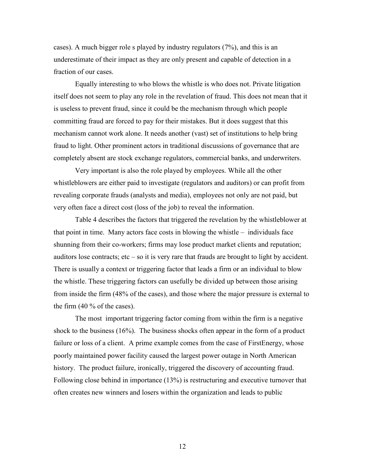cases). A much bigger role s played by industry regulators (7%), and this is an underestimate of their impact as they are only present and capable of detection in a fraction of our cases.

Equally interesting to who blows the whistle is who does not. Private litigation itself does not seem to play any role in the revelation of fraud. This does not mean that it is useless to prevent fraud, since it could be the mechanism through which people committing fraud are forced to pay for their mistakes. But it does suggest that this mechanism cannot work alone. It needs another (vast) set of institutions to help bring fraud to light. Other prominent actors in traditional discussions of governance that are completely absent are stock exchange regulators, commercial banks, and underwriters.

Very important is also the role played by employees. While all the other whistleblowers are either paid to investigate (regulators and auditors) or can profit from revealing corporate frauds (analysts and media), employees not only are not paid, but very often face a direct cost (loss of the job) to reveal the information.

Table 4 describes the factors that triggered the revelation by the whistleblower at that point in time. Many actors face costs in blowing the whistle – individuals face shunning from their co-workers; firms may lose product market clients and reputation; auditors lose contracts; etc – so it is very rare that frauds are brought to light by accident. There is usually a context or triggering factor that leads a firm or an individual to blow the whistle. These triggering factors can usefully be divided up between those arising from inside the firm (48% of the cases), and those where the major pressure is external to the firm (40 % of the cases).

 The most important triggering factor coming from within the firm is a negative shock to the business (16%). The business shocks often appear in the form of a product failure or loss of a client. A prime example comes from the case of FirstEnergy, whose poorly maintained power facility caused the largest power outage in North American history. The product failure, ironically, triggered the discovery of accounting fraud. Following close behind in importance (13%) is restructuring and executive turnover that often creates new winners and losers within the organization and leads to public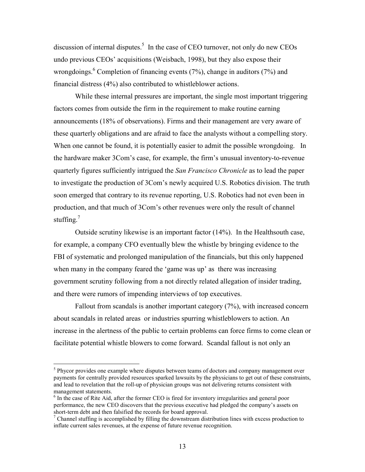discussion of internal disputes.<sup>5</sup> In the case of CEO turnover, not only do new CEOs undo previous CEOs' acquisitions (Weisbach, 1998), but they also expose their wrongdoings. <sup>6</sup> Completion of financing events (7%), change in auditors (7%) and financial distress (4%) also contributed to whistleblower actions.

While these internal pressures are important, the single most important triggering factors comes from outside the firm in the requirement to make routine earning announcements (18% of observations). Firms and their management are very aware of these quarterly obligations and are afraid to face the analysts without a compelling story. When one cannot be found, it is potentially easier to admit the possible wrongdoing. In the hardware maker 3Com's case, for example, the firm's unusual inventory-to-revenue quarterly figures sufficiently intrigued the San Francisco Chronicle as to lead the paper to investigate the production of 3Com's newly acquired U.S. Robotics division. The truth soon emerged that contrary to its revenue reporting, U.S. Robotics had not even been in production, and that much of 3Com's other revenues were only the result of channel stuffing.<sup>7</sup>

 Outside scrutiny likewise is an important factor (14%). In the Healthsouth case, for example, a company CFO eventually blew the whistle by bringing evidence to the FBI of systematic and prolonged manipulation of the financials, but this only happened when many in the company feared the 'game was up' as there was increasing government scrutiny following from a not directly related allegation of insider trading, and there were rumors of impending interviews of top executives.

Fallout from scandals is another important category (7%), with increased concern about scandals in related areas or industries spurring whistleblowers to action. An increase in the alertness of the public to certain problems can force firms to come clean or facilitate potential whistle blowers to come forward. Scandal fallout is not only an

<sup>&</sup>lt;sup>5</sup> Phycor provides one example where disputes between teams of doctors and company management over payments for centrally provided resources sparked lawsuits by the physicians to get out of these constraints, and lead to revelation that the roll-up of physician groups was not delivering returns consistent with management statements.

<sup>&</sup>lt;sup>6</sup> In the case of Rite Aid, after the former CEO is fired for inventory irregularities and general poor performance, the new CEO discovers that the previous executive had pledged the company's assets on short-term debt and then falsified the records for board approval.

 $<sup>7</sup>$  Channel stuffing is accomplished by filling the downstream distribution lines with excess production to</sup> inflate current sales revenues, at the expense of future revenue recognition.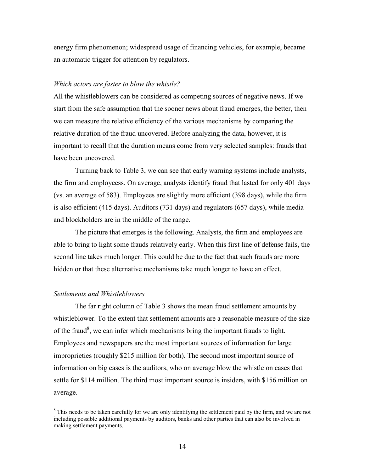energy firm phenomenon; widespread usage of financing vehicles, for example, became an automatic trigger for attention by regulators.

## Which actors are faster to blow the whistle?

All the whistleblowers can be considered as competing sources of negative news. If we start from the safe assumption that the sooner news about fraud emerges, the better, then we can measure the relative efficiency of the various mechanisms by comparing the relative duration of the fraud uncovered. Before analyzing the data, however, it is important to recall that the duration means come from very selected samples: frauds that have been uncovered.

Turning back to Table 3, we can see that early warning systems include analysts, the firm and employeess. On average, analysts identify fraud that lasted for only 401 days (vs. an average of 583). Employees are slightly more efficient (398 days), while the firm is also efficient (415 days). Auditors (731 days) and regulators (657 days), while media and blockholders are in the middle of the range.

 The picture that emerges is the following. Analysts, the firm and employees are able to bring to light some frauds relatively early. When this first line of defense fails, the second line takes much longer. This could be due to the fact that such frauds are more hidden or that these alternative mechanisms take much longer to have an effect.

## Settlements and Whistleblowers

<u>.</u>

 The far right column of Table 3 shows the mean fraud settlement amounts by whistleblower. To the extent that settlement amounts are a reasonable measure of the size of the fraud<sup>8</sup>, we can infer which mechanisms bring the important frauds to light. Employees and newspapers are the most important sources of information for large improprieties (roughly \$215 million for both). The second most important source of information on big cases is the auditors, who on average blow the whistle on cases that settle for \$114 million. The third most important source is insiders, with \$156 million on average.

<sup>&</sup>lt;sup>8</sup> This needs to be taken carefully for we are only identifying the settlement paid by the firm, and we are not including possible additional payments by auditors, banks and other parties that can also be involved in making settlement payments.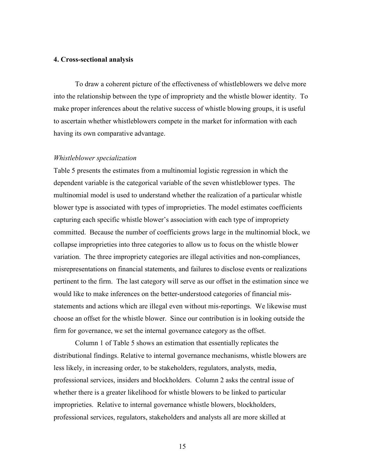## 4. Cross-sectional analysis

 To draw a coherent picture of the effectiveness of whistleblowers we delve more into the relationship between the type of impropriety and the whistle blower identity. To make proper inferences about the relative success of whistle blowing groups, it is useful to ascertain whether whistleblowers compete in the market for information with each having its own comparative advantage.

## Whistleblower specialization

Table 5 presents the estimates from a multinomial logistic regression in which the dependent variable is the categorical variable of the seven whistleblower types. The multinomial model is used to understand whether the realization of a particular whistle blower type is associated with types of improprieties. The model estimates coefficients capturing each specific whistle blower's association with each type of impropriety committed. Because the number of coefficients grows large in the multinomial block, we collapse improprieties into three categories to allow us to focus on the whistle blower variation. The three impropriety categories are illegal activities and non-compliances, misrepresentations on financial statements, and failures to disclose events or realizations pertinent to the firm. The last category will serve as our offset in the estimation since we would like to make inferences on the better-understood categories of financial misstatements and actions which are illegal even without mis-reportings. We likewise must choose an offset for the whistle blower. Since our contribution is in looking outside the firm for governance, we set the internal governance category as the offset.

Column 1 of Table 5 shows an estimation that essentially replicates the distributional findings. Relative to internal governance mechanisms, whistle blowers are less likely, in increasing order, to be stakeholders, regulators, analysts, media, professional services, insiders and blockholders. Column 2 asks the central issue of whether there is a greater likelihood for whistle blowers to be linked to particular improprieties. Relative to internal governance whistle blowers, blockholders, professional services, regulators, stakeholders and analysts all are more skilled at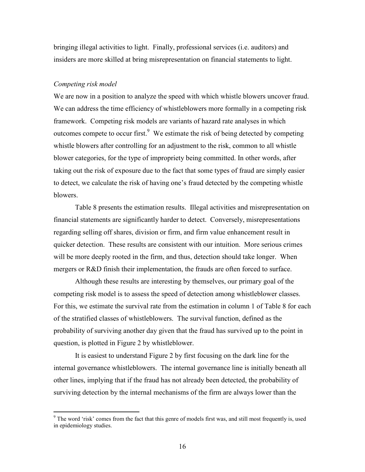bringing illegal activities to light. Finally, professional services (i.e. auditors) and insiders are more skilled at bring misrepresentation on financial statements to light.

## Competing risk model

We are now in a position to analyze the speed with which whistle blowers uncover fraud. We can address the time efficiency of whistleblowers more formally in a competing risk framework. Competing risk models are variants of hazard rate analyses in which outcomes compete to occur first. $9$  We estimate the risk of being detected by competing whistle blowers after controlling for an adjustment to the risk, common to all whistle blower categories, for the type of impropriety being committed. In other words, after taking out the risk of exposure due to the fact that some types of fraud are simply easier to detect, we calculate the risk of having one's fraud detected by the competing whistle blowers.

 Table 8 presents the estimation results. Illegal activities and misrepresentation on financial statements are significantly harder to detect. Conversely, misrepresentations regarding selling off shares, division or firm, and firm value enhancement result in quicker detection. These results are consistent with our intuition. More serious crimes will be more deeply rooted in the firm, and thus, detection should take longer. When mergers or R&D finish their implementation, the frauds are often forced to surface.

 Although these results are interesting by themselves, our primary goal of the competing risk model is to assess the speed of detection among whistleblower classes. For this, we estimate the survival rate from the estimation in column 1 of Table 8 for each of the stratified classes of whistleblowers. The survival function, defined as the probability of surviving another day given that the fraud has survived up to the point in question, is plotted in Figure 2 by whistleblower.

 It is easiest to understand Figure 2 by first focusing on the dark line for the internal governance whistleblowers. The internal governance line is initially beneath all other lines, implying that if the fraud has not already been detected, the probability of surviving detection by the internal mechanisms of the firm are always lower than the

The word 'risk' comes from the fact that this genre of models first was, and still most frequently is, used in epidemiology studies.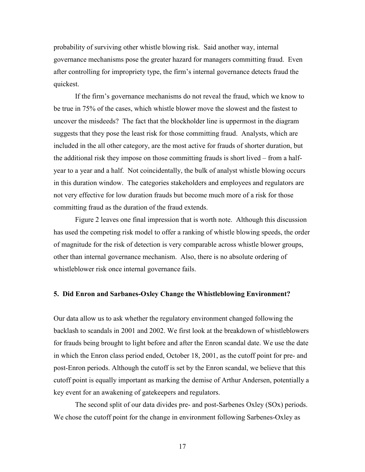probability of surviving other whistle blowing risk. Said another way, internal governance mechanisms pose the greater hazard for managers committing fraud. Even after controlling for impropriety type, the firm's internal governance detects fraud the quickest.

If the firm's governance mechanisms do not reveal the fraud, which we know to be true in 75% of the cases, which whistle blower move the slowest and the fastest to uncover the misdeeds? The fact that the blockholder line is uppermost in the diagram suggests that they pose the least risk for those committing fraud. Analysts, which are included in the all other category, are the most active for frauds of shorter duration, but the additional risk they impose on those committing frauds is short lived – from a halfyear to a year and a half. Not coincidentally, the bulk of analyst whistle blowing occurs in this duration window. The categories stakeholders and employees and regulators are not very effective for low duration frauds but become much more of a risk for those committing fraud as the duration of the fraud extends.

 Figure 2 leaves one final impression that is worth note. Although this discussion has used the competing risk model to offer a ranking of whistle blowing speeds, the order of magnitude for the risk of detection is very comparable across whistle blower groups, other than internal governance mechanism. Also, there is no absolute ordering of whistleblower risk once internal governance fails.

## 5. Did Enron and Sarbanes-Oxley Change the Whistleblowing Environment?

Our data allow us to ask whether the regulatory environment changed following the backlash to scandals in 2001 and 2002. We first look at the breakdown of whistleblowers for frauds being brought to light before and after the Enron scandal date. We use the date in which the Enron class period ended, October 18, 2001, as the cutoff point for pre- and post-Enron periods. Although the cutoff is set by the Enron scandal, we believe that this cutoff point is equally important as marking the demise of Arthur Andersen, potentially a key event for an awakening of gatekeepers and regulators.

The second split of our data divides pre- and post-Sarbenes Oxley (SOx) periods. We chose the cutoff point for the change in environment following Sarbenes-Oxley as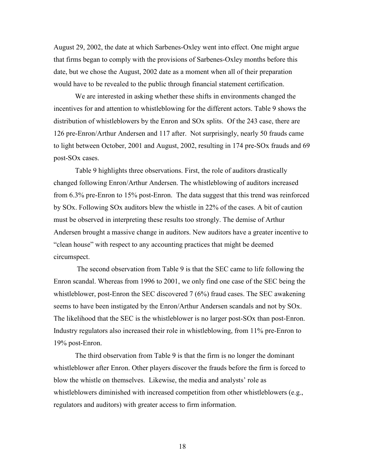August 29, 2002, the date at which Sarbenes-Oxley went into effect. One might argue that firms began to comply with the provisions of Sarbenes-Oxley months before this date, but we chose the August, 2002 date as a moment when all of their preparation would have to be revealed to the public through financial statement certification.

We are interested in asking whether these shifts in environments changed the incentives for and attention to whistleblowing for the different actors. Table 9 shows the distribution of whistleblowers by the Enron and SOx splits. Of the 243 case, there are 126 pre-Enron/Arthur Andersen and 117 after. Not surprisingly, nearly 50 frauds came to light between October, 2001 and August, 2002, resulting in 174 pre-SOx frauds and 69 post-SOx cases.

Table 9 highlights three observations. First, the role of auditors drastically changed following Enron/Arthur Andersen. The whistleblowing of auditors increased from 6.3% pre-Enron to 15% post-Enron. The data suggest that this trend was reinforced by SOx. Following SOx auditors blew the whistle in 22% of the cases. A bit of caution must be observed in interpreting these results too strongly. The demise of Arthur Andersen brought a massive change in auditors. New auditors have a greater incentive to "clean house" with respect to any accounting practices that might be deemed circumspect.

 The second observation from Table 9 is that the SEC came to life following the Enron scandal. Whereas from 1996 to 2001, we only find one case of the SEC being the whistleblower, post-Enron the SEC discovered 7 (6%) fraud cases. The SEC awakening seems to have been instigated by the Enron/Arthur Andersen scandals and not by SOx. The likelihood that the SEC is the whistleblower is no larger post-SOx than post-Enron. Industry regulators also increased their role in whistleblowing, from 11% pre-Enron to 19% post-Enron.

The third observation from Table 9 is that the firm is no longer the dominant whistleblower after Enron. Other players discover the frauds before the firm is forced to blow the whistle on themselves. Likewise, the media and analysts' role as whistleblowers diminished with increased competition from other whistleblowers (e.g., regulators and auditors) with greater access to firm information.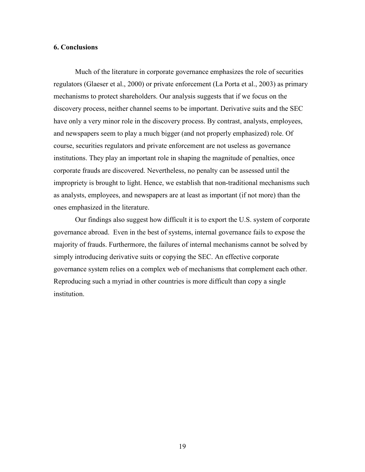## 6. Conclusions

 Much of the literature in corporate governance emphasizes the role of securities regulators (Glaeser et al., 2000) or private enforcement (La Porta et al., 2003) as primary mechanisms to protect shareholders. Our analysis suggests that if we focus on the discovery process, neither channel seems to be important. Derivative suits and the SEC have only a very minor role in the discovery process. By contrast, analysts, employees, and newspapers seem to play a much bigger (and not properly emphasized) role. Of course, securities regulators and private enforcement are not useless as governance institutions. They play an important role in shaping the magnitude of penalties, once corporate frauds are discovered. Nevertheless, no penalty can be assessed until the impropriety is brought to light. Hence, we establish that non-traditional mechanisms such as analysts, employees, and newspapers are at least as important (if not more) than the ones emphasized in the literature.

 Our findings also suggest how difficult it is to export the U.S. system of corporate governance abroad. Even in the best of systems, internal governance fails to expose the majority of frauds. Furthermore, the failures of internal mechanisms cannot be solved by simply introducing derivative suits or copying the SEC. An effective corporate governance system relies on a complex web of mechanisms that complement each other. Reproducing such a myriad in other countries is more difficult than copy a single institution.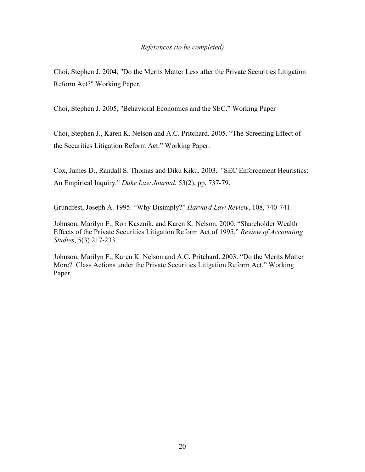## References (to be completed)

Choi, Stephen J. 2004, "Do the Merits Matter Less after the Private Securities Litigation Reform Act?" Working Paper.

Choi, Stephen J. 2005, "Behavioral Economics and the SEC." Working Paper

Choi, Stephen J., Karen K. Nelson and A.C. Pritchard. 2005. "The Screening Effect of the Securities Litigation Reform Act." Working Paper.

Cox, James D., Randall S. Thomas and Diku Kiku. 2003. "SEC Enforcement Heuristics: An Empirical Inquiry." Duke Law Journal, 53(2), pp. 737-79.

Grundfest, Joseph A. 1995. "Why Disimply?" Harvard Law Review, 108, 740-741.

Johnson, Marilyn F., Ron Kasznik, and Karen K. Nelson. 2000. "Shareholder Wealth Effects of the Private Securities Litigation Reform Act of 1995." Review of Accounting Studies, 5(3) 217-233.

Johnson, Marilyn F., Karen K. Nelson and A.C. Pritchard. 2003. "Do the Merits Matter More? Class Actions under the Private Securities Litigation Reform Act." Working Paper.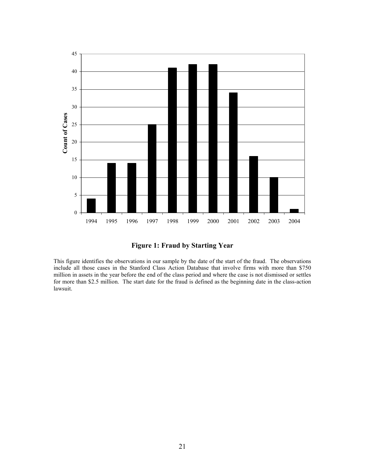

Figure 1: Fraud by Starting Year

This figure identifies the observations in our sample by the date of the start of the fraud. The observations include all those cases in the Stanford Class Action Database that involve firms with more than \$750 million in assets in the year before the end of the class period and where the case is not dismissed or settles for more than \$2.5 million. The start date for the fraud is defined as the beginning date in the class-action lawsuit.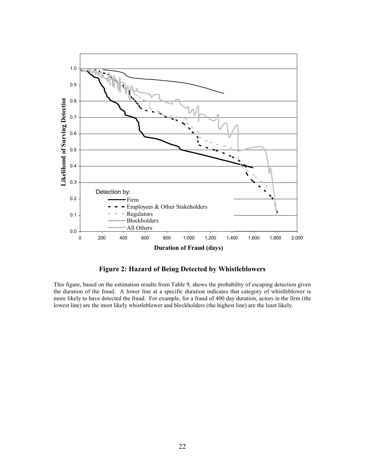

Figure 2: Hazard of Being Detected by Whistleblowers

This figure, based on the estimation results from Table 9, shows the probability of escaping detection given the duration of the fraud. A lower line at a specific duration indicates that category of whistleblower is more likely to have detected the fraud. For example, for a fraud of 400 day duration, actors in the firm (the lowest line) are the most likely whistleblower and blockholders (the highest line) are the least likely.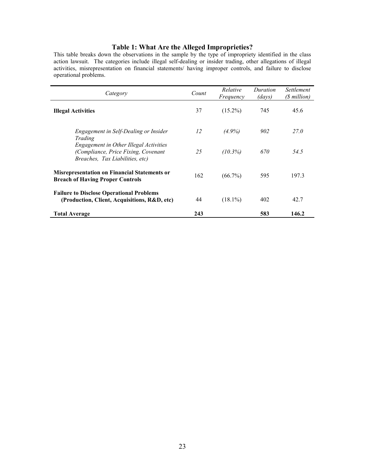## Table 1: What Are the Alleged Improprieties?

This table breaks down the observations in the sample by the type of impropriety identified in the class action lawsuit. The categories include illegal self-dealing or insider trading, other allegations of illegal activities, misrepresentation on financial statements/ having improper controls, and failure to disclose operational problems.

| Category                                                                                                         | Count | Relative<br>Frequency | Duration<br>(days) | <i>Settlement</i><br>(\$ million) |
|------------------------------------------------------------------------------------------------------------------|-------|-----------------------|--------------------|-----------------------------------|
| <b>Illegal Activities</b>                                                                                        | 37    | $(15.2\%)$            | 745                | 45.6                              |
| Engagement in Self-Dealing or Insider<br>Trading                                                                 | 12    | $(4.9\%)$             | 902                | 27.0                              |
| Engagement in Other Illegal Activities<br>(Compliance, Price Fixing, Covenant<br>Breaches, Tax Liabilities, etc) | 25    | (10.3%)               | 670                | 54.5                              |
| <b>Misrepresentation on Financial Statements or</b><br><b>Breach of Having Proper Controls</b>                   | 162   | $(66.7\%)$            | 595                | 197.3                             |
| <b>Failure to Disclose Operational Problems</b><br>(Production, Client, Acquisitions, R&D, etc)                  | 44    | $(18.1\%)$            | 402                | 42.7                              |
| <b>Total Average</b>                                                                                             | 243   |                       | 583                | 146.2                             |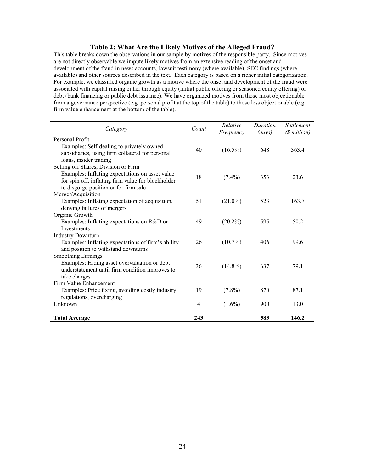## Table 2: What Are the Likely Motives of the Alleged Fraud?

This table breaks down the observations in our sample by motives of the responsible party. Since motives are not directly observable we impute likely motives from an extensive reading of the onset and development of the fraud in news accounts, lawsuit testimony (where available), SEC findings (where available) and other sources described in the text. Each category is based on a richer initial categorization. For example, we classified organic growth as a motive where the onset and development of the fraud were associated with capital raising either through equity (initial public offering or seasoned equity offering) or debt (bank financing or public debt issuance). We have organized motives from those most objectionable from a governance perspective (e.g. personal profit at the top of the table) to those less objectionable (e.g. firm value enhancement at the bottom of the table).

| Category                                                                                                                | Count | Relative<br>Frequency | Duration<br>(days) | <i>Settlement</i><br>(\$ million) |
|-------------------------------------------------------------------------------------------------------------------------|-------|-----------------------|--------------------|-----------------------------------|
| Personal Profit                                                                                                         |       |                       |                    |                                   |
| Examples: Self-dealing to privately owned<br>subsidiaries, using firm collateral for personal<br>loans, insider trading | 40    | $(16.5\%)$            | 648                | 363.4                             |
| Selling off Shares, Division or Firm                                                                                    |       |                       |                    |                                   |
| Examples: Inflating expectations on asset value<br>for spin off, inflating firm value for blockholder                   | 18    | $(7.4\%)$             | 353                | 23.6                              |
| to disgorge position or for firm sale                                                                                   |       |                       |                    |                                   |
| Merger/Acquisition                                                                                                      |       |                       |                    |                                   |
| Examples: Inflating expectation of acquisition,                                                                         | 51    | $(21.0\%)$            | 523                | 163.7                             |
| denying failures of mergers                                                                                             |       |                       |                    |                                   |
| Organic Growth                                                                                                          |       |                       |                    |                                   |
| Examples: Inflating expectations on R&D or                                                                              | 49    | $(20.2\%)$            | 595                | 50.2                              |
| Investments                                                                                                             |       |                       |                    |                                   |
| <b>Industry Downturn</b>                                                                                                |       |                       |                    |                                   |
| Examples: Inflating expectations of firm's ability<br>and position to withstand downturns                               | 26    | $(10.7\%)$            | 406                | 99.6                              |
| <b>Smoothing Earnings</b>                                                                                               |       |                       |                    |                                   |
| Examples: Hiding asset overvaluation or debt<br>understatement until firm condition improves to<br>take charges         | 36    | $(14.8\%)$            | 637                | 79.1                              |
| Firm Value Enhancement                                                                                                  |       |                       |                    |                                   |
| Examples: Price fixing, avoiding costly industry<br>regulations, overcharging                                           | 19    | $(7.8\%)$             | 870                | 87.1                              |
| Unknown                                                                                                                 | 4     | $(1.6\%)$             | 900                | 13.0                              |
| <b>Total Average</b>                                                                                                    | 243   |                       | 583                | 146.2                             |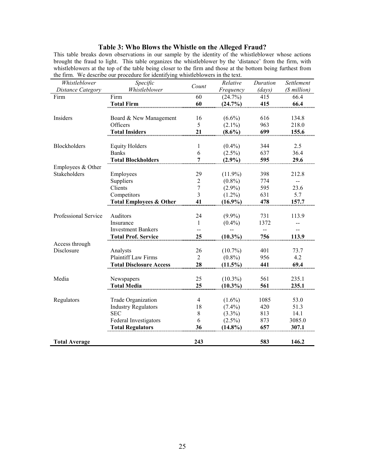## Table 3: Who Blows the Whistle on the Alleged Fraud?

This table breaks down observations in our sample by the identity of the whistleblower whose actions brought the fraud to light. This table organizes the whistleblower by the 'distance' from the firm, with whistleblowers at the top of the table being closer to the firm and those at the bottom being furthest from the firm. We describe our procedure for identifying whistleblowers in the text.

| Whistleblower            | Specific                           | Count          | Relative   | Duration | Settlement     |
|--------------------------|------------------------------------|----------------|------------|----------|----------------|
| <b>Distance Category</b> | Whistleblower                      |                | Frequency  | (days)   | (\$ million)   |
| Firm                     | Firm                               | 60             | (24.7%)    | 415      | 66.4           |
|                          | <b>Total Firm</b>                  | 60             | (24.7%)    | 415      | 66.4           |
|                          |                                    |                |            |          |                |
| Insiders                 | Board & New Management             | 16             | $(6.6\%)$  | 616      | 134.8          |
|                          | Officers                           | 5              | $(2.1\%)$  | 963      | 218.0          |
|                          | <b>Total Insiders</b>              | 21             | $(8.6\%)$  | 699      | 155.6          |
|                          |                                    |                |            |          |                |
| <b>Blockholders</b>      | <b>Equity Holders</b>              | 1              | $(0.4\%)$  | 344      | 2.5            |
|                          | <b>Banks</b>                       | 6              | $(2.5\%)$  | 637      | 36.4           |
|                          | <b>Total Blockholders</b>          | 7              | $(2.9\%)$  | 595      | 29.6           |
| Employees & Other        |                                    |                |            |          |                |
| Stakeholders             | Employees                          | 29             | $(11.9\%)$ | 398      | 212.8          |
|                          | Suppliers                          | $\overline{2}$ | $(0.8\%)$  | 774      | $\overline{a}$ |
|                          | Clients                            | 7              | $(2.9\%)$  | 595      | 23.6           |
|                          | Competitors                        | 3              | $(1.2\%)$  | 631      | 5.7            |
|                          | <b>Total Employees &amp; Other</b> | 41             | $(16.9\%)$ | 478      | 157.7          |
|                          |                                    |                |            |          |                |
| Professional Service     | Auditors                           | 24             | $(9.9\%)$  | 731      | 113.9          |
|                          | Insurance                          | 1              | $(0.4\%)$  | 1372     |                |
|                          | <b>Investment Bankers</b>          |                |            |          |                |
|                          | <b>Total Prof. Service</b>         | 25             | $(10.3\%)$ | 756      | 113.9          |
| Access through           |                                    |                |            |          |                |
| Disclosure               | Analysts                           | 26             | $(10.7\%)$ | 401      | 73.7           |
|                          | <b>Plaintiff Law Firms</b>         | $\overline{2}$ | $(0.8\%)$  | 956      | 4.2            |
|                          | <b>Total Disclosure Access</b>     | 28             | $(11.5\%)$ | 441      | 69.4           |
|                          |                                    |                |            |          |                |
| Media                    | Newspapers                         | 25             | $(10.3\%)$ | 561      | 235.1          |
|                          | Total Media                        | 25             | $(10.3\%)$ | 561      | 235.1          |
|                          |                                    |                |            |          |                |
| Regulators               | Trade Organization                 | $\overline{4}$ | $(1.6\%)$  | 1085     | 53.0           |
|                          | <b>Industry Regulators</b>         | 18             | $(7.4\%)$  | 420      | 51.3           |
|                          | <b>SEC</b>                         | $\,$ 8 $\,$    | $(3.3\%)$  | 813      | 14.1           |
|                          | Federal Investigators              | 6              | $(2.5\%)$  | 873      | 3085.0         |
|                          | <b>Total Regulators</b>            | 36             | $(14.8\%)$ | 657      | 307.1          |
|                          |                                    |                |            |          |                |
| <b>Total Average</b>     |                                    | 243            |            | 583      | 146.2          |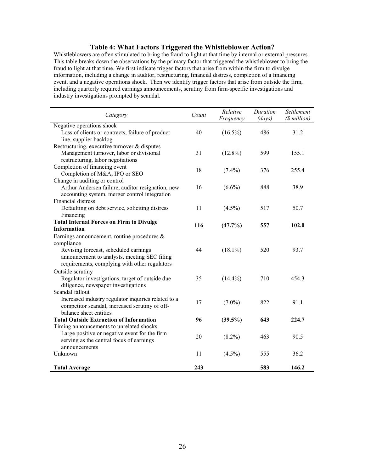## Table 4: What Factors Triggered the Whistleblower Action?

Whistleblowers are often stimulated to bring the fraud to light at that time by internal or external pressures. This table breaks down the observations by the primary factor that triggered the whistleblower to bring the fraud to light at that time. We first indicate trigger factors that arise from within the firm to divulge information, including a change in auditor, restructuring, financial distress, completion of a financing event, and a negative operations shock. Then we identify trigger factors that arise from outside the firm, including quarterly required earnings announcements, scrutiny from firm-specific investigations and industry investigations prompted by scandal.

| Category                                            | Count | Relative<br>Frequency | Duration<br>$\left($ <i>days</i> $\right)$ | Settlement<br>(\$ million) |
|-----------------------------------------------------|-------|-----------------------|--------------------------------------------|----------------------------|
| Negative operations shock                           |       |                       |                                            |                            |
| Loss of clients or contracts, failure of product    | 40    | $(16.5\%)$            | 486                                        | 31.2                       |
| line, supplier backlog                              |       |                       |                                            |                            |
| Restructuring, executive turnover & disputes        |       |                       |                                            |                            |
| Management turnover, labor or divisional            | 31    | $(12.8\%)$            | 599                                        | 155.1                      |
| restructuring, labor negotiations                   |       |                       |                                            |                            |
| Completion of financing event                       | 18    | $(7.4\%)$             | 376                                        | 255.4                      |
| Completion of M&A, IPO or SEO                       |       |                       |                                            |                            |
| Change in auditing or control                       |       |                       |                                            |                            |
| Arthur Andersen failure, auditor resignation, new   | 16    | $(6.6\%)$             | 888                                        | 38.9                       |
| accounting system, merger control integration       |       |                       |                                            |                            |
| Financial distress                                  |       |                       |                                            |                            |
| Defaulting on debt service, soliciting distress     | 11    | $(4.5\%)$             | 517                                        | 50.7                       |
| Financing                                           |       |                       |                                            |                            |
| <b>Total Internal Forces on Firm to Divulge</b>     | 116   | $(47.7\%)$            | 557                                        | 102.0                      |
| <b>Information</b>                                  |       |                       |                                            |                            |
| Earnings announcement, routine procedures $\&$      |       |                       |                                            |                            |
| compliance                                          |       |                       |                                            |                            |
| Revising forecast, scheduled earnings               | 44    | $(18.1\%)$            | 520                                        | 93.7                       |
| announcement to analysts, meeting SEC filing        |       |                       |                                            |                            |
| requirements, complying with other regulators       |       |                       |                                            |                            |
| Outside scrutiny                                    |       |                       |                                            |                            |
| Regulator investigations, target of outside due     | 35    | $(14.4\%)$            | 710                                        | 454.3                      |
| diligence, newspaper investigations                 |       |                       |                                            |                            |
| Scandal fallout                                     |       |                       |                                            |                            |
| Increased industry regulator inquiries related to a | 17    | $(7.0\%)$             | 822                                        | 91.1                       |
| competitor scandal, increased scrutiny of off-      |       |                       |                                            |                            |
| balance sheet entities                              |       |                       |                                            |                            |
| <b>Total Outside Extraction of Information</b>      | 96    | $(39.5\%)$            | 643                                        | 224.7                      |
| Timing announcements to unrelated shocks            |       |                       |                                            |                            |
| Large positive or negative event for the firm       | 20    | $(8.2\%)$             | 463                                        | 90.5                       |
| serving as the central focus of earnings            |       |                       |                                            |                            |
| announcements                                       |       |                       |                                            |                            |
| Unknown                                             | 11    | $(4.5\%)$             | 555                                        | 36.2                       |
| <b>Total Average</b>                                | 243   |                       | 583                                        | 146.2                      |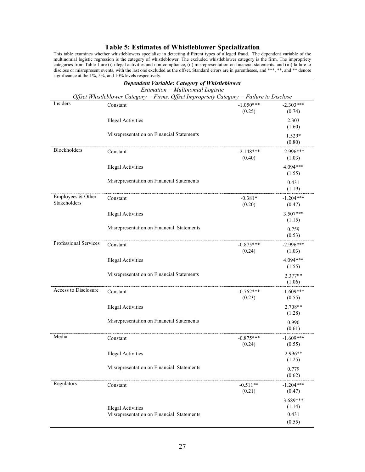## Table 5: Estimates of Whistleblower Specialization

This table examines whether whistleblowers specialize in detecting different types of alleged fraud. The dependent variable of the multinomial logistic regression is the category of whistleblower. The excluded whistleblower category is the firm. The impropriety categories from Table 1 are (i) illegal activities and non-compliance, (ii) misrepresentation on financial statements, and (iii) failure to disclose or misrepresent events, with the last one excluded as the offset. Standard errors are in parentheses, and \*\*\*, \*\*, and \*\* denote significance at the 1%, 5%, and 10% levels respectively.

|                                   | <b>Dependent Variable: Category of Whistleblower</b><br>$Estimation = Multinomial Logistic$ |                       |                                         |
|-----------------------------------|---------------------------------------------------------------------------------------------|-----------------------|-----------------------------------------|
|                                   | Offset Whistleblower Category = Firms. Offset Impropriety Category = Failure to Disclose    |                       |                                         |
| Insiders                          | Constant                                                                                    | $-1.050***$<br>(0.25) | $-2.303***$<br>(0.74)                   |
|                                   | <b>Illegal Activities</b>                                                                   |                       | 2.303<br>(1.60)                         |
|                                   | Misrepresentation on Financial Statements                                                   |                       | 1.529*<br>(0.80)                        |
| Blockholders                      | Constant                                                                                    | $-2.148***$<br>(0.40) | $-2.996***$<br>(1.03)                   |
|                                   | <b>Illegal Activities</b>                                                                   |                       | 4.094***<br>(1.55)                      |
|                                   | Misrepresentation on Financial Statements                                                   |                       | 0.431<br>(1.19)                         |
| Employees & Other<br>Stakeholders | Constant                                                                                    | $-0.381*$<br>(0.20)   | $-1.204***$<br>(0.47)                   |
|                                   | <b>Illegal Activities</b>                                                                   |                       | $3.507***$<br>(1.15)                    |
|                                   | Misrepresentation on Financial Statements                                                   |                       | 0.759<br>(0.53)                         |
| Professional Services             | Constant                                                                                    | $-0.875***$<br>(0.24) | $-2.996***$<br>(1.03)                   |
|                                   | <b>Illegal Activities</b>                                                                   |                       | 4.094***<br>(1.55)                      |
|                                   | Misrepresentation on Financial Statements                                                   |                       | $2.377**$<br>(1.06)                     |
| Access to Disclosure              | Constant                                                                                    | $-0.762***$<br>(0.23) | $-1.609***$<br>(0.55)                   |
|                                   | <b>Illegal Activities</b>                                                                   |                       | 2.708**<br>(1.28)                       |
|                                   | Misrepresentation on Financial Statements                                                   |                       | 0.990<br>(0.61)                         |
| Media                             | Constant                                                                                    | $-0.875***$<br>(0.24) | $-1.609***$<br>(0.55)                   |
|                                   | <b>Illegal Activities</b>                                                                   |                       | 2.996**<br>(1.25)                       |
|                                   | Misrepresentation on Financial Statements                                                   |                       | 0.779<br>(0.62)                         |
| Regulators                        | Constant                                                                                    | $-0.511**$<br>(0.21)  | $-1.204***$<br>(0.47)                   |
|                                   | <b>Illegal Activities</b><br>Misrepresentation on Financial Statements                      |                       | $3.689***$<br>(1.14)<br>0.431<br>(0.55) |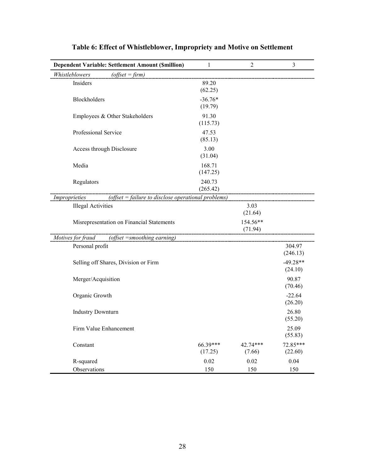| Dependent Variable: Settlement Amount (\$million)                      | $\mathbf{1}$                | 2                   | 3                     |
|------------------------------------------------------------------------|-----------------------------|---------------------|-----------------------|
| Whistleblowers<br>$(offset = firm)$                                    |                             |                     |                       |
| Insiders                                                               | 89.20<br>(62.25)            |                     |                       |
| Blockholders                                                           | $-36.76*$<br>(19.79)        |                     |                       |
| Employees & Other Stakeholders                                         | 91.30<br>(115.73)           |                     |                       |
| Professional Service                                                   | 47.53<br>(85.13)            |                     |                       |
| Access through Disclosure                                              | 3.00<br>(31.04)             |                     |                       |
| Media                                                                  | 168.71<br>(147.25)          |                     |                       |
| Regulators                                                             | 240.73<br>(265.42)          |                     |                       |
| (offset $=$ failure to disclose operational problems)<br>Improprieties |                             |                     |                       |
| <b>Illegal Activities</b>                                              |                             | 3.03<br>(21.64)     |                       |
| Misrepresentation on Financial Statements                              | --------------------------- | 154.56**<br>(71.94) |                       |
| Motives for fraud (offset = smoothing earning)                         |                             |                     |                       |
| Personal profit                                                        |                             |                     | 304.97<br>(246.13)    |
| Selling off Shares, Division or Firm                                   |                             |                     | $-49.28**$<br>(24.10) |
| Merger/Acquisition                                                     |                             |                     | 90.87<br>(70.46)      |
| Organic Growth                                                         |                             |                     | $-22.64$<br>(26.20)   |
| <b>Industry Downturn</b>                                               |                             |                     | 26.80<br>(55.20)      |
| Firm Value Enhancement                                                 |                             |                     | 25.09<br>(55.83)      |
| Constant                                                               | 66.39***<br>(17.25)         | 42.74***<br>(7.66)  | 72.85***<br>(22.60)   |
| R-squared                                                              | 0.02                        | 0.02                | 0.04                  |
| Observations                                                           | 150                         | 150                 | 150                   |

# Table 6: Effect of Whistleblower, Impropriety and Motive on Settlement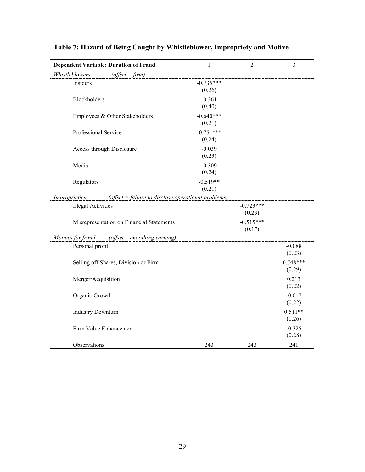| <b>Dependent Variable: Duration of Fraud</b>                           | 1                     | $\overline{2}$        | $\overline{3}$       |
|------------------------------------------------------------------------|-----------------------|-----------------------|----------------------|
| Whistleblowers<br>$(offset = firm)$                                    |                       |                       |                      |
| Insiders                                                               | $-0.735***$<br>(0.26) |                       |                      |
| Blockholders                                                           | $-0.361$<br>(0.40)    |                       |                      |
| Employees & Other Stakeholders                                         | $-0.640***$<br>(0.21) |                       |                      |
| Professional Service                                                   | $-0.751***$<br>(0.24) |                       |                      |
| Access through Disclosure                                              | $-0.039$<br>(0.23)    |                       |                      |
| Media                                                                  | $-0.309$<br>(0.24)    |                       |                      |
| Regulators                                                             | $-0.519**$<br>(0.21)  |                       |                      |
| (offset $=$ failure to disclose operational problems)<br>Improprieties |                       |                       |                      |
| <b>Illegal Activities</b>                                              |                       | $-0.723***$<br>(0.23) |                      |
| Misrepresentation on Financial Statements                              |                       | $-0.515***$<br>(0.17) |                      |
| Motives for fraud<br>(offset = smoothing earning)                      |                       |                       |                      |
| Personal profit                                                        |                       |                       | $-0.088$<br>(0.23)   |
| Selling off Shares, Division or Firm                                   |                       |                       | $0.748***$<br>(0.29) |
| Merger/Acquisition                                                     |                       |                       | 0.213<br>(0.22)      |
| Organic Growth                                                         |                       |                       | $-0.017$<br>(0.22)   |
| <b>Industry Downturn</b>                                               |                       |                       | $0.511**$<br>(0.26)  |
| Firm Value Enhancement                                                 |                       |                       | $-0.325$<br>(0.28)   |
| Observations                                                           | 243                   | 243                   | 241                  |

# Table 7: Hazard of Being Caught by Whistleblower, Impropriety and Motive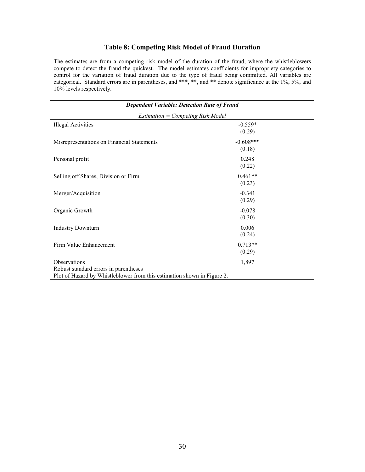## Table 8: Competing Risk Model of Fraud Duration

The estimates are from a competing risk model of the duration of the fraud, where the whistleblowers compete to detect the fraud the quickest. The model estimates coefficients for impropriety categories to control for the variation of fraud duration due to the type of fraud being committed. All variables are categorical. Standard errors are in parentheses, and \*\*\*, \*\*, and \*\* denote significance at the 1%, 5%, and 10% levels respectively.

| <b>Dependent Variable: Detection Rate of Fraud</b>                      |                       |  |  |  |  |  |
|-------------------------------------------------------------------------|-----------------------|--|--|--|--|--|
| <b>Estimation = Competing Risk Model</b>                                |                       |  |  |  |  |  |
| <b>Illegal Activities</b>                                               | $-0.559*$<br>(0.29)   |  |  |  |  |  |
| Misrepresentations on Financial Statements                              | $-0.608***$<br>(0.18) |  |  |  |  |  |
| Personal profit                                                         | 0.248<br>(0.22)       |  |  |  |  |  |
| Selling off Shares, Division or Firm                                    | $0.461**$<br>(0.23)   |  |  |  |  |  |
| Merger/Acquisition                                                      | $-0.341$<br>(0.29)    |  |  |  |  |  |
| Organic Growth                                                          | $-0.078$<br>(0.30)    |  |  |  |  |  |
| <b>Industry Downturn</b>                                                | 0.006<br>(0.24)       |  |  |  |  |  |
| Firm Value Enhancement                                                  | $0.713**$<br>(0.29)   |  |  |  |  |  |
| Observations                                                            | 1,897                 |  |  |  |  |  |
| Robust standard errors in parentheses                                   |                       |  |  |  |  |  |
| Plot of Hazard by Whistleblower from this estimation shown in Figure 2. |                       |  |  |  |  |  |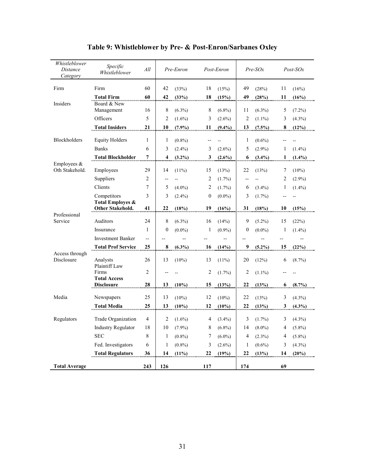| Whistleblower<br>Distance<br>Category | Specific<br>Whistleblower                       | All            |                          | Pre-Enron |                | Post-Enron |                         | $Pre-SOx$ |                         | $Post$ - $SOx$ |
|---------------------------------------|-------------------------------------------------|----------------|--------------------------|-----------|----------------|------------|-------------------------|-----------|-------------------------|----------------|
| Firm                                  | Firm                                            | 60             | 42                       | (33%)     | 18             | (15%)      | 49                      | (28%)     | 11                      | (16%)          |
|                                       | <b>Total Firm</b>                               | 60             | 42                       | (33%)     | 18             | (15%)      | 49                      | (28%)     | $\overline{11}$         | (16%)          |
| Insiders                              | Board & New<br>Management                       | 16             | 8                        | $(6.3\%)$ | 8              | $(6.8\%)$  | 11                      | $(6.3\%)$ | 5                       | $(7.2\%)$      |
|                                       | Officers                                        | 5              | $\overline{2}$           | $(1.6\%)$ | 3              | $(2.6\%)$  | $\overline{2}$          | $(1.1\%)$ | 3                       | $(4.3\%)$      |
|                                       | <b>Total Insiders</b>                           | 21             | 10                       | $(7.9\%)$ | 11             | $(9.4\%)$  | 13                      | (7.5%)    | 8                       | (12%)          |
| <b>Blockholders</b>                   | <b>Equity Holders</b>                           | $\mathbf{1}$   | $\mathbf{1}$             | $(0.8\%)$ |                |            | 1                       | $(0.6\%)$ |                         |                |
|                                       | <b>Banks</b>                                    | 6              | 3                        | $(2.4\%)$ | 3              | $(2.6\%)$  | 5                       | $(2.9\%)$ | $\mathbf{1}$            | $(1.4\%)$      |
|                                       | <b>Total Blockholder</b>                        | 7              | $\overline{\mathbf{4}}$  | $(3.2\%)$ | 3              | $(2.6\%)$  | 6                       | $(3.4\%)$ | <u>1</u>                | $(1.4\%)$      |
| Employees $&$<br>Oth Stakehold.       | Employees                                       | 29             | 14                       | $(11\%)$  | 15             | (13%)      | 22                      | (13%)     | 7                       | $(10\%)$       |
|                                       | Suppliers                                       | $\overline{2}$ | $\overline{\phantom{a}}$ |           | $\overline{c}$ | $(1.7\%)$  | --                      |           | $\overline{2}$          | $(2.9\%)$      |
|                                       | Clients                                         | 7              | 5                        | $(4.0\%)$ | $\overline{c}$ | $(1.7\%)$  | 6                       | $(3.4\%)$ | 1                       | $(1.4\%)$      |
|                                       | Competitors                                     | 3              | 3                        | $(2.4\%)$ | $\mathbf{0}$   | $(0.0\%)$  | 3                       | $(1.7\%)$ |                         |                |
|                                       | <b>Total Employes &amp;</b><br>Other Stakehold. | 41             | 22                       | (18%)     | 19             | (16%)      | 31                      | (18%)     |                         | (15%)          |
| Professional                          |                                                 |                |                          |           |                |            |                         |           | 10                      |                |
| Service                               | Auditors                                        | 24             | 8                        | $(6.3\%)$ | 16             | (14%)      | 9                       | $(5.2\%)$ | 15                      | (22%)          |
|                                       | Insurance                                       | $\mathbf{1}$   | $\theta$                 | $(0.0\%)$ | 1              | $(0.9\%)$  | $\mathbf{0}$            | $(0.0\%)$ | 1                       | $(1.4\%)$      |
|                                       | <b>Investment Banker</b>                        | $\overline{a}$ |                          |           |                |            |                         |           |                         |                |
|                                       | <b>Total Prof Service</b>                       | 25             | $\bf{8}$                 | $(6.3\%)$ | 16             | (14%)      | $\overline{\mathbf{z}}$ | $(5.2\%)$ | 15                      | (22%)          |
| Access through<br>Disclosure          | Analysts                                        | 26             | 13                       | $(10\%)$  | 13             | $(11\%)$   | 20                      | (12%)     | 6                       | $(8.7\%)$      |
|                                       | Plaintiff Law<br>Firms<br><b>Total Access</b>   | $\overline{2}$ |                          |           | 2              | $(1.7\%)$  | $\overline{c}$          | $(1.1\%)$ |                         |                |
|                                       | <b>Disclosure</b>                               | 28             | 13                       | $(10\%)$  | 15             | (13%)      | 22                      | (13%)     | $6\phantom{.}6$         | (8.7%)         |
| Media                                 | Newspapers                                      | 25             | 13                       | $(10\%)$  | 12             | $(10\%)$   | 22                      | (13%)     | 3                       | $(4.3\%)$      |
|                                       | <b>Total Media</b>                              | 25             | 13                       | $(10\%)$  | 12             | (10%)      | 22                      | (13%)     | $\overline{\mathbf{3}}$ | $(4.3\%)$      |
| Regulators                            | Trade Organization                              | $\overline{4}$ | 2                        | $(1.6\%)$ | 4              | $(3.4\%)$  | 3                       | $(1.7\%)$ | 3                       | $(4.3\%)$      |
|                                       | <b>Industry Regulator</b>                       | 18             | 10                       | $(7.9\%)$ | 8              | $(6.8\%)$  | 14                      | $(8.0\%)$ | 4                       | $(5.8\%)$      |
|                                       | <b>SEC</b>                                      | 8              | 1                        | $(0.8\%)$ | 7              | $(6.0\%)$  | $\overline{4}$          | $(2.3\%)$ | 4                       | $(5.8\%)$      |
|                                       | Fed. Investigators                              | 6              | 1                        | $(0.8\%)$ | 3              | $(2.6\%)$  | 1                       | $(0.6\%)$ | 3                       | $(4.3\%)$      |
|                                       | <b>Total Regulators</b>                         | 36             | 14                       | (11%)     | 22             | (19%)      | 22                      | (13%)     | 14                      | (20%)          |
| <b>Total Average</b>                  |                                                 | 243            | 126                      |           | 117            |            | 174                     |           | 69                      |                |

Table 9: Whistleblower by Pre- & Post-Enron/Sarbanes Oxley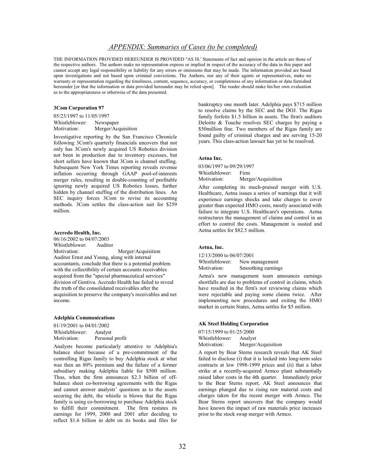## APPENDIX: Summaries of Cases (to be completed)

THE INFORMATION PROVIDED HEREUNDER IS PROVIDED ''AS IS.' Statements of fact and opinion in the article are those of the respective authors. The authors make no representation express or implied in respect of the accuracy of the data in this paper and cannot accept any legal responsibility or liability for any errors or omissions that may be made. The information provided are based upon investigations and not based upon criminal convictions. The Authors, nor any of their agents or representatives, make no warranty or representation regarding the timeliness, content, sequence, accuracy, or completeness of any information or data furnished hereunder [or that the information or data provided hereunder may be relied upon]. The reader should make his/her own evaluation as to the appropriateness or otherwise of the data presented.

#### 3Com Corporation 97

05/23/1997 to 11/05/1997 Whistleblower: Newspaper Motivation: Merger/Acquisition

Investigative reporting by the San Francisco Chronicle following 3Com's quarterly financials uncovers that not only has 3Com's newly acquired US Robotics division not been in production due to inventory excesses, but short sellers have known that 3Com is channel stuffing. Subsequent New York Times reporting reveals revenue inflation occurring through GAAP pool-of-interests merger rules, resulting in double-counting of profitable ignoring newly acquired US Robotics losses, further hidden by channel stuffing of the distribution lines. An SEC inquiry forces 3Com to revise its accounting methods. 3Com settles the class-action suit for \$259 million.

## Accredo Health, Inc.

06/16/2002 to 04/07/2003 Whistleblower: Auditor Motivation: Merger/Acquisition Auditor Ernst and Young, along with internal accountants, conclude that there is a potential problem with the collectibility of certain accounts receivables acquired from the "special pharmaceutical services" division of Gentiva. Accredo Health has failed to reveal the truth of the consolidated receivables after the acquisition to preserve the company's receivables and net income.

#### Adelphia Communications

01/19/2001 to 04/01/2002 Whistleblower: Analyst Motivation: Personal profit

Analysts become particularly attentive to Adelphia's balance sheet because of a pre-commitment of the controlling Rigas family to buy Adelphia stock at what was then an 80% premium and the failure of a former subsidiary making Adelphia liable for \$500 million. Thus, when the firm announces \$2.3 billion of offbalance sheet co-borrowing agreements with the Rigas and cannot answer analysts' questions as to the assets securing the debt, the whistle is blown that the Rigas family is using co-borrowing to purchase Adelphia stock to fulfill their commitment. The firm restates its earnings for 1999, 2000 and 2001 after deciding to reflect \$1.6 billion in debt on its books and files for

bankruptcy one month later. Adelphia pays \$715 million to resolve claims by the SEC and the DOJ. The Rigas family forfeits \$1.5 billion in assets. The firm's auditors Deloitte & Touche resolves SEC charges by paying a \$50million fine. Two members of the Rigas family are found guilty of criminal charges and are serving 15-20 years. This class-action lawsuit has yet to be resolved.

#### Aetna Inc.

03/06/1997 to 09/29/1997 Whistleblower: Firm Motivation: Merger/Acquisition

After completing its much-praised merger with U.S. Healthcare, Aetna issues a series of warnings that it will experience earnings shocks and take charges to cover greater than expected HMO costs, mostly associated with failure to integrate U.S. Healthcare's operations. Aetna restructures the management of claims and control in an effort to control the costs. Management is ousted and Aetna settles for \$82.5 million.

## Aetna, Inc.

12/13/2000 to 06/07/2001 Whistleblower: New management<br>Motivation: Smoothing earning Smoothing earnings

Aetna's new management team announces earnings shortfalls are due to problems of control in claims, which have resulted in the firm's not reviewing claims which were rejectable and paying some claims twice. After implementing new procedures and exiting the HMO market in certain States, Aetna settles for \$5 million.

#### AK Steel Holding Corporation

07/15/1999 to 01/25/2000 Whistleblower: Analyst Motivation: Merger/Acquisition

A report by Bear Sterns research reveals that AK Steel failed to disclose (i) that it is locked into long-term sales contracts at low 1998-1999 prices and (ii) that a labor strike at a recently-acquired Armco plant substantially raised labor costs in the 4th quarter. Immediately prior to the Bear Sterns report, AK Steel announces that earnings plunged due to rising raw material costs and charges taken for the recent merger with Armco. The Bear Sterns report uncovers that the company would have known the impact of raw materials price increases prior to the stock swap merger with Armco.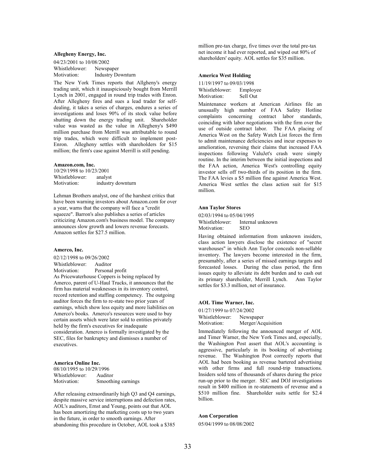#### Allegheny Energy, Inc.

04/23/2001 to 10/08/2002 Whistleblower: Newspaper<br>Motivation: Industry Do **Industry Downturn** 

The New York Times reports that Allgheny's energy trading unit, which it inauspiciously bought from Merrill Lynch in 2001, engaged in round trip trades with Enron. After Allegheny fires and sues a lead trader for selfdealing, it takes a series of charges, endures a series of investigations and loses 90% of its stock value before shutting down the energy trading unit. Shareholder value was wasted as the value in Allegheny's \$490 million purchase from Merrill was attributable to round trip trades, which were difficult to implement post-Enron. Allegheny settles with shareholders for \$15 million; the firm's case against Merrill is still pending.

#### Amazon.com, Inc.

10/29/1998 to 10/23/2001<br>Whistleblower: analyst Whistleblower:<br>Motivation: industry downturn

Lehman Brothers analyst, one of the harshest critics that have been warning investors about Amazon.com for over a year, warns that the company will face a "credit squeeze". Barron's also publishes a series of articles criticizing Amazon.com's business model. The company announces slow growth and lowers revenue forecasts. Amazon settles for \$27.5 million.

#### Amerco, Inc.

02/12/1998 to 09/26/2002 Whistleblower: Auditor Motivation: Personal profit As Pricewaterhouse Coppers is being replaced by Amerco, parent of U-Haul Trucks, it announces that the firm has material weaknesses in its inventory control, record retention and staffing competency. The outgoing auditor forces the firm to re-state two prior years of earnings, which show less equity and more liabilities on Amerco's books. Amerco's resources were used to buy certain assets which were later sold to entities privately held by the firm's executives for inadequate consideration. Amerco is formally investigated by the SEC, files for bankruptcy and dismisses a number of executives.

## America Online Inc.

08/10/1995 to 10/29/1996 Whistleblower: Auditor<br>Motivation: Smoothi Smoothing earnings

After releasing extraordinarily high Q3 and Q4 earnings, despite massive service interruptions and defection rates, AOL's auditors, Ernst and Young, points out that AOL has been amortizing the marketing costs up to two years in the future, in order to smooth earnings. After abandoning this procedure in October, AOL took a \$385

million pre-tax charge, five times over the total pre-tax net income it had ever reported, and wiped out 80% of shareholders' equity. AOL settles for \$35 million.

#### America West Holding

11/19/1997 to 09/03/1998 Whistleblower: Employee Motivation: Sell Out

Maintenance workers at American Airlines file an unusually high number of FAA Safety Hotline complaints concerning contract labor standards, coinciding with labor negotiations with the firm over the use of outside contract labor. The FAA placing of America West on the Safety Watch List forces the firm to admit maintenance deficiencies and incur expenses to amelioration, reversing their claims that increased FAA inspections following ValuJet's crash were simply routine. In the interim between the initial inspections and the FAA action, America West's controlling equity investor sells off two-thirds of its position in the firm. The FAA levies a \$5 million fine against America West. America West settles the class action suit for \$15 million.

#### Ann Taylor Stores

02/03/1994 to 05/04/1995

Whistleblower: Internal unknown Motivation: SEO

Having obtained information from unknown insiders, class action lawyers disclose the existence of "secret warehouses" in which Ann Taylor conceals non-sellable inventory. The lawyers become interested in the firm, presumably, after a series of missed earnings targets and forecasted losses. During the class period, the firm issues equity to alleviate its debt burden and to cash out its primary shareholder, Merrill Lynch. Ann Taylor settles for \$3.3 million, net of insurance.

## AOL Time Warner, Inc.

01/27/1999 to 07/24/2002 Whistleblower: Newspaper Motivation: Merger/Acquisition

Immediately following the announced merger of AOL and Timer Warner, the New York Times and, especially, the Washington Post assert that AOL's accounting is aggressive, particularly in its booking of advertising revenue. The Washington Post correctly reports that AOL had been booking as revenue bartered advertising with other firms and full round-trip transactions. Insiders sold tens of thousands of shares during the price run-up prior to the merger. SEC and DOJ investigations result in \$400 million in re-statements of revenue and a \$510 million fine. Shareholder suits settle for \$2.4 billion.

## Aon Corporation

05/04/1999 to 08/08/2002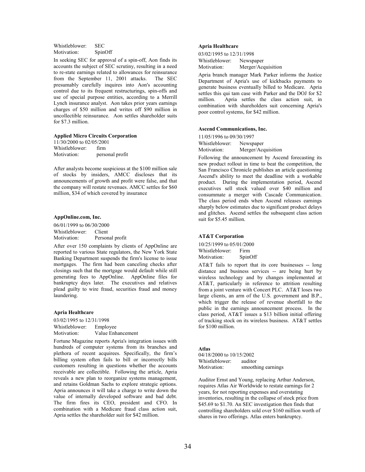Whistleblower: SEC Motivation: SpinOff

In seeking SEC for approval of a spin-off, Aon finds its accounts the subject of SEC scrutiny, resulting in a need to re-state earnings related to allowances for reinsurance from the September 11, 2001 attacks. The SEC presumably carefully inquires into Aon's accounting control due to its frequent restructurings, spin-offs and use of special purpose entities, according to a Merrill Lynch insurance analyst. Aon takes prior years earnings charges of \$50 million and writes off \$90 million in uncollectible reinsurance. Aon settles shareholder suits for \$7.3 million.

#### Applied Micro Circuits Corporation

11/30/2000 to 02/05/2001 Whistleblower: firm<br>Motivation: person personal profit

After analysts become suspicious at the \$100 million sale of stocks by insiders, AMCC discloses that its announcements of growth and profit were false, and that the company will restate revenues. AMCC settles for \$60 million, \$34 of which covered by insurance

## AppOnline.com, Inc.

06/01/1999 to 06/30/2000 Whistleblower: Client Motivation: Personal profit

After over 150 complaints by clients of AppOnline are reported to various State regulators, the New York State Banking Department suspends the firm's license to issue mortgages. The firm had been canceling checks after closings such that the mortgage would default while still generating fees to AppOnline. AppOnline files for bankruptcy days later. The executives and relatives plead guilty to wire fraud, securities fraud and money laundering.

#### Apria Healthcare

03/02/1995 to 12/31/1998 Whistleblower: Employee Motivation: Value Enhancement

Fortune Magazine reports Apria's integration issues with hundreds of computer systems from its branches and plethora of recent acquirees. Specifically, the firm's billing system often fails to bill or incorrectly bills customers resulting in questions whether the accounts receivable are collectible. Following the article, Apria reveals a new plan to reorganize systems management, and retains Goldman Sachs to explore strategic options. Apria announces it will take a charge to write down the value of internally developed software and bad debt. The firm fires its CEO, president and CFO. In combination with a Medicare fraud class action suit, Apria settles the shareholder suit for \$42 million.

## Apria Healthcare

03/02/1995 to 12/31/1998 Whistleblower: Newspaper Motivation: Merger/Acquisition

Apria branch manager Mark Parker informs the Justice Department of Apria's use of kickbacks payments to generate business eventually billed to Medicare. Apria settles this qui tam case with Parker and the DOJ for \$2 million. Apria settles the class action suit, in combination with shareholders suit concerning Apria's poor control systems, for \$42 million.

#### Ascend Communications, Inc.

11/05/1996 to 09/30/1997

Whistleblower: Newspaper Motivation: Merger/Acquisition

Following the announcement by Ascend forecasting its new product rollout in time to beat the competition, the San Francisco Chronicle publishes an article questioning Ascend's ability to meet the deadline with a workable product. During the implementation period, Ascend executives sell stock valued over \$40 million and consummate a merger with Cascade Communication. The class period ends when Ascend releases earnings sharply below estimates due to significant product delays and glitches. Ascend settles the subsequent class action suit for \$5.45 million.

## AT&T Corporation

10/25/1999 to 05/01/2000 Whistleblower: Firm<br>Motivation: SpinOff Motivation:

AT&T fails to report that its core businesses -- long distance and business services -- are being hurt by wireless technology and by changes implemented at AT&T, particularly in reference to attrition resulting from a joint venture with Concert PLC. AT&T loses two large clients, an arm of the U.S. government and B.P., which trigger the release of revenue shortfall to the public in the earnings announcement process. In the class period, AT&T issues a \$13 billion initial offering of tracking stock on its wireless business. AT&T settles for \$100 million.

#### Atlas

04/18/2000 to 10/15/2002 Whistleblower: auditor Motivation: smoothing earnings

Auditor Ernst and Young, replacing Arthur Anderson, requires Atlas Air Worldwide to restate earnings for 2 years, for not reporting expenses and overstating inventories, resulting in the collapse of stock price from \$45.69 to \$1.70. An SEC investigation then finds that controlling shareholders sold over \$160 million worth of shares in two offerings. Atlas enters bankruptcy.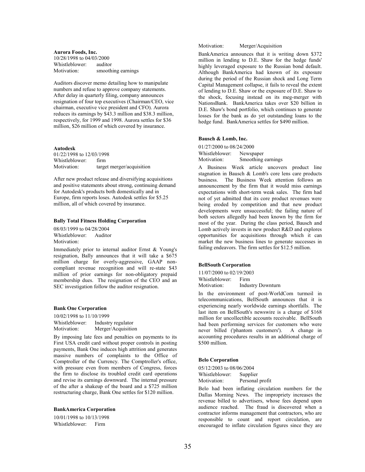Aurora Foods, Inc. 10/28/1998 to 04/03/2000 Whistleblower: auditor Motivation: smoothing earnings

Auditors discover memo detailing how to manipulate numbers and refuse to approve company statements. After delay in quarterly filing, company announces resignation of four top executives (Chairman/CEO, vice chairman, executive vice president and CFO). Aurora reduces its earnings by \$43.3 million and \$38.3 million, respectively, for 1999 and 1998. Aurora settles for \$36 million, \$26 million of which covered by insurance.

### Autodesk

01/22/1998 to 12/03/1998 Whistleblower: firm Motivation: target merger/acquisition

After new product release and diversifying acquisitions and positive statements about strong, continuing demand for Autodesk's products both domestically and in Europe, firm reports loses. Autodesk settles for \$5.25 million, all of which covered by insurance.

#### Bally Total Fitness Holding Corporation

08/03/1999 to 04/28/2004 Whistleblower: Auditor Motivation:

Immediately prior to internal auditor Ernst & Young's resignation, Bally announces that it will take a \$675 million charge for overly-aggressive, GAAP noncompliant revenue recognition and will re-state \$43 million of prior earnings for non-obligatory prepaid membership dues. The resignation of the CEO and an SEC investigation follow the auditor resignation.

#### Bank One Corporation

10/02/1998 to 11/10/1999 Whistleblower: Industry regulator Motivation: Merger/Acquisition

By imposing late fees and penalties on payments to its First USA credit card without proper controls in posting payments, Bank One induces high attrition and generates massive numbers of complaints to the Office of Comptroller of the Currency. The Comptroller's office, with pressure even from members of Congress, forces the firm to disclose its troubled credit card operations and revise its earnings downward. The internal pressure of the after a shakeup of the board and a \$725 million restructuring charge, Bank One settles for \$120 million.

#### BankAmerica Corporation

10/01/1998 to 10/13/1998 Whistleblower: Firm

Motivation: Merger/Acquisition

BankAmerica announces that it is writing down \$372 million in lending to D.E. Shaw for the hedge funds' highly leveraged exposure to the Russian bond default. Although BankAmerica had known of its exposure during the period of the Russian shock and Long Term Capital Management collapse, it fails to reveal the extent of lending to D.E. Shaw or the exposure of D.E. Shaw to the shock, focusing instead on its meg-merger with NationsBank. BankAmerica takes over \$20 billion in D.E. Shaw's bond portfolio, which continues to generate losses for the bank as do yet outstanding loans to the hedge fund. BankAmerica settles for \$490 million.

## Bausch & Lomb, Inc.

01/27/2000 to 08/24/2000 Whistleblower: Newspaper Motivation: Smoothing earnings

A Business Week article uncovers product line stagnation in Bausch & Lomb's core lens care products<br>business. The Business Week attention follows an The Business Week attention follows an announcement by the firm that it would miss earnings expectations with short-term weak sales. The firm had not of yet admitted that its core product revenues were being eroded by competition and that new product developments were unsuccessful; the failing nature of both sectors allegedly had been known by the firm for most of the year. During the class period, Bausch and Lomb actively invests in new product R&D and explores opportunities for acquisitions through which it can market the new business lines to generate successes in failing endeavors. The firm settles for \$12.5 million.

### BellSouth Corporation

11/07/2000 to 02/19/2003 Whistleblower: Firm

Motivation: Industry Downturn

In the environment of post-WorldCom turmoil in telecommunications, BellSouth announces that it is experiencing nearly worldwide earnings shortfalls. The last item on BellSouth's newswire is a charge of \$168 million for uncollectible accounts receivable. BellSouth had been performing services for customers who were never billed ('phantom customers'). A change in accounting procedures results in an additional charge of \$500 million.

### Belo Corporation

05/12/2003 to 08/06/2004 Whistleblower: Supplier Motivation: Personal profit

Belo had been inflating circulation numbers for the Dallas Morning News. The impropriety increases the revenue billed to advertisers, whose fees depend upon audience reached. The fraud is discovered when a contractor informs management that contractors, who are responsible to count and report circulation, are encouraged to inflate circulation figures since they are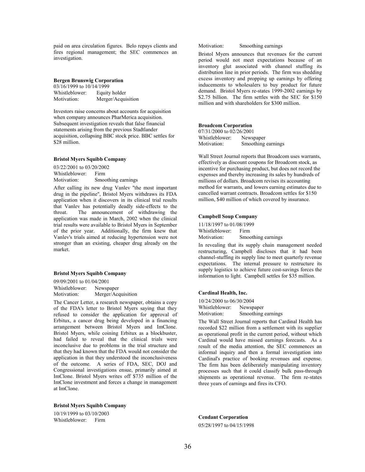paid on area circulation figures. Belo repays clients and fires regional management; the SEC commences an investigation.

## Bergen Brunswig Corporation

| 03/16/1999 to 10/14/1999 |                    |
|--------------------------|--------------------|
| Whistleblower:           | Equity holder      |
| Motivation:              | Merger/Acquisition |

Investors raise concerns about accounts for acquisition when company announces PharMerica acquisition. Subsequent investigation reveals that false financial statements arising from the previous Stadtlander acquisition, collapsing BBC stock price. BBC settles for \$28 million.

## Bristol Myers Squibb Company

03/22/2001 to 03/20/2002 Whistleblower: Firm<br>Motivation: Smoc Smoothing earnings

After calling its new drug Vanlev "the most important drug in the pipeline", Bristol Myers withdraws its FDA application when it discovers in its clinical trial results that Vanlev has potentially deadly side-effects to the throat. The announcement of withdrawing the application was made in March, 2002 when the clinical trial results were available to Bristol Myers in September of the prior year. Additionally, the firm knew that Vanlev's trials aimed at reducing hypertension were not stronger than an existing, cheaper drug already on the market.

#### Bristol Myers Squibb Company

09/09/2001 to 01/04/2001 Whistleblower: Newspaper<br>Motivation: Merger/Acc Merger/Acquisition

The Cancer Letter, a research newspaper, obtains a copy of the FDA's letter to Bristol Myers saying that they refused to consider the application for approval of Erbitux, a cancer drug being developed in a financing arrangement between Bristol Myers and ImClone. Bristol Myers, while coining Erbitux as a blockbuster, had failed to reveal that the clinical trials were inconclusive due to problems in the trial structure and that they had known that the FDA would not consider the application in that they understood the inconclusiveness of the outcome. A series of FDA, SEC, DOJ and Congressional investigations ensue, primarily aimed at ImClone. Bristol Myers writes off \$735 million of the ImClone investment and forces a change in management at ImClone.

Bristol Myers Squibb Company

10/19/1999 to 03/10/2003 Whistleblower: Firm

Motivation: Smoothing earnings

Bristol Myers announces that revenues for the current period would not meet expectations because of an inventory glut associated with channel stuffing its distribution line in prior periods. The firm was shedding excess inventory and propping up earnings by offering inducements to wholesalers to buy product for future demand. Bristol Myers re-states 1999-2002 earnings by \$2.75 billion. The firm settles with the SEC for \$150 million and with shareholders for \$300 million.

## Broadcom Corporation

07/31/2000 to 02/26/2001 Whistleblower: Newspaper Motivation: Smoothing earnings

Wall Street Journal reports that Broadcom uses warrants. effectively as discount coupons for Broadcom stock, as incentive for purchasing product, but does not record the expenses and thereby increasing its sales by hundreds of millions of dollars. Broadcom revises its accounting method for warrants, and lowers earning estimates due to cancelled warrant contracts. Broadcom settles for \$150 million, \$40 million of which covered by insurance.

## Campbell Soup Company

11/18/1997 to 01/08/1999 Whistleblower: Firm Motivation: Smoothing earnings

In revealing that its supply chain management needed restructuring, Campbell discloses that it had been channel-stuffing its supply line to meet quarterly revenue expectations. The internal pressure to restructure its supply logistics to achieve future cost-savings forces the information to light. Campbell settles for \$35 million.

### Cardinal Health, Inc.

10/24/2000 to 06/30/2004 Whistleblower: Newspaper Motivation: Smoothing earnings

The Wall Street Journal reports that Cardinal Health has recorded \$22 million from a settlement with its supplier as operational profit in the current period, without which Cardinal would have missed earnings forecasts. As a result of the media attention, the SEC commences an informal inquiry and then a formal investigation into Cardinal's practice of booking revenues and expense. The firm has been deliberately manipulating inventory processes such that it could classify bulk pass-through shipments as operational revenue. The firm re-states three years of earnings and fires its CFO.

Cendant Corporation 05/28/1997 to 04/15/1998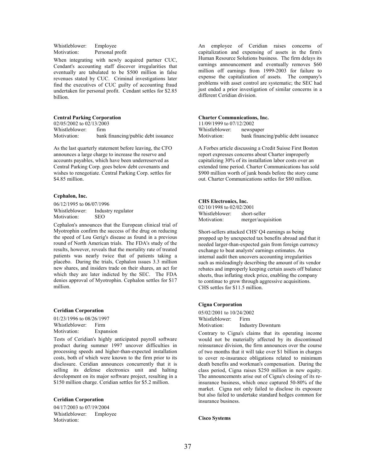Whistleblower: Employee Motivation: Personal profit

When integrating with newly acquired partner CUC, Cendant's accounting staff discover irregularities that eventually are tabulated to be \$500 million in false revenues stated by CUC. Criminal investigations later find the executives of CUC guilty of accounting fraud undertaken for personal profit. Cendant settles for \$2.85 billion.

#### Central Parking Corporation

02/05/2002 to 02/13/2003 Whistleblower: firm Motivation: bank financing/public debt issuance

As the last quarterly statement before leaving, the CFO announces a large charge to increase the reserve and accounts payables, which have been underreserved as Central Parking Corp. goes below debt covenants and wishes to renegotiate. Central Parking Corp. settles for \$4.85 million.

#### Cephalon, Inc.

06/12/1995 to 06/07/1996 Whistleblower: Industry regulator Motivation: SEO

Cephalon's announces that the European clinical trial of Myotrophin confirm the success of the drug on reducing the speed of Lou Gerig's disease as found in a previous round of North American trials. The FDA's study of the results, however, reveals that the mortality rate of treated patients was nearly twice that of patients taking a placebo. During the trials, Cephalon issues 3.3 million new shares, and insiders trade on their shares, an act for which they are later indicted by the SEC. The FDA denies approval of Myotrophin. Cephalon settles for \$17 million.

#### Ceridian Corporation

01/23/1996 to 08/26/1997 Whistleblower: Firm Motivation: Expansion

Tests of Ceridian's highly anticipated payroll software product during summer 1997 uncover difficulties in processing speeds and higher-than-expected installation costs, both of which were known to the firm prior to its disclosure. Ceridian announces concurrently that it is selling its defense electronics unit and halting development on its major software project, resulting in a \$150 million charge. Ceridian settles for \$5.2 million.

## Ceridian Corporation

04/17/2003 to 07/19/2004 Whistleblower: Employee Motivation:

An employee of Ceridian raises concerns of capitalization and expensing of assets in the firm's Human Resource Solutions business. The firm delays its earnings announcement and eventually removes \$60 million off earnings from 1999-2003 for failure to expense the capitalization of assets. The company's problems with asset control are systematic; the SEC had just ended a prior investigation of similar concerns in a different Ceridian division.

#### Charter Communications, Inc.

11/09/1999 to 07/12/2002 Whistleblower: newspaper Motivation: bank financing/public debt issuance

A Forbes article discussing a Credit Suisse First Boston report expresses concerns about Charter improperly capitalizing 30% of its installation labor costs over an extended time period. Charter Communications has sold \$900 million worth of junk bonds before the story came out. Charter Communications settles for \$80 million.

#### CHS Electronics, Inc.

| 02/10/1998 to 02/02/2001 |                    |
|--------------------------|--------------------|
| Whistleblower:           | short-seller       |
| Motivation:              | merger/acquisition |

Short-sellers attacked CHS' Q4 earnings as being propped up by unexpected tax benefits abroad and that it needed larger-than-expected gain from foreign currency exchange to beat analysts' earnings estimates. An internal audit then uncovers accounting irregularities such as misleadingly describing the amount of its vendor rebates and improperly keeping certain assets off balance sheets, thus inflating stock price, enabling the company to continue to grow through aggressive acquisitions. CHS settles for \$11.5 million.

## Cigna Corporation

05/02/2001 to 10/24/2002 Whistleblower: Firm Motivation: Industry Downturn

Contrary to Cigna's claims that its operating income would not be materially affected by its discontinued reinsurance division, the firm announces over the course of two months that it will take over \$1 billion in charges to cover re-insurance obligations related to minimum death benefits and workman's compensation. During the class period, Cigna raises \$250 million in new equity. The announcements arise out of Cigna's closing of its reinsurance business, which once captured 50-80% of the market. Cigna not only failed to disclose its exposure but also failed to undertake standard hedges common for insurance business.

Cisco Systems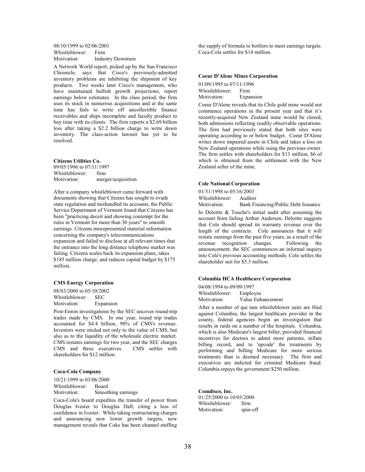08/10/1999 to 02/06/2001 Whistleblower: Firm<br>Motivation: Indus **Industry Downturn** 

A Network World report, picked up by the San Francisco Chronicle, says that Cisco's previously-admitted inventory problems are inhibiting the shipment of key products. Two weeks later Cisco's management, who have maintained bullish growth projections, report earnings below estimates. In the class period, the firm uses its stock in numerous acquisitions and at the same time has fails to write off uncollectible finance receivables and ships incomplete and faculty product to buy time with its clients. The firm reports a \$2.69 billion loss after taking a \$2.2 billion charge to write down inventory. The class-action lawsuit has yet to be resolved.

## Citizens Utilities Co.

09/05/1996 to 07/11/1997 Whistleblower: firm Motivation: merger/acquisition

After a company whistleblower came forward with documents showing that Citizens has sought to evade state regulation and mishandled its accounts, the Public Service Department of Vermont found that Citizens has been "practicing deceit and showing contempt for the rules in Vermont for more than 30 years" to smooth earnings. Citizens misrepresented material information concerning the company's telecommunications expansion and failed to disclose at all relevant times that the entrance into the long distance telephone market was failing. Citizens scales back its expansion plans, takes \$185 million charge, and reduces capital budget by \$175 million.

#### CMS Energy Corporation

08/03/2000 to 05/10/2002 Whistleblower: SEC Motivation: Expansion

Post-Enron investigations by the SEC uncover round-trip trades made by CMS. In one year, round trip trades accounted for \$4.4 billion, 98% of CMS's revenue. Investors were misled not only to the value of CMS, but also as to the liquidity of the wholesale electric market. CMS restates earnings for two year, and the SEC charges<br>CMS and three executives. CMS settles with CMS and three executives. shareholders for \$12 million.

#### Coca-Cola Company

10/21/1999 to 03/06/2000 Whistleblower: Board Motivation: Smoothing earnings

Coca-Cola's board expedites the transfer of power from Douglas Ivester to Douglas Daft, citing a loss of confidence in Ivester. While taking restructuring charges and announcing new lower growth targets, new management reveals that Coke has been channel stuffing

the supply of formula to bottlers to meet earnings targets. Coca-Cola settles for \$14 million.

#### Coeur D'Alene Mines Corporation

01/09/1995 to 07/11/1996 Whistleblower: Firm Motivation: Expansion

Coeur D'Alene reveals that its Chile gold mine would not commence operations in the present year and that it's recently-acquired New Zealand mine would be closed, both admissions reflecting readily observable operations. The firm had previously stated that both sites were operating according to or below budget. Coeur D'Alene writes down impaired assets in Chile and takes a loss on New Zealand operations while suing the previous owner. The firm settles with shareholders for \$13 million, \$6 of which is obtained from the settlement with the New Zealand seller of the mine.

#### Cole National Corporation

01/31/1998 to 05/16/2003 Whistleblower: Auditor Motivation: Bank Financing/Public Debt Issuance

In Deloitte & Touche's initial audit after assuming the account from failing Arthur Andersen, Deloitte suggests that Cole should spread its warranty revenue over the length of the contracts. Cole announces that it will restate earnings from the past five years, as a result of the revenue recognition changes. Following the announcement, the SEC commences an informal inquiry into Cole's previous accounting methods. Cole settles the shareholder suit for \$5.3 million.

### Columbia HCA Healthcare Corporation

04/08/1994 to 09/09/1997 Whistleblower: Employee Motivation: Value Enhancement

After a number of qui tam whistleblower suits are filed against Columbia, the largest healthcare provider in the county, federal agencies begin an investigation that results in raids on a number of the hospitals. Columbia, which is also Medicare's largest biller, provided financial incentives for doctors to admit more patients, inflate billing record, and to 'upcode' the treatments by performing and billing Medicare for more serious treatments than is deemed necessary. The firm and executives are indicted for criminal Medicare fraud. Columbia repays the government \$250 million.

Comdisco, Inc. 01/25/2000 to 10/03/2000 Whistleblower: firm<br>Motivation: spin-off Motivation: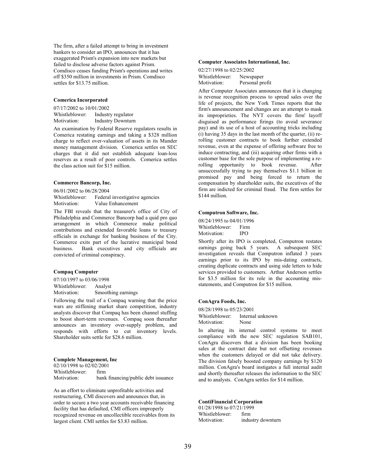The firm, after a failed attempt to bring in investment bankers to consider an IPO, announces that it has exaggerated Prism's expansion into new markets but failed to disclose adverse factors against Prism. Comdisco ceases funding Prism's operations and writes off \$350 million in investments in Prism. Comdisco settles for \$13.75 million.

#### Comerica Incorporated

07/17/2002 to 10/01/2002 Whistleblower: Industry regulator<br>Motivation: Industry Downturr **Industry Downturn** 

An examination by Federal Reserve regulators results in Comerica restating earnings and taking a \$328 million charge to reflect over-valuation of assets in its Munder money management division. Comerica settles on SEC charges that it did not establish adequate loan-loss reserves as a result of poor controls. Comerica settles the class action suit for \$15 million.

### Commerce Bancorp, Inc.

06/01/2002 to 06/28/2004 Whistleblower: Federal investigative agencies<br>Motivation: Value Enhancement Value Enhancement

The FBI reveals that the treasurer's office of City of Philadelphia and Commerce Bancorp had a quid pro quo arrangement in which Commerce make political contributions and extended favorable loans to treasury officials in exchange for banking business of the City. Commerce exits part of the lucrative municipal bond business. Bank executives and city officials are convicted of criminal conspiracy.

### Compaq Computer

07/10/1997 to 03/06/1998 Whistleblower: Analyst Motivation: Smoothing earnings

Following the trail of a Compaq warning that the price wars are stiffening market share competition, industry analysts discover that Compaq has been channel stuffing to boost short-term revenues. Compaq soon thereafter announces an inventory over-supply problem, and responds with efforts to cut inventory levels. Shareholder suits settle for \$28.6 million.

## Complete Management, Inc

02/10/1998 to 02/02/2001 Whistleblower: firm Motivation: bank financing/public debt issuance

As an effort to eliminate unprofitable activities and restructuring, CMI discovers and announces that, in order to secure a two year accounts receivable financing facility that has defaulted, CMI officers improperly recognized revenue on uncollectible receivables from its largest client. CMI settles for \$3.83 million.

#### Computer Associates International, Inc.

02/27/1998 to 02/25/2002 Whistleblower: Newspaper<br>Motivation: Personal pre Personal profit

After Computer Associates announces that it is changing is revenue recognition process to spread sales over the life of projects, the New York Times reports that the firm's announcement and changes are an attempt to mask its improprieties. The NYT covers the firm' layoff disguised as performance firings (to avoid severance pay) and its use of a host of accounting tricks including (i) having 35 days in the last month of the quarter, (ii) rerolling customer contracts to book further extended revenue, even at the expense of offering software free to induce contracting, and (iii) acquiring other firms with a customer base for the sole purpose of implementing a rerolling opportunity to book revenue. After unsuccessfully trying to pay themselves \$1.1 billion in promised pay and being forced to return the compensation by shareholder suits, the executives of the firm are indicted for criminal fraud. The firm settles for \$144 million.

#### Computron Software, Inc.

08/24/1995 to 04/01/1996 Whistleblower: Firm<br>Motivation: IPO Motivation:

Shortly after its IPO is completed, Computron restates earnings going back 5 years. A subsequent SEC investigation reveals that Computron inflated 3 years earnings prior to its IPO by mis-dating contracts, creating duplicate contracts and using side letters to hide services provided to customers. Arthur Anderson settles for \$3.5 million for its role in the accounting misstatements, and Computron for \$15 million.

#### ConAgra Foods, Inc.

08/28/1998 to 05/23/2001 Whistleblower: Internal unknown Motivation: None

In altering its internal control systems to meet compliance with the new SEC regulation SAB101, ConAgra discovers that a division has been booking sales at the contract date but not offsetting revenues when the customers delayed or did not take delivery. The division falsely boosted company earnings by \$120 million. ConAgra's board instigates a full internal audit and shortly thereafter releases the information to the SEC and to analysts. ConAgra settles for \$14 million.

## ContiFinancial Corporation

01/28/1998 to 07/21/1999 Whistleblower: firm Motivation: industry downturn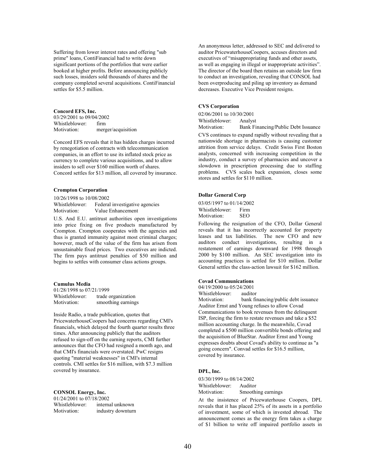Suffering from lower interest rates and offering "sub prime" loans, ContiFinancial had to write down significant portions of the portfolios that were earlier booked at higher profits. Before announcing publicly such losses, insiders sold thousands of shares and the company completed several acquisitions. ContiFinancial settles for \$5.5 million.

Concord EFS, Inc.

03/29/2001 to 09/04/2002 Whistleblower: firm<br>Motivation: merg merger/acquisition

Concord EFS reveals that it has hidden charges incurred by renegotiation of contracts with telecommunication companies, in an effort to use its inflated stock price as currency to complete various acquisitions, and to allow insiders to sell over \$160 million worth of shares. Concord settles for \$13 million, all covered by insurance.

#### Crompton Corporation

10/26/1998 to 10/08/2002 Whistleblower: Federal investigative agencies Motivation: Value Enhancement

U.S. And E.U. antitrust authorities open investigations into price fixing on five products manufactured by Crompton. Crompton cooperates with the agencies and thus is granted immunity against most criminal charges; however, much of the value of the firm has arisen from unsustainable fixed prices. Two executives are indicted. The firm pays antitrust penalties of \$50 million and begins to settles with consumer class actions groups.

#### Cumulus Media

01/28/1998 to 07/21/1999 Whistleblower: trade organization Motivation: smoothing earnings

Inside Radio, a trade publication, quotes that PricewaterhouseCoopers had concerns regarding CMI's financials, which delayed the fourth quarter results three times. After announcing publicly that the auditors refused to sign-off on the earning reports, CMI further announces that the CFO had resigned a month ago, and that CMI's financials were overstated. PwC resigns quoting "material weaknesses" in CMI's internal controls. CMI settles for \$16 million, with \$7.3 million covered by insurance.

## CONSOL Energy, Inc.

| 01/24/2001 to 07/18/2002 |                   |
|--------------------------|-------------------|
| Whistleblower:           | internal unknown  |
| Motivation:              | industry downturn |

An anonymous letter, addressed to SEC and delivered to auditor PricewaterhouseCoopers, accuses directors and executives of "misappropriating funds and other assets, as well as engaging in illegal or inappropriate activities". The director of the board then retains an outside law firm to conduct an investigation, revealing that CONSOL had been overproducing and piling up inventory as demand decreases. Executive Vice President resigns.

## CVS Corporation

02/06/2001 to 10/30/2001 Whistleblower: Analyst

Motivation: Bank Financing/Public Debt Issuance

CVS continues to expand rapidly without revealing that a nationwide shortage in pharmacists is causing customer attrition from service delays. Credit Swiss First Boston analysts, concerned with increasing competition in the industry, conduct a survey of pharmacies and uncover a slowdown in prescription processing due to staffing problems. CVS scales back expansion, closes some stores and settles for \$110 million.

## Dollar General Corp

03/05/1997 to 01/14/2002 Whistleblower: Firm Motivation: SEO

Following the resignation of the CFO, Dollar General reveals that it has incorrectly accounted for property leases and tax liabilities. The new CFO and new auditors conduct investigations, resulting in a restatement of earnings downward for 1998 through 2000 by \$100 million. An SEC investigation into its accounting practices is settled for \$10 million. Dollar General settles the class-action lawsuit for \$162 million.

## Covad Communications

04/19/2000 to 05/24/2001<br>Whistleblower: auditor

Whistleblower:<br>Motivation: bank financing/public debt issuance Auditor Ernst and Young refuses to allow Covad Communications to book revenues from the delinquent ISP, forcing the firm to restate revenues and take a \$52 million accounting charge. In the meanwhile, Covad completed a \$500 million convertible bonds offering and the acquisition of BlueStar. Auditor Ernst and Young expresses doubts about Covad's ability to continue as "a going concern". Convad settles for \$16.5 million, covered by insurance.

## DPL, Inc.

03/30/1999 to 08/14/2002 Whistleblower: Auditor Motivation: Smoothing earnings

At the insistence of Pricewaterhouse Coopers, DPL reveals that it has placed 25% of its assets in a portfolio of investment, some of which is invested abroad. The announcement comes as the energy firm takes a charge of \$1 billion to write off impaired portfolio assets in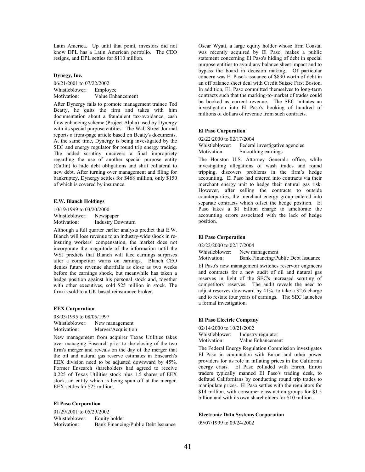Latin America. Up until that point, investors did not know DPL has a Latin American portfolio. The CEO resigns, and DPL settles for \$110 million.

## Dynegy, Inc.

06/21/2001 to 07/22/2002 Whistleblower: Employee Motivation: Value Enhancement

After Dynergy fails to promote management trainee Ted Beatty, he quits the firm and takes with him documentation about a fraudulent tax-avoidance, cash flow enhancing scheme (Project Alpha) used by Dynergy with its special purpose entities. The Wall Street Journal reports a front-page article based on Beatty's documents. At the same time, Dynergy is being investigated by the SEC and energy regulator for round trip energy trading. The added scrutiny uncovers a final impropriety regarding the use of another special purpose entity (Catlin) to hide debt obligations and shift collateral to new debt. After turning over management and filing for bankruptcy, Dynergy settles for \$468 million, only \$150 of which is covered by insurance.

#### E.W. Blanch Holdings

10/19/1999 to 03/20/2000 Whistleblower: Newspaper Motivation: Industry Downturn

Although a full quarter earlier analysts predict that E.W. Blanch will lose revenue to an industry-wide shock in reinsuring workers' compensation, the market does not incorporate the magnitude of the information until the WSJ predicts that Blanch will face earnings surprises after a competitor warns on earnings. Blanch CEO denies future revenue shortfalls as close as two weeks before the earnings shock, but meanwhile has taken a hedge position against his personal stock and, together with other executives, sold \$25 million in stock. The firm is sold to a UK-based reinsurance broker.

### EEX Corporation

08/03/1995 to 08/05/1997 Whistleblower: New management Motivation: Merger/Acquisition

New management from acquirer Texas Utilities takes over managing Ensearch prior to the closing of the two firm's merger and reveals on the day of the merger that the oil and natural gas reserve estimates in Ensearch's EEX division need to be adjusted downward by 45%. Former Ensearch shareholders had agreed to receive 0.225 of Texas Utilities stock plus 1.5 shares of EEX stock, an entity which is being spun off at the merger. EEX settles for \$25 million.

## El Paso Corporation

01/29/2001 to 05/29/2002 Whistleblower: Equity holder Motivation: Bank Financing/Public Debt Issuance Oscar Wyatt, a large equity holder whose firm Coastal was recently acquired by El Paso, makes a public statement concerning El Paso's hiding of debt in special purpose entities to avoid any balance sheet impact and to bypass the board in decision making. Of particular concern was El Paso's issuance of \$830 worth of debt in an off balance sheet deal with Credit Suisse First Boston. In addition, EL Paso committed themselves to long-term contracts such that the marking-to-market of trades could be booked as current revenue. The SEC initiates an investigation into El Paso's booking of hundred of millions of dollars of revenue from such contracts.

## El Paso Corporation

02/22/2000 to 02/17/2004

Whistleblower: Federal investigative agencies<br>Motivation: Smoothing earnings Smoothing earnings

The Houston U.S. Attorney General's office, while investigating allegations of wash trades and round tripping, discovers problems in the firm's hedge accounting. El Paso had entered into contracts via their merchant energy unit to hedge their natural gas risk. However, after selling the contracts to outside counterparties, the merchant energy group entered into separate contracts which offset the hedge position. El Paso takes a \$1 billion charge to ameliorate the accounting errors associated with the lack of hedge position.

#### El Paso Corporation

02/22/2000 to 02/17/2004

Whistleblower: New management

Motivation: Bank Financing/Public Debt Issuance

El Paso's new management switches reservoir engineers and contracts for a new audit of oil and natural gas reserves in light of the SEC's increased scrutiny of competitors' reserves. The audit reveals the need to adjust reserves downward by 41%, to take a \$2.6 charge and to restate four years of earnings. The SEC launches a formal investigation.

#### El Paso Electric Company

02/14/2000 to 10/21/2002 Whistleblower: Industry regulator<br>Motivation: Value Enhancement Value Enhancement

The Federal Energy Regulation Commission investigates El Paso in conjunction with Enron and other power providers for its role in inflating prices in the California energy crisis. El Paso colluded with Enron, Enron traders typically manned El Paso's trading desk, to defraud Californians by conducting round trip trades to manipulate prices. El Paso settles with the regulators for \$14 million, with consumer class action groups for \$1.5 billion and with its own shareholders for \$10 million.

#### Electronic Data Systems Corporation

09/07/1999 to 09/24/2002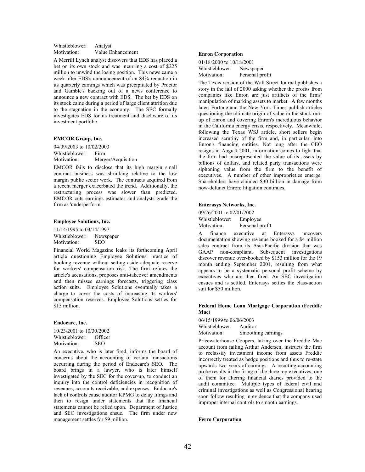## Whistleblower: Analyst Motivation: Value Enhancement

A Merrill Lynch analyst discovers that EDS has placed a bet on its own stock and was incurring a cost of \$225 million to unwind the losing position. This news came a week after EDS's announcement of an 84% reduction in its quarterly earnings which was precipitated by Proctor and Gamble's backing out of a news conference to announce a new contract with EDS. The bet by EDS on its stock came during a period of large client attrition due to the stagnation in the economy. The SEC formally investigates EDS for its treatment and disclosure of its investment portfolio.

#### EMCOR Group, Inc.

04/09/2003 to 10/02/2003 Whistleblower: Firm Motivation: Merger/Acquisition

EMCOR fails to disclose that its high margin small contract business was shrinking relative to the low margin public sector work. The contracts acquired from a recent merger exacerbated the trend. Additionally, the restructuring process was slower than predicted. EMCOR cuts earnings estimates and analysts grade the firm as 'underperform'.

#### Employee Solutions, Inc.

11/14/1995 to 03/14/1997 Whistleblower: Newspaper<br>Motivation: SEO Motivation:

Financial World Magazine leaks its forthcoming April article questioning Employee Solutions' practice of booking revenue without setting aside adequate reserve for workers' compensation risk. The firm refutes the article's accusations, proposes anti-takeover amendments and then misses earnings forecasts, triggering class action suits. Employee Solutions eventually takes a charge to cover the costs of increasing its workers' compensation reserves. Employee Solutions settles for \$15 million.

### Endocare, Inc.

10/23/2001 to 10/30/2002<br>Whistleblower: Officer Whistleblower: Office<br>Motivation: SEO Motivation:

An executive, who is later fired, informs the board of concerns about the accounting of certain transactions occurring during the period of Endocare's SEO. The board brings in a lawyer, who is later himself investigated by the SEC for the cover-up, to conduct an inquiry into the control deficiencies in recognition of revenues, accounts receivable, and expenses. Endocare's lack of controls cause auditor KPMG to delay filings and then to resign under statements that the financial statements cannot be relied upon. Department of Justice and SEC investigations ensue. The firm under new management settles for \$9 million.

#### Enron Corporation

01/18/2000 to 10/18/2001 Whistleblower: Newspaper<br>Motivation: Personal pro Personal profit

The Texas version of the Wall Street Journal publishes a story in the fall of 2000 asking whether the profits from companies like Enron are just artifacts of the firms' manipulation of marking assets to market. A few months later, Fortune and the New York Times publish articles questioning the ultimate origin of value in the stock runup of Enron and covering Enron's incredulous behavior in the California energy crisis, respectively. Meanwhile, following the Texas WSJ article, short sellers begin increased scrutiny of the firm and, in particular, into Enron's financing entities. Not long after the CEO resigns in August 2001, information comes to light that the firm had misrepresented the value of its assets by billions of dollars, and related party transactions were siphoning value from the firm to the benefit of executives. A number of other improprieties emerge. Shareholders have claimed \$30 billion in damage from now-defunct Enron; litigation continues.

#### Enterasys Networks, Inc.

09/26/2001 to 02/01/2002 Whistleblower: Employee<br>Motivation: Personal p Personal profit

A finance executive at Enterasys uncovers documentation showing revenue booked for a \$4 million sales contract from its Asia-Pacific division that was GAAP non-compliant. Subsequent investigations discover revenue over-booked by \$153 million for the 19 month ending September 2001, resulting from what appears to be a systematic personal profit scheme by executives who are then fired. An SEC investigation ensues and is settled. Enterasys settles the class-action suit for \$50 million.

### Federal Home Loan Mortgage Corporation (Freddie Mac)

06/15/1999 to 06/06/2003 Whistleblower: Auditor Motivation: Smoothing earnings

Pricewaterhouse Coopers, taking over the Freddie Mac account from failing Arthur Andersen, instructs the firm to reclassify investment income from assets Freddie incorrectly treated as hedge positions and thus to re-state upwards two years of earnings. A resulting accounting probe results in the firing of the three top executives, one of them for altering financial diaries provided to the audit committee. Multiple types of federal civil and criminal investigations as well as Congressional hearing soon follow resulting in evidence that the company used improper internal controls to smooth earnings.

#### Ferro Corporation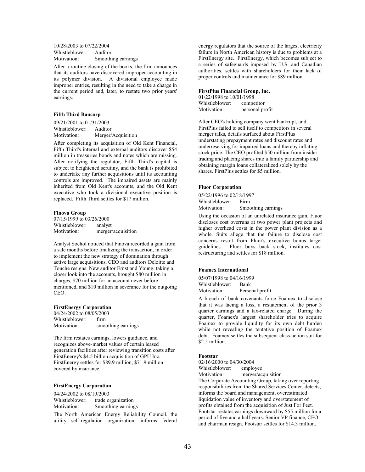10/28/2003 to 07/22/2004 Whistleblower: Auditor<br>Motivation: Smoothi Smoothing earnings

After a routine closing of the books, the firm announces that its auditors have discovered improper accounting in its polymer division. A divisional employee made improper entries, resulting in the need to take a charge in the current period and, later, to restate two prior years' earnings.

## Fifth Third Bancorp

09/21/2001 to 01/31/2003 Whistleblower: Auditor Motivation: Merger/Acquisition

After completing its acquisition of Old Kent Financial, Fifth Third's internal and external auditors discover \$54 million in treasuries bonds and notes which are missing. After notifying the regulator, Fifth Third's capital is subject to heightened scrutiny, and the bank is prohibited to undertake any further acquisitions until its accounting controls are improved. The impaired assets are mainly inherited from Old Kent's accounts, and the Old Kent executive who took a divisional executive position is replaced. Fifth Third settles for \$17 million.

#### Finova Group

07/15/1999 to 03/26/2000 Whistleblower: analyst Motivation: merger/acquisition

Analyst Sochol noticed that Finova recorded a gain from a sale months before finalizing the transaction, in order to implement the new strategy of domination through active large acquisitions. CEO and auditors Deloitte and Touche resigns. New auditor Ernst and Young, taking a closer look into the accounts, brought \$80 million in charges, \$70 million for an account never before mentioned, and \$10 million in severance for the outgoing CEO.

### FirstEnergy Corporation

04/24/2002 to 08/05/2003 Whistleblower: firm Motivation: smoothing earnings

The firm restates earnings, lowers guidance, and recognizes above-market values of certain leased generation facilities after reviewing transition costs after FirstEnergy's \$4.5 billion acquisition of GPU Inc. FirstEnergy settles for \$89.9 million, \$71.9 million covered by insurance.

## FirstEnergy Corporation

04/24/2002 to 08/19/2003<br>Whistleblower: trade o trade organization Motivation: Smoothing earnings

The North American Energy Reliability Council, the utility self-regulation organization, informs federal energy regulators that the source of the largest electricity failure in North American history is due to problems at a FirstEnergy site. FirstEnergy, which becomes subject to a series of safeguards imposed by U.S. and Canadian authorities, settles with shareholders for their lack of proper controls and maintenance for \$89 million.

#### FirstPlus Financial Group, Inc.

01/22/1998 to 10/01/1998 Whistleblower: competitor Motivation: personal profit

After CEO's holding company went bankrupt, and FirstPlus failed to sell itself to competitors in several merger talks, details surfaced about FirstPlus understating prepayment rates and discount rates and underreserving for impaired loans and thereby inflating stock price. The CEO profited \$50 million from insider trading and placing shares into a family partnership and obtaining margin loans collateralized solely by the shares. FirstPlus settles for \$5 million.

#### Fluor Corporation

05/22/1996 to 02/18/1997 Whistleblower: Firm Motivation: Smoothing earnings

Using the occasion of an unrelated insurance gain, Fluor discloses cost overruns at two power plant projects and higher overhead costs in the power plant division as a whole. Suits allege that the failure to disclose cost concerns result from Fluor's executive bonus target guidelines. Fluor buys back stock, institutes cost restructuring and settles for \$18 million.

#### Foamex International

05/07/1998 to 04/16/1999 Whistleblower: Bank Motivation: Personal profit

A breach of bank covenants force Foamex to disclose that it was facing a loss, a restatement of the prior 3 quarter earnings and a tax-related charge. During the quarter, Foamex's largest shareholder tries to acquire Foamex to provide liquidity for its own debt burden while not revealing the tentative position of Foamex debt. Foamex settles the subsequent class-action suit for \$2.5 million.

## Footstar

02/16/2000 to 04/30/2004

Whistleblower: employee

Motivation: merger/acquisition The Corporate Accounting Group, taking over reporting responsibilities from the Shared Services Center, detects, informs the board and management, overestimated liquidation value of inventory and overstatement of profits obtained from the acquisition of Just For Feet. Footstar restates earnings downward by \$55 million for a period of five and a half years. Senior VP finance, CEO and chairman resign. Footstar settles for \$14.3 million.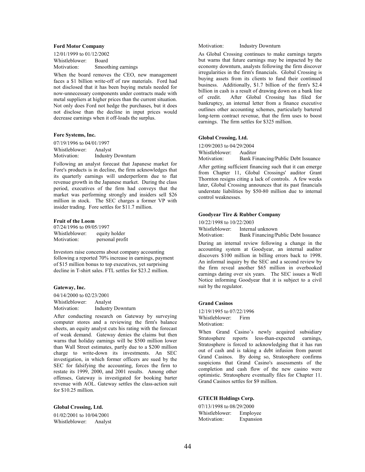#### Ford Motor Company

12/01/1999 to 01/12/2002 Whistleblower: Board Motivation: Smoothing earnings

When the board removes the CEO, new management faces a \$1 billion write-off of raw materials. Ford had not disclosed that it has been buying metals needed for now-unnecessary components under contracts made with metal suppliers at higher prices than the current situation. Not only does Ford not hedge the purchases, but it does not disclose than the decline in input prices would decrease earnings when it off-loads the surplus.

#### Fore Systems, Inc.

07/19/1996 to 04/01/1997 Whistleblower: Analyst Motivation: Industry Downturn

Following an analyst forecast that Japanese market for Fore's products is in decline, the firm acknowledges that its quarterly earnings will underperform due to flat revenue growth in the Japanese market. During the class period, executives of the firm had conveys that the market was performing strongly and insiders sell \$26 million in stock. The SEC charges a former VP with insider trading. Fore settles for \$11.7 million.

#### Fruit of the Loom

07/24/1996 to 09/05/1997<br>Whistleblower: equity holder Whistleblower: Motivation: personal profit

Investors raise concerns about company accounting following a reported 70% increase in earnings, payment of \$15 million bonus to top executives, yet surprising decline in T-shirt sales. FTL settles for \$23.2 million.

#### Gateway, Inc.

04/14/2000 to 02/23/2001 Whistleblower: Analyst Motivation: Industry Downturn

After conducting research on Gateway by surveying computer stores and a reviewing the firm's balance sheets, an equity analyst cuts his rating with the forecast of weak demand. Gateway denies the claims but then warns that holiday earnings will be \$500 million lower than Wall Street estimates, partly due to a \$200 million charge to write-down its investments. An SEC investigation, in which former officers are sued by the SEC for falsifying the accounting, forces the firm to restate its 1999, 2000, and 2001 results. Among other offenses, Gateway is investigated for booking barter revenue with AOL. Gateway settles the class-action suit for \$10.25 million.

#### Global Crossing, Ltd.

01/02/2001 to 10/04/2001 Whistleblower: Analyst Motivation: Industry Downturn

As Global Crossing continues to make earnings targets but warns that future earnings may be impacted by the economy downturn, analysts following the firm discover irregularities in the firm's financials. Global Crossing is buying assets from its clients to fund their continued business. Additionally, \$1.7 billion of the firm's \$2.4 billion in cash is a result of drawing down on a bank line of credit. After Global Crossing has filed for bankruptcy, an internal letter from a finance executive outlines other accounting schemes, particularly bartered long-term contract revenue, that the firm uses to boost earnings. The firm settles for \$325 million.

## Global Crossing, Ltd.

12/09/2003 to 04/29/2004 Whistleblower: Auditor

Motivation: Bank Financing/Public Debt Issuance

After getting sufficient financing such that it can emerge from Chapter 11, Global Crossings' auditor Grant Thornton resigns citing a lack of controls. A few weeks later, Global Crossing announces that its past financials understate liabilities by \$50-80 million due to internal control weaknesses.

## Goodyear Tire & Rubber Company

10/22/1998 to 10/22/2003

Whistleblower: Internal unknown<br>Motivation: Bank Financing/P

Bank Financing/Public Debt Issuance

During an internal review following a change in the accounting system at Goodyear, an internal auditor discovers \$100 million in billing errors back to 1998. An informal inquiry by the SEC and a second review by the firm reveal another \$65 million in overbooked earnings dating over six years. The SEC issues a Well Notice informing Goodyear that it is subject to a civil suit by the regulator.

#### Grand Casinos

12/19/1995 to 07/22/1996 Whistleblower: Firm Motivation:

When Grand Casino's newly acquired subsidiary Stratosphere reports less-than-expected earnings, Stratosphere is forced to acknowledging that it has run out of cash and is taking a debt infusion from parent Grand Casinos. By doing so, Stratosphere confirms suspicions that Grand Casino's assessments of the completion and cash flow of the new casino were optimistic. Stratosphere eventually files for Chapter 11. Grand Casinos settles for \$9 million.

## GTECH Holdings Corp.

07/13/1998 to 08/29/2000 Whistleblower: Employee<br>Motivation: Expansion Expansion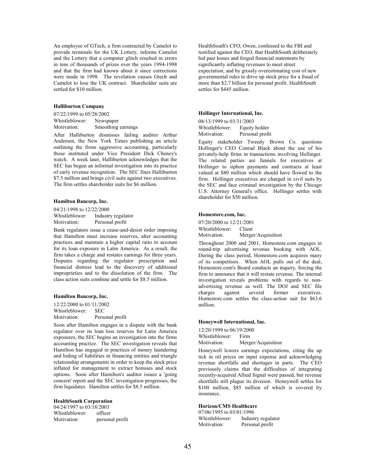An employee of GTech, a firm contracted by Camelot to provide terminals for the UK Lottery, informs Camelot and the Lottery that a computer glitch resulted in errors in tens of thousands of prizes over the years 1994-1998 and that the firm had known about it since corrections were made in 1998. The revelation causes Gtech and Camelot to lose the UK contract. Shareholder suits are settled for \$10 million.

#### Halliburton Company

07/22/1999 to 05/28/2002 Whistleblower: Newspaper Motivation: Smoothing earnings

After Halliburton dismisses failing auditor Arthur Andersen, the New York Times publishing an article outlining the firms aggressive accounting, particularly those instituted under Vice President Dick Cheney's watch. A week later, Halliburton acknowledges that the SEC has begun an informal investigation into its practice of early revenue recognition. The SEC fines Halliburton \$7.5 million and brings civil suits against two executives. The firm settles shareholder suits for \$6 million.

#### Hamilton Bancorp, Inc.

04/21/1998 to 12/22/2000 Whistleblower: Industry regulator Motivation: Personal profit

Bank regulators issue a cease-and-desist order imposing that Hamilton must increase reserves, alter accounting practices and maintain a higher capital ratio to account for its loan exposure in Latin America. As a result, the firm takes a charge and restates earnings for three years. Disputes regarding the regulator prescription and financial distress lead to the discovery of additional improprieties and to the dissolution of the firm. The class action suits combine and settle for \$8.5 million.

#### Hamilton Bancorp, Inc.

12/22/2000 to 01/11/2002 Whistleblower: SEC Motivation: Personal profit

Soon after Hamilton engages in a dispute with the bank regulator over its loan loss reserves for Latin America exposures, the SEC begins an investigation into the firms accounting practice. The SEC investigation reveals that Hamilton has engaged in practices of money laundering and hiding of liabilities in financing entities and triangle relationship arrangements in order to keep the stock price inflated for management to extract bonuses and stock options. Soon after Hamilton's auditor issues a 'going concern' report and the SEC investigation progresses, the firm liquidates. Hamilton settles for \$8.5 million.

#### HealthSouth Corporation

04/24/1997 to 03/18/2003<br>Whistleblower: officer Whistleblower:<br>Motivation: personal profit HealthSouth's CFO, Owen, confessed to the FBI and testified against the CEO, that HealthSouth deliberately hid past losses and forged financial statements by significantly inflating revenues to meet street expectation, and by grossly overestimating cost of new governmental rules to drive up stock price for a fraud of more than \$2.7 billion for personal profit. HealthSouth settles for \$445 million.

#### Hollinger International, Inc.

08/13/1999 to 03/31/2003 Whistleblower: Equity holder Motivation: Personal profit

Equity stakeholder Tweedy Brown Co. questions Hollinger's CEO Conrad Black about the use of his privately-help firms in transactions involving Hollinger. The related parties are funnels for executives at Hollinger to siphon payments and contracts at least valued at \$80 million which should have flowed to the firm. Hollinger executives are charged in civil suits by the SEC and face criminal investigation by the Chicago U.S. Attorney General's office. Hollinger settles with shareholder for \$50 million.

#### Homestore.com, Inc.

07/20/2000 to 12/21/2001 Whistleblower: Client<br>Motivation: Merger Merger/Acquisition

Throughout 2000 and 2001, Homestore.com engages in round-trip advertising revenue booking with AOL. During the class period, Homestore.com acquires many of its competitors. When AOL pulls out of the deal, Homestore.com's Board conducts an inquiry, forcing the firm to announce that it will restate revenue. The internal investigation reveals problems with regards to nonadvertising revenue as well. The DOJ and SEC file charges against several former executives. Homestore.com settles the class-action suit for \$63.6 million.

#### Honeywell International, Inc.

12/20/1999 to 06/19/2000 Whistleblower: Firm Motivation: Merger/Acquisition

Honeywell lowers earnings expectations, citing the up tick in oil prices on input expense and acknowledging revenue shortfalls and shortages in parts. The CEO previously claims that the difficulties of integrating recently-acquired Allied Signal were passed, but revenue shortfalls still plague its division. Honeywell settles for \$100 million, \$85 million of which is covered by insurance.

## Horizon/CMS Healthcare

07/06/1995 to 03/01/1996 Whistleblower: Industry regulator Motivation: Personal profit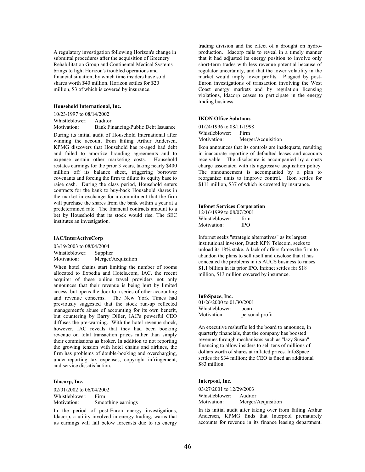A regulatory investigation following Horizon's change in submittal procedures after the acquisition of Greenery Rehabilitation Group and Continental Medical Systems brings to light Horizon's troubled operations and financial situation, by which time insiders have sold shares worth \$40 million. Horizon settles for \$20 million, \$3 of which is covered by insurance.

### Household International, Inc.

10/23/1997 to 08/14/2002 Whistleblower: Auditor Motivation: Bank Financing/Public Debt Issuance

During its initial audit of Household International after winning the account from failing Arthur Andersen, KPMG discovers that Household has re-aged bad debt and failed to amortize branding agreements and to expense certain other marketing costs. Household restates earnings for the prior 3 years, taking nearly \$400 million off its balance sheet, triggering borrower covenants and forcing the firm to dilute its equity base to raise cash. During the class period, Household enters contracts for the bank to buy-back Household shares in the market in exchange for a commitment that the firm will purchase the shares from the bank within a year at a predetermined rate. The financial contracts amount to a bet by Household that its stock would rise. The SEC institutes an investigation.

#### IAC/InterActiveCorp

03/19/2003 to 08/04/2004 Whistleblower: Supplier Motivation: Merger/Acquisition

When hotel chains start limiting the number of rooms allocated to Expedia and Hotels.com, IAC, the recent acquirer of these online travel providers not only announces that their revenue is being hurt by limited access, but opens the door to a series of other accounting and revenue concerns. The New York Times had previously suggested that the stock run-up reflected management's abuse of accounting for its own benefit, but countering by Barry Diller, IAC's powerful CEO diffuses the pre-warning. With the hotel revenue shock, however, IAC reveals that they had been booking revenue on total transaction prices rather than simply their commissions as broker. In addition to not reporting the growing tension with hotel chains and airlines, the firm has problems of double-booking and overcharging, under-reporting tax expenses, copyright infringement, and service dissatisfaction.

#### Idacorp, Inc.

02/01/2002 to 06/04/2002 Whistleblower: Firm Motivation: Smoothing earnings

In the period of post-Enron energy investigations, Idacorp, a utility involved in energy trading, warns that its earnings will fall below forecasts due to its energy trading division and the effect of a drought on hydroproduction. Idacorp fails to reveal in a timely manner that it had adjusted its energy position to involve only short-term trades with less revenue potential because of regulator uncertainty, and that the lower volatility in the market would imply lower profits. Plagued by post-Enron investigations of transaction involving the West Coast energy markets and by regulation licensing violations, Idacorp ceases to participate in the energy trading business.

## IKON Office Solutions

01/24/1996 to 08/11/1998 Whistleblower: Firm Motivation: Merger/Acquisition

Ikon announces that its controls are inadequate, resulting in inaccurate reporting of defaulted leases and accounts receivable. The disclosure is accompanied by a costs charge associated with its aggressive acquisition policy. The announcement is accompanied by a plan to reorganize units to improve control. Ikon settles for \$111 million, \$37 of which is covered by insurance.

#### Infonet Services Corporation

| 12/16/1999 to 08/07/2001 |      |  |
|--------------------------|------|--|
| Whistleblower:           | firm |  |
| Motivation:              | IPO  |  |

Infornet seeks "strategic alternatives" as its largest institutional investor, Dutch KPN Telecom, seeks to unload its 18% stake. A lack of offers forces the firm to abandon the plans to sell itself and disclose that it has concealed the problems in its AUCS business to raises \$1.1 billion in its prior IPO. Infonet settles for \$18 million, \$13 million covered by insurance.

#### InfoSpace, Inc.

| 01/26/2000 to 01/30/2001 |                 |  |
|--------------------------|-----------------|--|
| Whistleblower:           | board           |  |
| Motivation:              | personal profit |  |

An executive reshuffle led the board to announce, in quarterly financials, that the company has boosted revenues through mechanisms such as "lazy Susan" financing to allow insiders to sell tens of millions of dollars worth of shares at inflated prices. InfoSpace settles for \$34 million; the CEO is fined an additional \$83 million.

### Interpool, Inc.

03/27/2001 to 12/29/2003<br>Whistleblower: Auditor Whistleblower: Motivation: Merger/Acquisition

In its initial audit after taking over from failing Arthur Andersen, KPMG finds that Interpool prematurely accounts for revenue in its finance leasing department.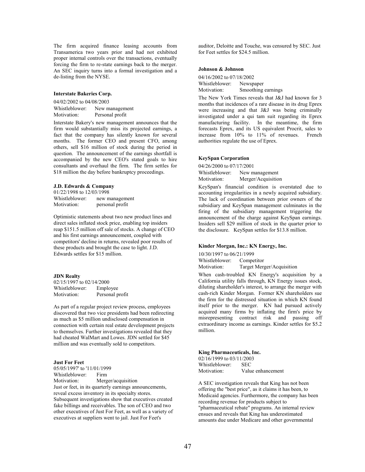The firm acquired finance leasing accounts from Transamerica two years prior and had not exhibited proper internal controls over the transactions, eventually forcing the firm to re-state earnings back to the merger. An SEC inquiry turns into a formal investigation and a de-listing from the NYSE.

#### Interstate Bakeries Corp.

04/02/2002 to 04/08/2003 Whistleblower: New management Motivation: Personal profit

Interstate Bakery's new management announces that the firm would substantially miss its projected earnings, a fact that the company has silently known for several months. The former CEO and present CFO, among others, sell \$16 million of stock during the period in question. The announcement of the earnings shortfall is accompanied by the new CEO's stated goals to hire consultants and overhaul the firm. The firm settles for \$18 million the day before bankruptcy proceedings.

## J.D. Edwards & Company

01/22/1998 to 12/03/1998 Whistleblower: new management Motivation: personal profit

Optimistic statements about two new product lines and direct sales inflated stock price, enabling top insiders reap \$151.5 million off sale of stocks. A change of CEO and his first earnings announcement, coupled with competitors' decline in returns, revealed poor results of these products and brought the case to light. J.D. Edwards settles for \$15 million.

#### JDN Realty

02/15/1997 to 02/14/2000 Whistleblower: Employee Motivation: Personal profit

As part of a regular project review process, employees discovered that two vice presidents had been redirecting as much as \$5 million undisclosed compensation in connection with certain real estate development projects to themselves. Further investigations revealed that they had cheated WalMart and Lowes. JDN settled for \$45 million and was eventually sold to competitors.

## Just For Feet

05/05/1997' to '11/01/1999 Whistleblower: Firm Motivation: Merger/acquisition Just or feet, in its quarterly earnings announcements, reveal excess inventory in its specialty stores. Subsequent investigations show that executives created fake billings and receivables. The son of CEO and two other executives of Just For Feet, as well as a variety of executives at suppliers went to jail. Just For Feet's

auditor, Deloitte and Touche, was censured by SEC. Just for Feet settles for \$24.5 million.

## Johnson & Johnson

04/16/2002 to 07/18/2002 Whistleblower: Newspaper<br>Motivation: Smoothing Smoothing earnings

The New York Times reveals that J&J had known for 3 months that incidences of a rare disease in its drug Eprex were increasing and that J&J was being criminally investigated under a qui tam suit regarding its Eprex manufacturing facility. In the meantime, the firm forecasts Eprex, and its US equivalent Procrit, sales to increase from 10% to 11% of revenues. French authorities regulate the use of Eprex.

## KeySpan Corporation

04/26/2000 to 07/17/2001 Whistleblower: New management Motivation: Merger/Acquisition

KeySpan's financial condition is overstated due to accounting irregularities in a newly acquired subsidiary. The lack of coordination between prior owners of the subsidiary and KeySpan management culminates in the firing of the subsidiary management triggering the announcement of the charge against KeySpan earnings. Insiders sell \$29 million of stock in the quarter prior to the disclosure. KeySpan settles for \$13.8 million.

#### Kinder Morgan, Inc.: KN Energy, Inc.

10/30/1997 to 06/21/1999 Whistleblower: Competitor Motivation: Target Merger/Acquisition

When cash-troubled KN Energy's acquisition by a California utility falls through, KN Energy issues stock, diluting shareholder's interest, to arrange the merger with cash-rich Kinder Morgan. Former KN shareholders sue the firm for the distressed situation in which KN found itself prior to the merger. KN had pursued actively acquired many firms by inflating the firm's price by misrepresenting contract risk and passing off extraordinary income as earnings. Kinder settles for \$5.2 million.

#### King Pharmaceuticals, Inc.

02/16/1999 to 03/11/2003 Whistleblower: SEC Motivation: Value enhancement

A SEC investigation reveals that King has not been offering the "best price", as it claims it has been, to Medicaid agencies. Furthermore, the company has been recording revenue for products subject to "pharmaceutical rebate" programs. An internal review ensues and reveals that King has underestimated amounts due under Medicare and other governmental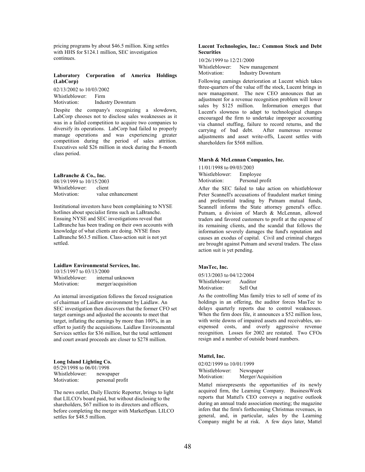pricing programs by about \$46.5 million. King settles with HHS for \$124.1 million, SEC investigation continues.

### Laboratory Corporation of America Holdings (LabCorp)

02/13/2002 to 10/03/2002 Whistleblower: Firm Motivation: Industry Downturn

Despite the company's recognizing a slowdown, LabCorp chooses not to disclose sales weaknesses as it was in a failed competition to acquire two companies to diversify its operations. LabCorp had failed to properly manage operations and was experiencing greater competition during the period of sales attrition. Executives sold \$26 million in stock during the 8-month class period.

#### LaBranche & Co., Inc.

08/19/1999 to 10/15/2003<br>Whistleblower: client Whistleblower: Motivation: value enhancement

Institutional investors have been complaining to NYSE hotlines about specialist firms such as LaBranche. Ensuing NYSE and SEC investigations reveal that LaBranche has been trading on their own accounts with knowledge of what clients are doing. NYSE fines LaBranche \$63.5 million. Class-action suit is not yet settled.

#### Laidlaw Environmental Services, Inc.

10/15/1997 to 03/13/2000<br>Whistleblower: internal Whistleblower: internal unknown<br>Motivation: merger/acquisition merger/acquisition

An internal investigation follows the forced resignation of chairman of Laidlaw environment by Laidlaw. An SEC investigation then discovers that the former CFO set target earnings and adjusted the accounts to meet that target, inflating the earnings by more than 100%, in an effort to justify the acquisitions. Laidlaw Environmental Services settles for \$36 million, but the total settlement and court award proceeds are closer to \$278 million.

## Long Island Lighting Co.

05/29/1998 to 06/01/1998<br>Whistleblower: newspaper Whistleblower:<br>Motivation: personal profit

The news outlet, Daily Electric Reporter, brings to light that LILCO's board paid, but without disclosing to the shareholders, \$67 million to its directors and officers. before completing the merger with MarketSpan. LILCO settles for \$48.5 million.

## Lucent Technologies, Inc.: Common Stock and Debt **Securities**

10/26/1999 to 12/21/2000

Whistleblower: New management<br>Motivation: Industry Downturn Industry Downturn

Following earnings deterioration at Lucent which takes three-quarters of the value off the stock, Lucent brings in new management. The new CEO announces that an adjustment for a revenue recognition problem will lower sales by \$125 million. Information emerges that Lucent's slowness to adapt to technological changes encouraged the firm to undertake improper accounting via channel stuffing, failure to record returns, and the carrying of bad debt. After numerous revenue adjustments and asset write-offs, Lucent settles with shareholders for \$568 million.

#### Marsh & McLennan Companies, Inc.

11/01/1998 to 09/03/2003 Whistleblower: Employee Motivation: Personal profit

After the SEC failed to take action on whistleblower Peter Scannell's accusations of fraudulent market timing and preferential trading by Putnam mutual funds, Scannell informs the State attorney general's office. Putnam, a division of March & McLennan, allowed traders and favored customers to profit at the expense of its remaining clients, and the scandal that follows the information severely damages the fund's reputation and causes an exodus of capital. Civil and criminal charges are brought against Putnam and several traders. The class action suit is yet pending.

#### MasTec, Inc.

05/13/2003 to 04/12/2004 Whistleblower: Auditor Motivation: Sell Out

As the controlling Mas family tries to sell of some of its holdings in an offering, the auditor forces MasTec to delays quarterly reports due to control weaknesses. When the firm does file, it announces a \$52 million loss, with write downs of impaired assets and receivables, unexpensed costs, and overly aggressive revenue recognition. Losses for 2002 are restated. Two CFOs resign and a number of outside board numbers.

#### Mattel, Inc.

02/02/1999 to 10/01/1999 Whistleblower: Newspaper Motivation: Merger/Acquisition

Mattel misrepresents the opportunities of its newly acquired firm, the Learning Company. BusinessWeek reports that Mattel's CEO conveys a negative outlook during an annual trade association meeting; the magazine infers that the firm's forthcoming Christmas revenues, in general, and, in particular, sales by the Learning Company might be at risk. A few days later, Mattel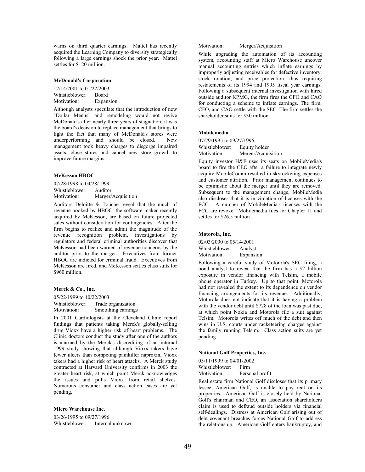warns on third quarter earnings. Mattel has recently acquired the Learning Company to diversify strategically following a large earnings shock the prior year. Mattel settles for \$120 million.

## McDonald's Corporation

12/14/2001 to 01/22/2003 Whistleblower: Board Motivation: Expansion

Although analysts speculate that the introduction of new "Dollar Menus" and remodeling would not revive McDonald's after nearly three years of stagnation, it was the board's decision to replace management that brings to light the fact that many of McDonald's stores were underperforming and should be closed. New management took heavy charges to disgorge impaired assets, close stores and cancel new store growth to improve future margins.

### McKesson HBOC

07/28/1998 to 04/28/1999 Whistleblower: Auditor<br>Motivation: Merger/ Merger/Acquisition

Auditors Deloitte & Touche reveal that the much of revenue booked by HBOC, the software maker recently acquired by McKesson, are based on future projected sales without consideration for contingencies. After the firm begins to realize and admit the magnitude of the revenue recognition problem, investigations by regulators and federal criminal authorities discover that McKesson had been warned of revenue concerns by the auditor prior to the merger. Executives from former HBOC are indicted for criminal fraud. Executives from McKesson are fired, and McKesson settles class suits for \$960 million.

#### Merck & Co., Inc.

05/22/1999 to 10/22/2003 Whistleblower: Trade organization Motivation: Smoothing earnings

In 2001 Cardiologists at the Cleveland Clinic report findings that patients taking Merck's globally-selling drug Vioxx have a higher risk of heart problems. The Clinic doctors conduct the study after one of the authors is alarmed by the Merck's discrediting of an internal 1999 study showing that although Vioxx takers have fewer ulcers than competing painkiller naproxin, Vioxx takers had a higher risk of heart attacks. A Merck study contracted at Harvard University confirms in 2003 the greater heart risk, at which point Merck acknowledges the issues and pulls Vioxx from retail shelves. Numerous consumer and class action cases are yet pending.

#### Micro Warehouse Inc.

03/26/1995 to 09/27/1996 Whistleblower: Internal unknown Motivation: Merger/Acquisition

While upgrading the automation of its accounting system, accounting staff at Micro Warehouse uncover manual accounting entries which inflate earnings by improperly adjusting receivables for defective inventory, stock rotation, and price protection, thus requiring restatements of its 1994 and 1995 fiscal year earnings. Following a subsequent internal investigation with hired outside auditor KPMG, the firm fires the CFO and CAO for conducting a scheme to inflate earnings. The firm, CFO, and CAO settle with the SEC. The firm settles the shareholder suits for \$30 million.

## Mobilemedia

07/29/1995 to 09/27/1996

Whistleblower: Equity holder<br>Motivation: Merger/Acqui Merger/Acquisition

Equity investor H&F uses its seats on MobileMedia's board to fire the CEO after a failure to integrate newly acquire MobileComm resulted in skyrocketing expenses and customer attrition. Prior management continues to be optimistic about the merger until they are removed. Subsequent to the management change, MobileMedia also discloses that it is in violation of licenses with the FCC. A number of MobileMedia's licenses with the FCC are revoke. Mobilemedia files for Chapter 11 and settles for \$26.5 million.

#### Motorola, Inc.

02/03/2000 to 05/14/2001 Whistleblower: Analyst Motivation: Expansion

Following a careful study of Motorola's SEC filing, a bond analyst to reveal that the firm has a \$2 billion exposure in vendor financing with Telsim, a mobile phone operator in Turkey. Up to that point, Motorola had not revealed the extent to its dependence on vendor financing arrangements for its revenue. Additionally, Motorola does not indicate that it is having a problem with the vendor debt until \$728 of the loan was past due, at which point Nokia and Motorola file a suit against Telsim. Motorola writes off much of the debt and then wins in U.S. courts under racketeering charges against the family running Telsim. Class action suits are yet pending.

### National Golf Properties, Inc.

05/11/1999 to 04/01/2002 Whistleblower: Firm<br>Motivation: Perso Personal profit

Real estate firm National Golf discloses that its primary lessee, American Golf, is unable to pay rent on its properties. American Golf is closely held by National Golf's chairman and CEO, an association shareholders claim is used to defraud outside holders via financial self-dealings. Distress at American Golf arising out of debt covenant breaches forces National Golf to address the relationship. American Golf enters bankruptcy, and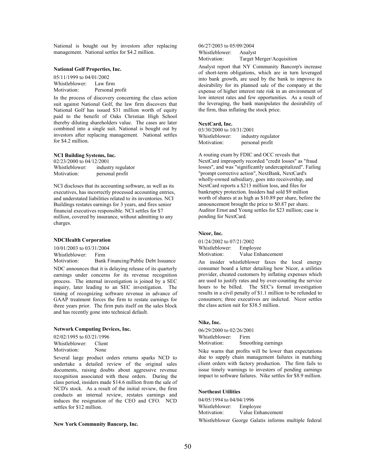National is bought out by investors after replacing management. National settles for \$4.2 million.

## National Golf Properties, Inc.

05/11/1999 to 04/01/2002 Whistleblower: Law firm Motivation: Personal profit

In the process of discovery concerning the class action suit against National Golf, the law firm discovers that National Golf has issued \$31 million worth of equity paid to the benefit of Oaks Christian High School thereby diluting shareholders value. The cases are later combined into a single suit. National is bought out by investors after replacing management. National settles for \$4.2 million.

#### NCI Building Systems, Inc.

02/23/2000 to 04/12/2001 Whistleblower: industry regulator Motivation: personal profit

NCI discloses that its accounting software, as well as its executives, has incorrectly processed accounting entries, and understated liabilities related to its inventories. NCI Buildings restates earnings for 3 years, and fires senior financial executives responsible. NCI settles for \$7 million, covered by insurance, without admitting to any charges.

#### NDCHealth Corporation

10/01/2003 to 03/31/2004 Whistleblower: Firm

Motivation: Bank Financing/Public Debt Issuance NDC announces that it is delaying release of its quarterly earnings under concerns for its revenue recognition process. The internal investigation is joined by a SEC inquiry, later leading to an SEC investigation. The timing of recognizing software revenue in advance of GAAP treatment forces the firm to restate earnings for three years prior. The firm puts itself on the sales block and has recently gone into technical default.

#### Network Computing Devices, Inc.

| 02/02/1995 to 03/21/1996 |        |  |
|--------------------------|--------|--|
| Whistleblower:           | Client |  |
| Motivation:              | None   |  |

Several large product orders returns sparks NCD to undertake a detailed review of the original sales documents, raising doubts about aggressive revenue recognition associated with these orders. During the class period, insiders made \$14.6 million from the sale of NCD's stock. As a result of the initial review, the firm conducts an internal review, restates earnings and induces the resignation of the CEO and CFO. NCD settles for \$12 million.

#### New York Community Bancorp, Inc.

06/27/2003 to 05/09/2004 Whistleblower: Analyst<br>Motivation: Target N Target Merger/Acquisition

Analyst report that NY Community Bancorp's increase of short-term obligations, which are in turn leveraged into bank growth, are used by the bank to improve its desirability for its planned sale of the company at the expense of higher interest rate risk in an environment of low interest rates and few opportunities. As a result of the leveraging, the bank manipulates the desirability of the firm, thus inflating the stock price.

#### NextCard, Inc.

| 03/30/2000 to 10/31/2001 |                    |
|--------------------------|--------------------|
| Whistleblower:           | industry regulator |
| Motivation:              | personal profit    |

A routing exam by FDIC and OCC reveals that NextCard improperly recorded "credit losses" as "fraud losses", and was "significantly undercapitalized". Failing "prompt corrective action", NextBank, NextCard's wholly-owned subsidiary, goes into receivership, and NextCard reports a \$213 million loss, and files for bankruptcy protection. Insiders had sold \$9 million worth of shares at as high as \$10.89 per share, before the announcement brought the price to \$0.87 per share. Auditor Ernst and Young settles for \$23 million; case is pending for NextCard.

## Nicor, Inc.

01/24/2002 to 07/21/2002 Whistleblower: Employee Motivation: Value Enhancement

An insider whistleblower faxes the local energy consumer board a letter detailing how Nicor, a utilities provider, cheated customers by inflating expenses which are used to justify rates and by over-counting the service hours to be billed. The SEC's formal investigation results in a civil penalty of \$1.1 million to be refunded to consumers; three executives are indicted. Nicor settles the class action suit for \$38.5 million.

#### Nike, Inc.

06/29/2000 to 02/26/2001 Whistleblower: Firm Motivation: Smoothing earnings

Nike warns that profits will be lower than expectations due to supply chain management failures in matching client orders with factory production. The firm fails to issue timely warnings to investors of pending earnings impact to software failures. Nike settles for \$8.9 million.

#### Northeast Utilities

04/05/1994 to 04/04/1996 Whistleblower: Employee Motivation: Value Enhancement Whistleblower George Galatis informs multiple federal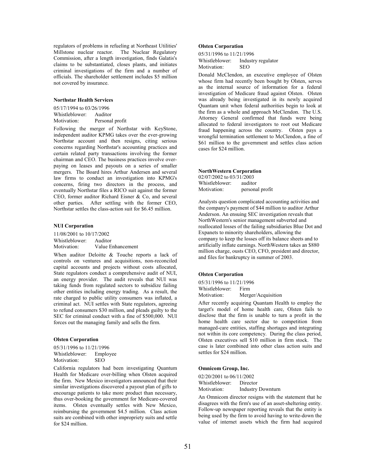regulators of problems in refueling at Northeast Utilities' Millstone nuclear reactor. The Nuclear Regulatory Commission, after a length investigation, finds Galatis's claims to be substantiated, closes plants, and initiates criminal investigations of the firm and a number of officials. The shareholder settlement includes \$5 million not covered by insurance.

#### Northstar Health Services

05/17/1994 to 03/26/1996 Whistleblower: Auditor Motivation: Personal profit

Following the merger of Northstar with KeyStone, independent auditor KPMG takes over the ever-growing Northstar account and then resigns, citing serious concerns regarding Northstar's accounting practices and certain related party transactions involving the former chairman and CEO. The business practices involve overpaying on leases and payouts on a series of smaller mergers. The Board hires Arthur Andersen and several law firms to conduct an investigation into KPMG's concerns, firing two directors in the process, and eventually Northstar files a RICO suit against the former CEO, former auditor Richard Eisner & Co, and several other parties. After settling with the former CEO, Northstar settles the class-action suit for \$6.45 million.

### NUI Corporation

11/08/2001 to 10/17/2002 Whistleblower: Auditor Motivation: Value Enhancement

When auditor Deloitte & Touche reports a lack of controls on ventures and acquisitions, non-reconciled capital accounts and projects without costs allocated, State regulators conduct a comprehensive audit of NUI, an energy provider. The audit reveals that NUI was taking funds from regulated sectors to subsidize failing other entities including energy trading. As a result, the rate charged to public utility consumers was inflated, a criminal act. NUI settles with State regulators, agreeing to refund consumers \$30 million, and pleads guilty to the SEC for criminal conduct with a fine of \$500,000. NUI forces out the managing family and sells the firm.

#### Olsten Corporation

05/31/1996 to 11/21/1996 Whistleblower: Employee Motivation: SEO

California regulators had been investigating Quantum Health for Medicare over-billing when Olsten acquired the firm. New Mexico investigators announced that their similar investigations discovered a payout plan of gifts to encourage patients to take more product than necessary, thus over-booking the government for Medicare-covered items. Olsten eventually settles with New Mexico, reimbursing the government \$4.5 million. Class action suits are combined with other impropriety suits and settle for \$24 million.

## Olsten Corporation

05/31/1996 to 11/21/1996 Whistleblower: Industry regulator Motivation: SEO

Donald McClendon, an executive employee of Olsten whose firm had recently been bought by Olsten, serves as the internal source of information for a federal investigation of Medicare fraud against Olsten. Olsten was already being investigated in its newly acquired Quantam unit when federal authorities begin to look at the firm as a whole and approach McClendon. The U.S. Attorney General confirmed that funds were being allocated to federal investigators to root out Medicare fraud happening across the country. Olsten pays a wrongful termination settlement to McClendon, a fine of \$61 million to the government and settles class action cases for \$24 million.

#### NorthWestern Corporation

02/07/2002 to 03/31/2003 Whistleblower: auditor Motivation: personal profit

Analysts question complicated accounting activities and the company's payment of \$44 million to auditor Arthur Anderson. An ensuing SEC investigation reveals that NorthWestern's senior management subverted and reallocated losses of the failing subsidiaries Blue Dot and Expanets to minority shareholders, allowing the company to keep the losses off its balance sheets and to artificially inflate earnings. NorthWestern takes an \$880 million charge, ousts CEO, CFO, president and director, and files for bankruptcy in summer of 2003.

## Olsten Corporation

05/31/1996 to 11/21/1996 Whistleblower: Firm Motivation: Merger/Acquisition

After recently acquiring Quantam Health to employ the target's model of home health care, Olsten fails to disclose that the firm is unable to turn a profit in the home health care sector due to competition from managed-care entities, staffing shortages and integrating not within its core competency. During the class period, Olsten executives sell \$10 million in firm stock. The case is later combined into other class action suits and settles for \$24 million.

## Omnicom Group, Inc.

02/20/2001 to 06/11/2002 Whistleblower: Director Motivation: Industry Downturn

An Omnicom director resigns with the statement that he disagrees with the firm's use of an asset-sheltering entity. Follow-up newspaper reporting reveals that the entity is being used by the firm to avoid having to write-down the value of internet assets which the firm had acquired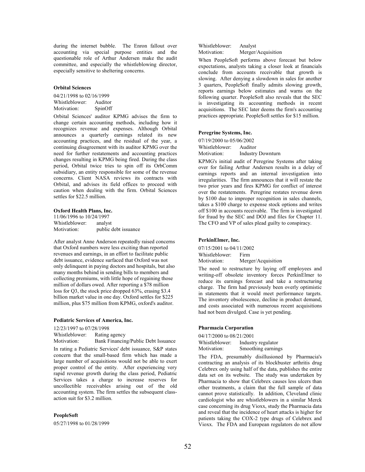during the internet bubble. The Enron fallout over accounting via special purpose entities and the questionable role of Arthur Andersen make the audit committee, and especially the whistleblowing director, especially sensitive to sheltering concerns.

### Orbital Sciences

04/21/1998 to 02/16/1999 Whistleblower: Auditor Motivation: SpinOff

Orbital Sciences' auditor KPMG advises the firm to change certain accounting methods, including how it recognizes revenue and expenses. Although Orbital announces a quarterly earnings related its new accounting practices, and the residual of the year, a continuing disagreement with its auditor KPMG over the need for further restatements and accounting practices changes resulting in KPMG being fired. During the class period, Orbital twice tries to spin off its OrbComm subsidiary, an entity responsible for some of the revenue concerns. Client NASA reviews its contracts with Orbital, and advises its field offices to proceed with caution when dealing with the firm. Orbital Sciences settles for \$22.5 million.

#### Oxford Health Plans, Inc.

11/06/1996 to 10/24/1997 Whistleblower: analyst Motivation: public debt issuance

After analyst Anne Anderson repeatedly raised concerns that Oxford numbers were less exciting than reported revenues and earnings, in an effort to facilitate public debt issuance, evidence surfaced that Oxford was not only delinquent in paying doctors and hospitals, but also many months behind in sending bills to members and collecting premiums, with little hope of regaining those million of dollars owed. After reporting a \$78 million loss for Q3, the stock price dropped 63%, erasing \$3.4 billion market value in one day. Oxford settles for \$225 million, plus \$75 million from KPMG, oxford's auditor.

#### Pediatric Services of America, Inc.

12/23/1997 to 07/28/1998 Whistleblower: Rating agency Motivation: Bank Financing/Public Debt Issuance

In rating a Pediatric Services' debt issuance, S&P states concern that the small-based firm which has made a large number of acquisitions would not be able to exert proper control of the entity. After experiencing very rapid revenue growth during the class period, Pediatric Services takes a charge to increase reserves for uncollectible receivables arising out of the old accounting system. The firm settles the subsequent classaction suit for \$3.2 million.

#### PeopleSoft

05/27/1998 to 01/28/1999

Whistleblower: Analyst Motivation: Merger/Acquisition

When PeopleSoft performs above forecast but below expectations, analysts taking a closer look at financials conclude from accounts receivable that growth is slowing. After denying a slowdown in sales for another 3 quarters, PeopleSoft finally admits slowing growth, reports earnings below estimates and warns on the following quarter. PeopleSoft also reveals that the SEC is investigating its accounting methods in recent acquisitions. The SEC later deems the firm's accounting practices appropriate. PeopleSoft settles for \$15 million.

## Peregrine Systems, Inc.

07/19/2000 to 05/06/2002 Whistleblower: Auditor<br>Motivation: Industry **Industry Downturn** 

KPMG's initial audit of Peregrine Systems after taking over for failing Arthur Andersen results in a delay of earnings reports and an internal investigation into irregularities. The firm announces that it will restate the two prior years and fires KPMG for conflict of interest over the restatements. Peregrine restates revenue down by \$100 due to improper recognition in sales channels, takes a \$100 charge to expense stock options and writes off \$100 in accounts receivable. The firm is investigated for fraud by the SEC and DOJ and files for Chapter 11. The CFO and VP of sales plead guilty to conspiracy.

#### PerkinElmer, Inc.

07/15/2001 to 04/11/2002 Whistleblower: Firm Motivation: Merger/Acquisition

The need to restructure by laying off employees and writing-off obsolete inventory forces PerkinElmer to reduce its earnings forecast and take a restructuring charge. The firm had previously been overly optimistic in statements that it would meet performance targets. The inventory obsolescence, decline in product demand, and costs associated with numerous recent acquisitions had not been divulged. Case is yet pending.

## Pharmacia Corporation

04/17/2000 to 08/21/2001 Whistleblower: Industry regulator<br>Motivation: Smoothing earning Smoothing earnings

The FDA, presumably disillusioned by Pharmacia's contracting an analysis of its blockbuster arthritis drug Celebrex only using half of the data, publishes the entire data set on its website. The study was undertaken by Pharmacia to show that Celebrex causes less ulcers than other treatments, a claim that the full sample of data cannot prove statistically. In addition, Cleveland clinic cardiologist who are whistleblowers in a similar Merck case concerning its drug Vioxx, study the Pharmacia data and reveal that the incidence of heart attacks is higher for patients taking the COX-2 type drugs of Celebrex and Vioxx. The FDA and European regulators do not allow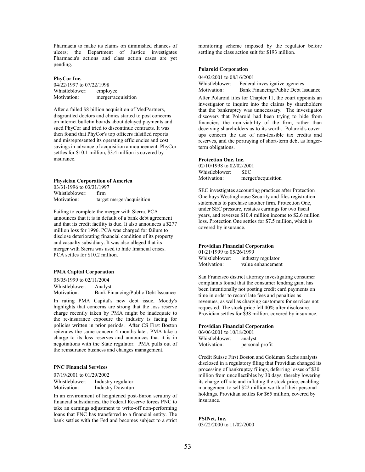Pharmacia to make its claims on diminished chances of ulcers; the Department of Justice investigates Pharmacia's actions and class action cases are yet pending.

### PhyCor Inc.

| 04/22/1997 to 07/22/1998 |                    |  |
|--------------------------|--------------------|--|
| Whistleblower:           | employee           |  |
| Motivation:              | merger/acquisition |  |

After a failed \$8 billion acquisition of MedPartners, disgruntled doctors and clinics started to post concerns on internet bulletin boards about delayed payments and sued PhyCor and tried to discontinue contracts. It was then found that PhyCor's top officers falsified reports and misrepresented its operating efficiencies and cost savings in advance of acquisition announcement. PhyCor settles for \$10.1 million, \$3.4 million is covered by insurance.

## Physician Corporation of America

03/31/1996 to 03/31/1997 Whistleblower: firm<br>Motivation: targe target merger/acquisition

Failing to complete the merger with Sierra, PCA announces that it is in default of a bank debt agreement and that its credit facility is due. It also announces a \$277 million loss for 1996. PCA was charged for failure to disclose deteriorating financial condition of its property and casualty subsidiary. It was also alleged that its merger with Sierra was used to hide financial crises. PCA settles for \$10.2 million.

## PMA Capital Corporation

05/05/1999 to 02/11/2004 Whistleblower: Analyst Motivation: Bank Financing/Public Debt Issuance

In rating PMA Capital's new debt issue, Moody's highlights that concerns are strong that the loss reserve charge recently taken by PMA might be inadequate to the re-insurance exposure the industry is facing for policies written in prior periods. After CS First Boston reiterates the same concern 4 months later, PMA take a charge to its loss reserves and announces that it is in negotiations with the State regulator. PMA pulls out of the reinsurance business and changes management.

## PNC Financial Services

07/19/2001 to 01/29/2002 Whistleblower: Industry regulator Motivation: Industry Downturn

In an environment of heightened post-Enron scrutiny of financial subsidiaries, the Federal Reserve forces PNC to take an earnings adjustment to write-off non-performing loans that PNC has transferred to a financial entity. The bank settles with the Fed and becomes subject to a strict monitoring scheme imposed by the regulator before settling the class action suit for \$193 million.

## Polaroid Corporation

| 04/02/2001 to 08/16/2001 |                                     |
|--------------------------|-------------------------------------|
| Whistleblower:           | Federal investigative agencies      |
| Motivation:              | Bank Financing/Public Debt Issuance |

After Polaroid files for Chapter 11, the court appoints an investigator to inquire into the claims by shareholders that the bankruptcy was unnecessary. The investigator discovers that Polaroid had been trying to hide from financiers the non-viability of the firm, rather than deceiving shareholders as to its worth. Polaroid's coverups concern the use of non-feasible tax credits and reserves, and the portraying of short-term debt as longerterm obligations.

#### Protection One, Inc.

02/10/1998 to 02/02/2001 Whistleblower: SEC Motivation: merger/acquisition

SEC investigates accounting practices after Protection One buys Westinghouse Security and files registration statements to purchase another firm. Protection One, under SEC pressure, restates earnings for two fiscal years, and reverses \$10.4 million income to \$2.6 million loss. Protection One settles for \$7.5 million, which is covered by insurance.

## Providian Financial Corporation

01/21/1999 to 05/26/1999 Whistleblower: industry regulator Motivation: value enhancement

San Francisco district attorney investigating consumer complaints found that the consumer lending giant has been intentionally not posting credit card payments on time in order to record late fees and penalties as revenues, as well as charging customers for services not requested. The stock price fell 40% after disclosure. Providian settles for \$38 million, covered by insurance.

#### Providian Financial Corporation

| 06/06/2001 to 10/18/2001 |                 |
|--------------------------|-----------------|
| Whistleblower:           | analyst         |
| Motivation:              | personal profit |

Credit Suisse First Boston and Goldman Sachs analysts disclosed in a regulatory filing that Providian changed its processing of bankruptcy filings, deferring losses of \$30 million from uncollectibles by 30 days, thereby lowering its charge-off rate and inflating the stock price, enabling management to sell \$22 million worth of their personal holdings. Providian settles for \$65 million, covered by insurance.

## PSINet, Inc.

03/22/2000 to 11/02/2000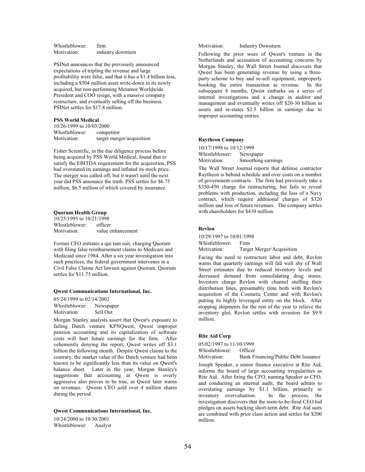Whistleblower: firm Motivation: industry downturn

PSINet announces that the previously announced expectations of tripling the revenue and large profitability were false, and that it has a \$1.4 billion loss, including a \$504 million asset write-down in its newly acquired, but non-performing Metamor Worldwide. President and COO resign, with a massive company restructure, and eventually selling off the business. PSINet settles for \$17.8 million.

#### PSS World Medical

10/26/1999 to 10/03/2000 Whistleblower: competitor Motivation: target merger/acquisition

Fisher Scientific, in the due diligence process before being acquired by PSS World Medical, found that to satisfy the EBITDA requirement for the acquisition, PSS had overstated its earnings and inflated its stock price. The merger was called off, but it wasn't until the next year did PSS announce the truth. PSS settles for \$6.75 million, \$6.5 million of which covered by insurance.

## Quorum Health Group

10/25/1995 to 10/21/1998 Whistleblower: officer Motivation: value enhancement

Former CFO initiates a qui tam suit, charging Quorum with filing false reimbursement claims to Medicare and Medicaid since 1984. After a six year investigation into such practices, the federal government intervenes in a Civil False Claims Act lawsuit against Quorum. Quorum settles for \$11.75 million.

#### Qwest Communications International, Inc.

05/24/1999 to 02/14/2002 Whistleblower: Newspaper Motivation: Sell Out

Morgan Stanley analysts assert that Qwest's exposure to failing Dutch venture KPNQwest, Qwest improper pension accounting and its capitalization of software costs will hurt future earnings for the firm. After vehemently denying the report, Qwest writes off \$3.1 billion the following month. Despite Qwest claims to the contrary, the market value of the Dutch venture had been known to be significantly less than its value on Qwest's balance sheet. Later in the year, Morgan Stanley's suggestions that accounting at Qwest is overly aggressive also proves to be true, as Qwest later warns on revenues. Qwests CEO sold over 4 million shares during the period.

## Qwest Communications International, Inc.

10/24/2000 to 10/30/2001 Whistleblower: Analyst Motivation: Industry Downturn

Following the prior woes of Qwest's venture in the Netherlands and accusation of accounting concerns by Morgan Stanley, the Wall Street Journal discovers that Qwest has been generating revenue by using a threeparty scheme to buy and re-sell equipment, improperly booking the entire transaction as revenue. In the subsequent 8 months, Qwest embarks on a series of internal investigations and a change in auditor and management and eventually writes off \$20-30 billion in assets and re-states \$2.5 billion in earnings due to improper accounting entries.

## Raytheon Company

10/17/1998 to 10/12/1999 Whistleblower: Newspaper Motivation: Smoothing earnings

The Wall Street Journal reports that defense contractor Raytheon is behind schedule and over costs on a number of government contracts. The firm had previously take a \$350-450 charge for restructuring, but fails to reveal problems with production, including the loss of a Navy contract, which require additional charges of \$320 million and loss of future revenues. The company settles with shareholders for \$410 million.

#### Revlon

10/29/1997 to 10/01/1998 Whistleblower: Firm Motivation: Target Merger/Acquisition

Facing the need to restructure labor and debt, Revlon warns that quarterly earnings will fall well shy of Wall Street estimates due to reduced inventory levels and decreased demand from consolidating drug stores. Investors charge Revlon with channel stuffing their distribution lines, presumably time both with Revlon's acquisition of the Cosmetic Center and with Revlon's putting its highly leveraged entity on the block. After stopping shipments for the rest of the year to relieve the inventory glut, Revlon settles with investors for \$9.9 million.

#### Rite Aid Corp

05/02/1997 to 11/10/1999 Whistleblower: Officer

Motivation: Bank Financing/Public Debt Issuance

Joseph Speaker, a senior finance executive at Rite Aid, informs the board of large accounting irregularities as Rite Aid. After firing the CFO, naming Speaker as CFO, and conducting an internal audit, the board admits to overstating earnings by \$1.1 billion, primarily in inventory overvaluation. In the process, the investigation discovers that the soon-to-be-fired CEO hid pledges on assets backing short-term debt. Rite Aid suits are combined with prior class action and settles for \$200 million.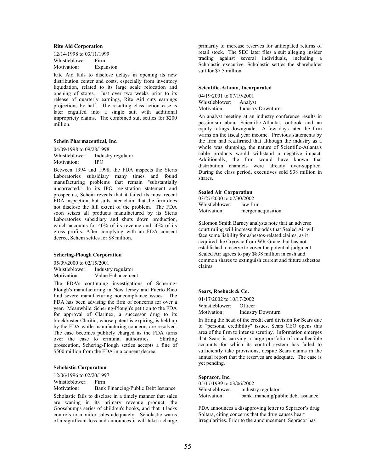### Rite Aid Corporation

12/14/1998 to 03/11/1999 Whistleblower: Firm Motivation: Expansion

Rite Aid fails to disclose delays in opening its new distribution center and costs, especially from inventory liquidation, related to its large scale relocation and opening of stores. Just over two weeks prior to its release of quarterly earnings, Rite Aid cuts earnings projections by half. The resulting class action case is later engulfed into a single suit with additional impropriety claims. The combined suit settles for \$200 million.

#### Schein Pharmaceutical, Inc.

04/09/1998 to 09/28/1998 Whistleblower: Industry regulator Motivation: IPO

Between 1994 and 1998, the FDA inspects the Steris Laboratories subsidiary many times and found manufacturing problems that remain "substantially uncorrected." In its IPO registration statement and prospectus, Schein reveals that it failed its most recent FDA inspection, but suits later claim that the firm does not disclose the full extent of the problem. The FDA soon seizes all products manufactured by its Steris Laboratories subsidiary and shuts down production, which accounts for 40% of its revenue and 50% of its gross profits. After complying with an FDA consent decree, Schein settles for \$8 million.

#### Schering-Plough Corporation

05/09/2000 to 02/15/2001 Whistleblower: Industry regulator Motivation: Value Enhancement

The FDA's continuing investigations of Schering-Plough's manufacturing in New Jersey and Puerto Rico find severe manufacturing noncompliance issues. The FDA has been advising the firm of concerns for over a year. Meanwhile, Schering-Plough's petition to the FDA for approval of Clarinex, a successor drug to its blockbuster Claritin, whose patent is expiring, is held up by the FDA while manufacturing concerns are resolved. The case becomes publicly charged as the FDA turns over the case to criminal authorities. Skirting prosecution, Schering-Plough settles accepts a fine of \$500 million from the FDA in a consent decree.

### Scholastic Corporation

12/06/1996 to 02/20/1997

Whistleblower: Firm

Motivation: Bank Financing/Public Debt Issuance

Scholastic fails to disclose in a timely manner that sales are waning in its primary revenue product, the Goosebumps series of children's books, and that it lacks controls to monitor sales adequately. Scholastic warns of a significant loss and announces it will take a charge primarily to increase reserves for anticipated returns of retail stock. The SEC later files a suit alleging insider trading against several individuals, including a Scholastic executive. Scholastic settles the shareholder suit for \$7.5 million.

#### Scientific-Atlanta, Incorporated

04/19/2001 to 07/19/2001 Whistleblower: Analyst Motivation: Industry Downturn

An analyst meeting at an industry conference results in pessimism about Scientific-Atlanta's outlook and an equity ratings downgrade. A few days later the firm warns on the fiscal year income. Previous statements by the firm had reaffirmed that although the industry as a whole was slumping, the nature of Scientific-Atlanta's cable products would withstand a negative impact. Additionally, the firm would have known that distribution channels were already over-supplied. During the class period, executives sold \$38 million in shares.

#### Sealed Air Corporation

03/27/2000 to 07/30/2002 Whistleblower: law firm Motivation: merger acquisition

Salomon Smith Barney analysts note that an adverse court ruling will increase the odds that Sealed Air will face some liability for asbestos-related claims, as it acquired the Cryovac from WR Grace, but has not established a reserve to cover the potential judgment. Sealed Air agrees to pay \$838 million in cash and common shares to extinguish current and future asbestos claims.

#### Sears, Roebuck & Co.

01/17/2002 to 10/17/2002 Whistleblower: Officer Motivation: Industry Downturn

In firing the head of the credit card division for Sears due to "personal credibility" issues, Sears CEO opens this area of the firm to intense scrutiny. Information emerges that Sears is carrying a large portfolio of uncollectible accounts for which its control system has failed to sufficiently take provisions, despite Sears claims in the annual report that the reserves are adequate. The case is yet pending.

## Sepracor, Inc.

| 05/17/1999 to 03/06/2002 |                                     |
|--------------------------|-------------------------------------|
| Whistleblower:           | industry regulator                  |
| Motivation:              | bank financing/public debt issuance |

FDA announces a disapproving letter to Sepracor's drug Soltara, citing concerns that the drug causes heart irregularities. Prior to the announcement, Sepracor has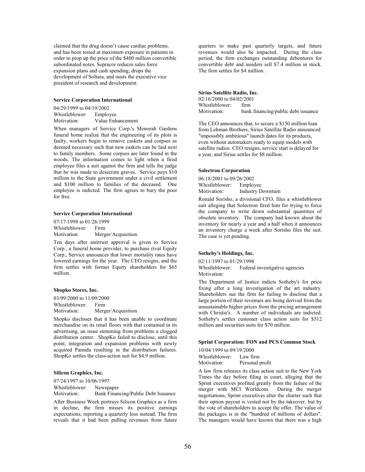claimed that the drug doesn't cause cardiac problems, and has been tested at maximum exposure in patients in order to prop up the price of the \$400 million convertible subordinated notes. Sepracor reduces sales force expansion plans and cash spending, drops the development of Soltara, and ousts the executive vice president of research and development.

#### Service Corporation International

04/29/1999 to 04/19/2002 Whistleblower: Employee<br>Motivation: Value Enh Value Enhancement

When managers of Service Corp.'s Menorah Gardens funeral home realize that the engineering of its plots is faulty, workers begin to remove caskets and corpses as deemed necessary such that new caskets can be laid next to family members. Some corpses are later found in the woods. The information comes to light when a fired employee files a suit against the firm and tells the judge that he was made to desecrate graves. Service pays \$10 million to the State government under a civil settlement and \$100 million to families of the deceased. One employee is indicted. The firm agrees to bury the poor for free.

#### Service Corporation International

07/17/1998 to 01/26/1999 Whistleblower: Firm Motivation: Merger/Acquisition

Ten days after antitrust approval is given to Service Corp., a funeral home provider, to purchase rival Equity Corp., Service announces that lower mortality rates have lowered earnings for the year. The CEO resigns, and the firm settles with former Equity shareholders for \$65 million.

#### Shopko Stores, Inc.

03/09/2000 to 11/09/2000

Whistleblower: Firm Motivation: Merger/Acquisition

Shopko discloses that it has been unable to coordinate merchandise on its retail floors with that contained in its advertising, an issue stemming from problems a clogged distribution center. ShopKo failed to disclose, until this point, integration and expansion problems with newly acquired Pamida resulting in the distribution failures. ShopKo settles the class-action suit for \$4.9 million.

#### Silicon Graphics, Inc.

07/24/1997 to 10/06/1997 Whistleblower: Newspaper

Motivation: Bank Financing/Public Debt Issuance

After Business Week portrays Silicon Graphics as a firm in decline, the firm misses its positive earnings expectations, reporting a quarterly loss instead. The firm reveals that it had been pulling revenues from future quarters to make past quarterly targets, and future revenues would also be impacted. During the class period, the firm exchanges outstanding debentures for convertible debt and insiders sell \$7.4 million in stock. The firm settles for \$4 million.

#### Sirius Satellite Radio, Inc.

02/16/2000 to 04/02/2001 Whistleblower: firm Motivation: bank financing/public debt issuance

The CEO announces that, to secure a \$150 million loan from Lehman Brothers, Sirius Satellite Radio announced "impossibly ambitious" launch dates for its products, even without automakers ready to equip models with satellite radios. CEO resigns, service start is delayed for a year, and Sirius settles for \$8 million.

#### Solectron Corporation

06/18/2001 to 09/26/2002 Whistleblower: Employee Motivation: Industry Downturn

Ronald Sorisho, a divisional CFO, files a whistleblower suit alleging that Solectron fired him for trying to force the company to write down substantial quantities of obsolete inventory. The company had known about the inventory for nearly a year and a half when it announces an inventory charge a week after Sorisho files the suit. The case is yet pending.

#### Sotheby's Holdings, Inc.

02/11/1997 to 01/29/1998 Whistleblower: Federal investigative agencies Motivation:

The Department of Justice indicts Sotheby's for price fixing after a long investigation of the art industry. Shareholders sue the firm for failing to disclose that a large portion of their revenues are being derived from the unsustainable higher prices from the pricing arrangement with Christie's. A number of individuals are indicted. Sotheby's settles customer class action suits for \$512 million and securities suits for \$70 million.

#### Sprint Corporation: FON and PCS Common Stock

10/04/1999 to 09/19/2000 Whistleblower: Law firm Motivation: Personal profit

A law firm releases its class action suit to the New York Times the day before filing in court, alleging that the Sprint executives profited greatly from the failure of the merger with MCI Worldcom. During the merger negotiations, Sprint executives alter the charter such that their option payout is vested not by the takeover, but by the vote of shareholders to accept the offer. The value of the packages is in the "hundred of millions of dollars". The managers would have known that there was a high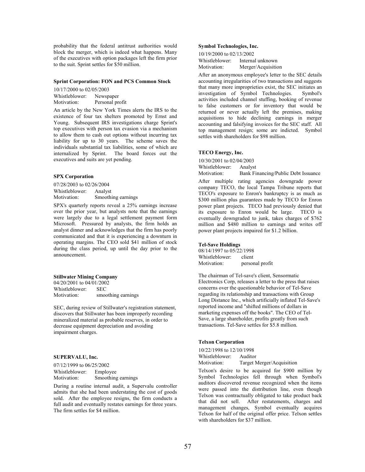probability that the federal antitrust authorities would block the merger, which is indeed what happens. Many of the executives with option packages left the firm prior to the suit. Sprint settles for \$50 million.

#### Sprint Corporation: FON and PCS Common Stock

10/17/2000 to 02/05/2003 Whistleblower: Newspaper Motivation: Personal profit

An article by the New York Times alerts the IRS to the existence of four tax shelters promoted by Ernst and Young. Subsequent IRS investigations charge Sprint's top executives with person tax evasion via a mechanism to allow them to cash out options without incurring tax liability for up to 30 years. The scheme saves the individuals substantial tax liabilities, some of which are internalized by Sprint. The board forces out the executives and suits are yet pending.

#### SPX Corporation

07/28/2003 to 02/26/2004 Whistleblower: Analyst Motivation: Smoothing earnings

SPX's quarterly reports reveal a 25% earnings increase over the prior year, but analysts note that the earnings were largely due to a legal settlement payment form Microsoft. Pressured by analysts, the firm holds an analyst dinner and acknowledges that the firm has poorly communicated and that it is experiencing a downturn in operating margins. The CEO sold \$41 million of stock during the class period, up until the day prior to the announcement.

#### Stillwater Mining Company

04/20/2001 to 04/01/2002 Whistleblower: SEC<br>Motivation: smoo smoothing earnings

SEC, during review of Stillwater's registration statement, discovers that Stillwater has been improperly recording mineralized material as probable reserves, in order to decrease equipment depreciation and avoiding impairment charges.

## SUPERVALU, Inc.

07/12/1999 to 06/25/2002 Whistleblower: Employee Motivation: Smoothing earnings

During a routine internal audit, a Supervalu controller admits that she had been understating the cost of goods sold. After the employee resigns, the firm conducts a full audit and eventually restates earnings for three years. The firm settles for \$4 million.

## Symbol Technologies, Inc.

| 10/19/2000 to 02/13/2002 |                    |  |
|--------------------------|--------------------|--|
| Whistleblower:           | Internal unknown   |  |
| Motivation:              | Merger/Acquisition |  |

After an anonymous employee's letter to the SEC details accounting irregularities of two transactions and suggests that many more improprieties exist, the SEC initiates an investigation of Symbol Technologies. Symbol's activities included channel stuffing, booking of revenue to false customers or for inventory that would be returned or never actually left the premises, making acquisitions to hide declining earnings in merger accounting and falsifying invoices for the SEC staff. All top management resign; some are indicted. Symbol settles with shareholders for \$98 million.

#### TECO Energy, Inc.

10/30/2001 to 02/04/2003

Whistleblower: Analyst

Motivation: Bank Financing/Public Debt Issuance

After multiple rating agencies downgrade power company TECO, the local Tampa Tribune reports that TECO's exposure to Enron's bankruptcy is as much as \$300 million plus guarantees made by TECO for Enron power plant projects. TECO had previously denied that its exposure to Enron would be large. TECO is eventually downgraded to junk, takes charges of \$762 million and \$480 million to earnings and writes off power plant projects impaired for \$1.2 billion.

#### Tel-Save Holdings

08/14/1997 to 05/22/1998<br>Whistleblower: client Whistleblower: Motivation: personal profit

The chairman of Tel-save's client, Sensormatic Electronics Corp, releases a letter to the press that raises concerns over the questionable behavior of Tel-Save regarding its relationship and transactions with Group Long Distance Inc., which artificially inflated Tel-Save's reported income and "shifted millions of dollars in marketing expenses off the books". The CEO of Tel-Save, a large shareholder, profits greatly from such transactions. Tel-Save settles for \$5.8 million.

#### Telxon Corporation

10/22/1998 to 12/10/1998 Whistleblower: Auditor<br>Motivation: Target N Target Merger/Acquisition

Telxon's desire to be acquired for \$900 million by Symbol Technologies fell through when Symbol's auditors discovered revenue recognized when the items were passed into the distribution line, even though Telxon was contractually obligated to take product back that did not sell. After restatements, charges and management changes, Symbol eventually acquires Telxon for half of the original offer price. Telxon settles with shareholders for \$37 million.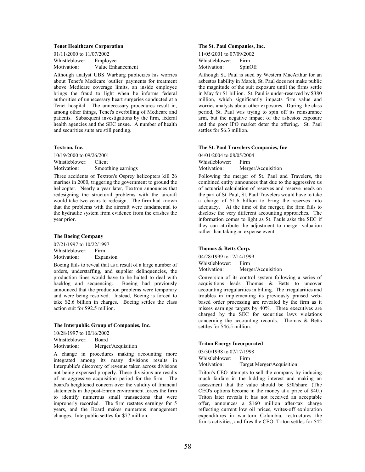## Tenet Healthcare Corporation

| 01/11/2000 to 11/07/2002 |                   |  |
|--------------------------|-------------------|--|
| Whistleblower:           | Employee          |  |
| Motivation:              | Value Enhancement |  |

Although analyst UBS Warburg publicizes his worries about Tenet's Medicare 'outlier' payments for treatment above Medicare coverage limits, an inside employee brings the fraud to light when he informs federal authorities of unnecessary heart surgeries conducted at a Tenet hospital. The unnecessary procedures result in, among other things, Tenet's overbilling of Medicare and patients. Subsequent investigations by the firm, federal health agencies and the SEC ensue. A number of health and securities suits are still pending.

## Textron, Inc.

10/19/2000 to 09/26/2001 Whistleblower: Client Motivation: Smoothing earnings

Three accidents of Textron's Osprey helicopters kill 26 marines in 2000, triggering the government to ground the helicopter. Nearly a year later, Textron announces that redesigning the structural problems with the aircraft would take two years to redesign. The firm had known that the problems with the aircraft were fundamental to the hydraulic system from evidence from the crashes the year prior.

## The Boeing Company

07/21/1997 to 10/22/1997 Whistleblower: Firm<br>Motivation: Expa Expansion

Boeing fails to reveal that as a result of a large number of orders, understaffing, and supplier delinquencies, the production lines would have to be halted to deal with backlog and sequencing. Boeing had previously announced that the production problems were temporary and were being resolved. Instead, Boeing is forced to take \$2.6 billion in charges. Boeing settles the class action suit for \$92.5 million.

#### The Interpublic Group of Companies, Inc.

10/28/1997 to 10/16/2002 Whistleblower: Board Motivation: Merger/Acquisition

A change in procedures making accounting more integrated among its many divisions results in Interpublic's discovery of revenue taken across divisions not being expensed properly. These divisions are results of an aggressive acquisition period for the firm. The board's heightened concern over the validity of financial statements in the post-Enron environment forces the firm to identify numerous small transactions that were improperly recorded. The firm restates earnings for 5 years, and the Board makes numerous management changes. Interpublic settles for \$77 million.

## The St. Paul Companies, Inc.

| 11/05/2001 to 07/09/2002 |         |
|--------------------------|---------|
| Whistleblower:           | Firm    |
| Motivation:              | SpinOff |

Although St. Paul is sued by Western MacArthur for an asbestos liability in March, St. Paul does not make public the magnitude of the suit exposure until the firms settle in May for \$1 billion. St. Paul is under-reserved by \$380 million, which significantly impacts firm value and worries analysts about other exposures. During the class period, St. Paul was trying to spin off its reinsurance arm, but the negative impact of the asbestos exposure and the poor IPO market deter the offering. St. Paul settles for \$6.3 million.

#### The St. Paul Travelers Companies, Inc

04/01/2004 to 08/05/2004 Whistleblower: Firm Motivation: Merger/Acquisition

Following the merger of St. Paul and Travelers, the combined entity announces that due to the aggressive us of actuarial calculation of reserves and reserve needs on the part of St. Paul, St. Paul Travelers would have to take a charge of \$1.6 billion to bring the reserves into adequacy. At the time of the merger, the firm fails to disclose the very different accounting approaches. The information comes to light as St. Pauls asks the SEC if they can attribute the adjustment to merger valuation rather than taking an expense event.

#### Thomas & Betts Corp.

04/28/1999 to 12/14/1999 Whistleblower: Firm Motivation: Merger/Acquisition

Conversion of its control system following a series of acquisitions leads Thomas & Betts to uncover accounting irregularities in billing. The irregularities and troubles in implementing its previously praised webbased order processing are revealed by the firm as it misses earnings targets by 40%. Three executives are charged by the SEC for securities laws violations concerning the accounting records. Thomas & Betts settles for \$46.5 million.

#### Triton Energy Incorporated

03/30/1998 to 07/17/1998

Whistleblower: Firm

Motivation: Target Merger/Acquisition

Triton's CEO attempts to sell the company by inducing much fanfare in the bidding interest and making an assessment that the value should be \$50/share. (The CEO's options become in the money at a price of \$40.) Triton later reveals it has not received an acceptable offer, announces a \$160 million after-tax charge reflecting current low oil prices, writes-off exploration expenditures in war-torn Columbia, restructures the firm's activities, and fires the CEO. Triton settles for \$42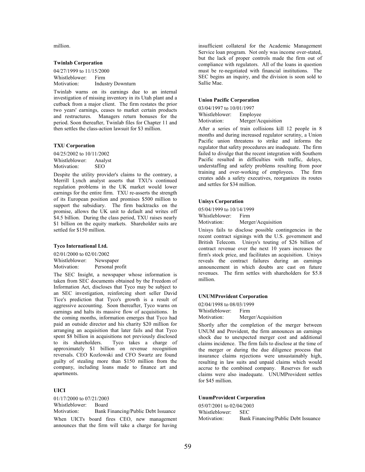million.

## Twinlab Corporation

04/27/1999 to 11/15/2000 Whistleblower: Firm Motivation: Industry Downturn

Twinlab warns on its earnings due to an internal investigation of missing inventory in its Utah plant and a cutback from a major client. The firm restates the prior two years' earnings, ceases to market certain products and restructures. Managers return bonuses for the period. Soon thereafter, Twinlab files for Chapter 11 and then settles the class-action lawsuit for \$3 million.

#### TXU Corporation

04/25/2002 to 10/11/2002 Whistleblower: Analyst<br>Motivation: SEO Motivation:

Despite the utility provider's claims to the contrary, a Merrill Lynch analyst asserts that TXU's continued regulation problems in the UK market would lower earnings for the entire firm. TXU re-asserts the strength of its European position and promises \$500 million to support the subsidiary. The firm backtracks on the promise, allows the UK unit to default and writes off \$4.5 billion. During the class period, TXU raises nearly \$1 billion on the equity markets. Shareholder suits are settled for \$150 million.

## Tyco International Ltd.

02/01/2000 to 02/01/2002 Whistleblower: Newspaper Motivation: Personal profit

The SEC Insight, a newspaper whose information is taken from SEC documents obtained by the Freedom of Information Act, discloses that Tyco may be subject to an SEC investigation, reinforcing short seller David Tice's prediction that Tyco's growth is a result of aggressive accounting. Soon thereafter, Tyco warns on earnings and halts its massive flow of acquisitions. In the coming months, information emerges that Tyco had paid an outside director and his charity \$20 million for arranging an acquisition that later fails and that Tyco spent \$8 billion in acquisitions not previously disclosed<br>to its shareholders. Tyco takes a charge of Tyco takes a charge of approximately \$1 billion on revenue recognition reversals. CEO Kozlowski and CFO Swartz are found guilty of stealing more than \$150 million from the company, including loans made to finance art and apartments.

## UICI

01/17/2000 to 07/21/2003 Whistleblower: Board Motivation: Bank Financing/Public Debt Issuance

When UICI's board fires CEO, new management announces that the firm will take a charge for having

insufficient collateral for the Academic Management Service loan program. Not only was income over-stated, but the lack of proper controls made the firm out of compliance with regulators. All of the loans in question must be re-negotiated with financial institutions. The SEC begins an inquiry, and the division is soon sold to Sallie Mae.

#### Union Pacific Corporation

03/04/1997 to 10/01/1997 Whistleblower: Employee<br>Motivation: Merger/Ac Merger/Acquisition

After a series of train collisions kill 12 people in 8 months and during increased regulator scrutiny, a Union Pacific union threatens to strike and informs the regulator that safety procedures are inadequate. The firm failed to divulge that the recent integration with Southern Pacific resulted in difficulties with traffic, delays, understaffing and safety problems resulting from poor training and over-working of employees. The firm creates adds a safety executives, reorganizes its routes and settles for \$34 million.

#### Unisys Corporation

05/04/1999 to 10/14/1999 Whistleblower: Firm Motivation: Merger/Acquisition

Unisys fails to disclose possible contingencies in the recent contract signings with the U.S. government and British Telecom. Unisys's touting of \$26 billion of contract revenue over the next 10 years increases the firm's stock price, and facilitates an acquisition. Unisys reveals the contract failures during an earnings announcement in which doubts are cast on future revenues. The firm settles with shareholders for \$5.8 million.

## UNUMProvident Corporation

02/04/1998 to 08/03/1999 Whistleblower: Firm Motivation: Merger/Acquisition

Shortly after the completion of the merger between UNUM and Provident, the firm announces an earnings shock due to unexpected merger cost and additional claims incidence. The firm fails to disclose at the time of the merger or during the due diligence process that insurance claims rejections were unsustainably high, resulting in law suits and unpaid claims which would accrue to the combined company. Reserves for such claims were also inadequate. UNUMProvident settles for \$45 million.

#### UnumProvident Corporation

05/07/2001 to 02/04/2003 Whistleblower: SEC Motivation: Bank Financing/Public Debt Issuance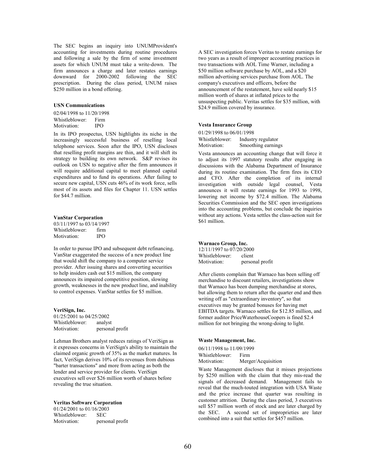The SEC begins an inquiry into UNUMProvident's accounting for investments during routine procedures and following a sale by the firm of some investment assets for which UNUM must take a write-down. The firm announces a charge and later restates earnings downward for 2000-2002 following the SEC prescription. During the class period, UNUM raises \$250 million in a bond offering.

#### USN Communications

02/04/1998 to 11/20/1998 Whistleblower: Firm Motivation: IPO

In its IPO prospectus, USN highlights its niche in the increasingly successful business of reselling local telephone services. Soon after the IPO, USN discloses that reselling profit margins are thin, and it will shift its strategy to building its own network. S&P revises its outlook on USN to negative after the firm announces it will require additional capital to meet planned capital expenditures and to fund its operations. After failing to secure new capital, USN cuts 46% of its work force, sells most of its assets and files for Chapter 11. USN settles for \$44.7 million.

## VanStar Corporation

03/11/1997 to 03/14/1997 Whistleblower: firm<br>Motivation: IPO Motivation:

In order to pursue IPO and subsequent debt refinancing, VanStar exaggerated the success of a new product line that would shift the company to a computer service provider. After issuing shares and converting securities to help insiders cash out \$15 million, the company announces its impaired competitive position, slowing growth, weaknesses in the new product line, and inability to control expenses. VanStar settles for \$5 million.

VeriSign, Inc. 01/25/2001 to 04/25/2002 Whistleblower: analyst Motivation: personal profit

Lehman Brothers analyst reduces ratings of VeriSign as it expresses concerns in VeriSign's ability to maintain the claimed organic growth of 35% as the market matures. In fact, VeriSign derives 10% of its revenues from dubious "barter transactions" and more from acting as both the lender and service provider for clients. VeriSign executives sell over \$26 million worth of shares before revealing the true situation.

### Veritas Software Corporation

01/24/2001 to 01/16/2003 Whistleblower: SEC Motivation: personal profit A SEC investigation forces Veritas to restate earnings for two years as a result of improper accounting practices in two transactions with AOL Time Warner, including a \$50 million software purchase by AOL, and a \$20 million advertising services purchase from AOL. The company's executives and officers, before the announcement of the restatement, have sold nearly \$15 million worth of shares at inflated prices to the unsuspecting public. Veritas settles for \$35 million, with \$24.9 million covered by insurance.

#### Vesta Insurance Group

01/29/1998 to 06/01/1998 Whistleblower: Industry regulator<br>Motivation: Smoothing earning Smoothing earnings

Vesta announces an accounting change that will force it to adjust its 1997 statutory results after engaging in discussions with the Alabama Department of Insurance during its routine examination. The firm fires its CEO and CFO. After the completion of its internal investigation with outside legal counsel, Vesta announces it will restate earnings for 1993 to 1998, lowering net income by \$72.4 million. The Alabama Securities Commission and the SEC open investigations into the accounting problems, but conclude the inquiries without any actions. Vesta settles the class-action suit for \$61 million.

## Warnaco Group, Inc.

12/11/1997 to 07/20/2000 Whistleblower: client<br>Motivation: person personal profit

After clients complain that Warnaco has been selling off merchandise to discount retailers, investigations show that Warnaco has been dumping merchandise at stores, but allowing them to return after the quarter end and then writing off as "extraordinary inventory", so that executives may be granted bonuses for having met EBITDA targets. Warnaco settles for \$12.85 million, and former auditor PriceWaterhouseCoopers is fined \$2.4 million for not bringing the wrong-doing to light.

#### Waste Management, Inc.

06/11/1998 to 11/09/1999 Whistleblower: Firm<br>Motivation: Merg Merger/Acquisition

Waste Management discloses that it misses projections by \$250 million with the claim that they mis-read the signals of decreased demand. Management fails to reveal that the much-touted integration with USA Waste and the price increase that quarter was resulting in customer attrition. During the class period, 3 executives sell \$57 million worth of stock and are later charged by the SEC. A second set of improprieties are later combined into a suit that settles for \$457 million.